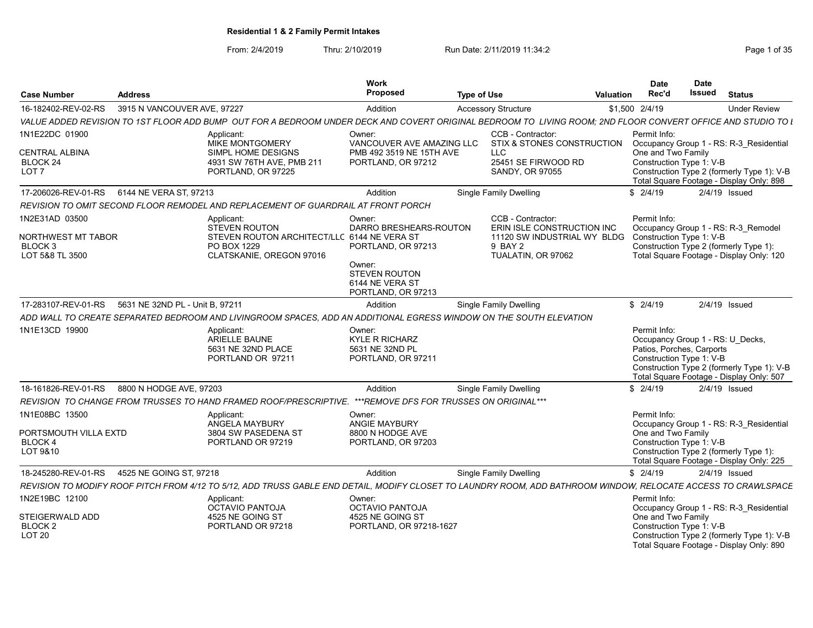From: 2/4/2019 Thru: 2/10/2019 Run Date: 2/11/2019 11:34:2<br>
Page 1 of 35

| <b>Case Number</b>                                             | <b>Address</b>                  |                                                                                                                                                                | Work<br><b>Proposed</b>                                                  | <b>Type of Use</b> |                                                              | Valuation | <b>Date</b><br>Rec'd                                                                                      | <b>Date</b><br><b>Issued</b> | <b>Status</b>                                                                          |
|----------------------------------------------------------------|---------------------------------|----------------------------------------------------------------------------------------------------------------------------------------------------------------|--------------------------------------------------------------------------|--------------------|--------------------------------------------------------------|-----------|-----------------------------------------------------------------------------------------------------------|------------------------------|----------------------------------------------------------------------------------------|
| 16-182402-REV-02-RS                                            | 3915 N VANCOUVER AVE, 97227     |                                                                                                                                                                | Addition                                                                 |                    | <b>Accessory Structure</b>                                   |           | \$1,500 2/4/19                                                                                            |                              | <b>Under Review</b>                                                                    |
|                                                                |                                 | VALUE ADDED REVISION TO 1ST FLOOR ADD BUMP OUT FOR A BEDROOM UNDER DECK AND COVERT ORIGINAL BEDROOM TO LIVING ROOM; 2ND FLOOR CONVERT OFFICE AND STUDIO TO L   |                                                                          |                    |                                                              |           |                                                                                                           |                              |                                                                                        |
| 1N1E22DC 01900                                                 |                                 | Applicant:<br><b>MIKE MONTGOMERY</b>                                                                                                                           | Owner:<br>VANCOUVER AVE AMAZING LLC                                      |                    | CCB - Contractor:<br>STIX & STONES CONSTRUCTION              |           | Permit Info:                                                                                              |                              | Occupancy Group 1 - RS: R-3 Residential                                                |
| CENTRAL ALBINA<br>BLOCK 24<br>LOT <sub>7</sub>                 |                                 | SIMPL HOME DESIGNS<br>4931 SW 76TH AVE, PMB 211<br>PORTLAND, OR 97225                                                                                          | PMB 492 3519 NE 15TH AVE<br>PORTLAND, OR 97212                           |                    | <b>LLC</b><br>25451 SE FIRWOOD RD<br>SANDY, OR 97055         |           | One and Two Family<br>Construction Type 1: V-B                                                            |                              | Construction Type 2 (formerly Type 1): V-B<br>Total Square Footage - Display Only: 898 |
| 17-206026-REV-01-RS                                            | 6144 NE VERA ST, 97213          |                                                                                                                                                                | Addition                                                                 |                    | <b>Single Family Dwelling</b>                                |           | \$2/4/19                                                                                                  |                              | $2/4/19$ Issued                                                                        |
|                                                                |                                 | REVISION TO OMIT SECOND FLOOR REMODEL AND REPLACEMENT OF GUARDRAIL AT FRONT PORCH                                                                              |                                                                          |                    |                                                              |           |                                                                                                           |                              |                                                                                        |
| 1N2E31AD 03500                                                 |                                 | Applicant:<br><b>STEVEN ROUTON</b>                                                                                                                             | Owner:<br>DARRO BRESHEARS-ROUTON                                         |                    | CCB - Contractor:<br>ERIN ISLE CONSTRUCTION INC              |           | Permit Info:                                                                                              |                              | Occupancy Group 1 - RS: R-3 Remodel                                                    |
| NORTHWEST MT TABOR<br>BLOCK 3<br>LOT 5&8 TL 3500               |                                 | STEVEN ROUTON ARCHITECT/LLC 6144 NE VERA ST<br>PO BOX 1229<br>CLATSKANIE, OREGON 97016                                                                         | PORTLAND, OR 97213<br>Owner:                                             |                    | 11120 SW INDUSTRIAL WY BLDG<br>9 BAY 2<br>TUALATIN, OR 97062 |           | Construction Type 1: V-B<br>Construction Type 2 (formerly Type 1):                                        |                              | Total Square Footage - Display Only: 120                                               |
|                                                                |                                 |                                                                                                                                                                | <b>STEVEN ROUTON</b><br>6144 NE VERA ST<br>PORTLAND, OR 97213            |                    |                                                              |           |                                                                                                           |                              |                                                                                        |
| 17-283107-REV-01-RS                                            | 5631 NE 32ND PL - Unit B, 97211 |                                                                                                                                                                | Addition                                                                 |                    | <b>Single Family Dwelling</b>                                |           | \$2/4/19                                                                                                  |                              | $2/4/19$ Issued                                                                        |
|                                                                |                                 | ADD WALL TO CREATE SEPARATED BEDROOM AND LIVINGROOM SPACES, ADD AN ADDITIONAL EGRESS WINDOW ON THE SOUTH ELEVATION                                             |                                                                          |                    |                                                              |           |                                                                                                           |                              |                                                                                        |
| 1N1E13CD 19900                                                 |                                 | Applicant:<br>ARIELLE BAUNE<br>5631 NE 32ND PLACE<br>PORTLAND OR 97211                                                                                         | Owner:<br><b>KYLE R RICHARZ</b><br>5631 NE 32ND PL<br>PORTLAND, OR 97211 |                    |                                                              |           | Permit Info:<br>Occupancy Group 1 - RS: U Decks,<br>Patios, Porches, Carports<br>Construction Type 1: V-B |                              | Construction Type 2 (formerly Type 1): V-B<br>Total Square Footage - Display Only: 507 |
| 18-161826-REV-01-RS                                            | 8800 N HODGE AVE, 97203         |                                                                                                                                                                | Addition                                                                 |                    | <b>Single Family Dwelling</b>                                |           | \$2/4/19                                                                                                  |                              | $2/4/19$ Issued                                                                        |
|                                                                |                                 | REVISION TO CHANGE FROM TRUSSES TO HAND FRAMED ROOF/PRESCRIPTIVE.                                                                                              | ***REMOVE DFS FOR TRUSSES ON ORIGINAL***                                 |                    |                                                              |           |                                                                                                           |                              |                                                                                        |
| 1N1E08BC 13500<br>PORTSMOUTH VILLA EXTD<br>BLOCK 4<br>LOT 9&10 |                                 | Applicant:<br>ANGELA MAYBURY<br>3804 SW PASEDENA ST<br>PORTLAND OR 97219                                                                                       | Owner:<br>ANGIE MAYBURY<br>8800 N HODGE AVE<br>PORTLAND, OR 97203        |                    |                                                              |           | Permit Info:<br>One and Two Family<br>Construction Type 1: V-B<br>Construction Type 2 (formerly Type 1):  |                              | Occupancy Group 1 - RS: R-3 Residential<br>Total Square Footage - Display Only: 225    |
| 18-245280-REV-01-RS                                            | 4525 NE GOING ST. 97218         |                                                                                                                                                                | Addition                                                                 |                    | <b>Single Family Dwelling</b>                                |           | \$2/4/19                                                                                                  |                              | $2/4/19$ Issued                                                                        |
|                                                                |                                 | REVISION TO MODIFY ROOF PITCH FROM 4/12 TO 5/12, ADD TRUSS GABLE END DETAIL, MODIFY CLOSET TO LAUNDRY ROOM, ADD BATHROOM WINDOW, RELOCATE ACCESS TO CRAWLSPACE |                                                                          |                    |                                                              |           |                                                                                                           |                              |                                                                                        |
| 1N2E19BC 12100                                                 |                                 | Applicant:<br><b>OCTAVIO PANTOJA</b>                                                                                                                           | Owner:<br><b>OCTAVIO PANTOJA</b>                                         |                    |                                                              |           | Permit Info:                                                                                              |                              | Occupancy Group 1 - RS: R-3 Residential                                                |
| STEIGERWALD ADD<br>BLOCK <sub>2</sub><br>LOT 20                |                                 | 4525 NE GOING ST<br>PORTLAND OR 97218                                                                                                                          | 4525 NE GOING ST<br>PORTLAND, OR 97218-1627                              |                    |                                                              |           | One and Two Family<br>Construction Type 1: V-B                                                            |                              | Construction Type 2 (formerly Type 1): V-B<br>Total Square Footage - Display Only: 890 |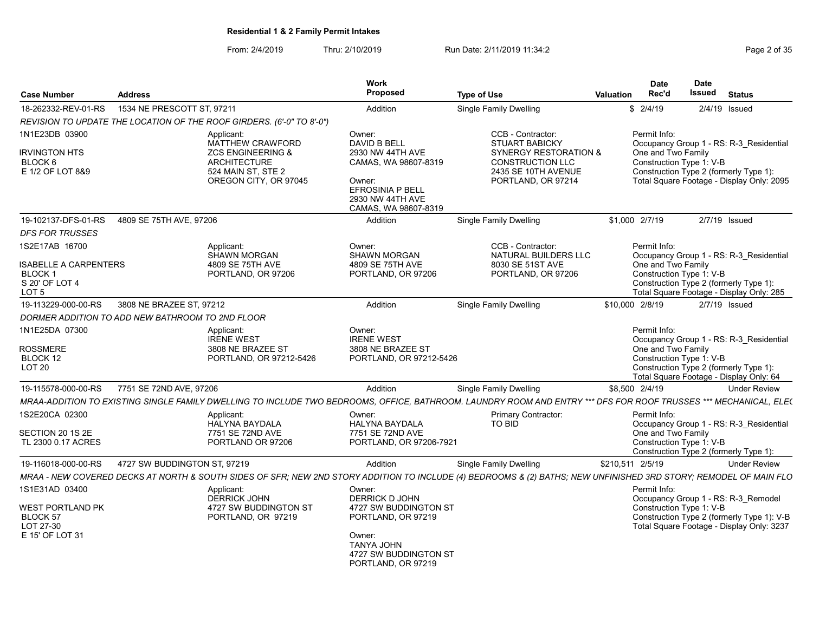From: 2/4/2019 Thru: 2/10/2019 Run Date: 2/11/2019 11:34:2<br>
Page 2 of 35

|                                                                                               |                              |                                                                                                                                             | Work<br>Proposed                                                                                                                                      |                                                                                                                                                                   |                  | <b>Date</b>                                                    | <b>Date</b><br>Issued |                                                                                                                                |
|-----------------------------------------------------------------------------------------------|------------------------------|---------------------------------------------------------------------------------------------------------------------------------------------|-------------------------------------------------------------------------------------------------------------------------------------------------------|-------------------------------------------------------------------------------------------------------------------------------------------------------------------|------------------|----------------------------------------------------------------|-----------------------|--------------------------------------------------------------------------------------------------------------------------------|
| <b>Case Number</b>                                                                            | <b>Address</b>               |                                                                                                                                             |                                                                                                                                                       | <b>Type of Use</b>                                                                                                                                                | <b>Valuation</b> | Rec'd                                                          |                       | <b>Status</b>                                                                                                                  |
| 18-262332-REV-01-RS                                                                           | 1534 NE PRESCOTT ST, 97211   |                                                                                                                                             | Addition                                                                                                                                              | Single Family Dwelling                                                                                                                                            |                  | \$2/4/19                                                       |                       | 2/4/19 Issued                                                                                                                  |
|                                                                                               |                              | REVISION TO UPDATE THE LOCATION OF THE ROOF GIRDERS. (6'-0" TO 8'-0")                                                                       |                                                                                                                                                       |                                                                                                                                                                   |                  |                                                                |                       |                                                                                                                                |
| 1N1E23DB 03900<br><b>IRVINGTON HTS</b><br>BLOCK <sub>6</sub><br>E 1/2 OF LOT 8&9              |                              | Applicant:<br><b>MATTHEW CRAWFORD</b><br><b>ZCS ENGINEERING &amp;</b><br><b>ARCHITECTURE</b><br>524 MAIN ST. STE 2<br>OREGON CITY, OR 97045 | Owner:<br>DAVID B BELL<br>2930 NW 44TH AVE<br>CAMAS, WA 98607-8319<br>Owner:<br>EFROSINIA P BELL<br>2930 NW 44TH AVE                                  | CCB - Contractor:<br><b>STUART BABICKY</b><br><b>SYNERGY RESTORATION &amp;</b><br><b>CONSTRUCTION LLC</b><br>2435 SE 10TH AVENUE<br>PORTLAND, OR 97214            |                  | Permit Info:<br>One and Two Family<br>Construction Type 1: V-B |                       | Occupancy Group 1 - RS: R-3 Residential<br>Construction Type 2 (formerly Type 1):<br>Total Square Footage - Display Only: 2095 |
|                                                                                               |                              |                                                                                                                                             | CAMAS, WA 98607-8319                                                                                                                                  |                                                                                                                                                                   |                  |                                                                |                       |                                                                                                                                |
| 19-102137-DFS-01-RS                                                                           | 4809 SE 75TH AVE, 97206      |                                                                                                                                             | Addition                                                                                                                                              | Single Family Dwelling                                                                                                                                            |                  | \$1,000 2/7/19                                                 |                       | $2/7/19$ Issued                                                                                                                |
| <b>DFS FOR TRUSSES</b>                                                                        |                              |                                                                                                                                             |                                                                                                                                                       |                                                                                                                                                                   |                  |                                                                |                       |                                                                                                                                |
| 1S2E17AB 16700<br>SABELLE A CARPENTERS<br><b>BLOCK1</b><br>S 20' OF LOT 4<br>LOT <sub>5</sub> |                              | Applicant:<br><b>SHAWN MORGAN</b><br>4809 SE 75TH AVE<br>PORTLAND, OR 97206                                                                 | Owner:<br><b>SHAWN MORGAN</b><br>4809 SE 75TH AVE<br>PORTLAND, OR 97206                                                                               | CCB - Contractor:<br>NATURAL BUILDERS LLC<br>8030 SE 51ST AVE<br>PORTLAND, OR 97206                                                                               |                  | Permit Info:<br>One and Two Family<br>Construction Type 1: V-B |                       | Occupancy Group 1 - RS: R-3 Residential<br>Construction Type 2 (formerly Type 1):<br>Total Square Footage - Display Only: 285  |
| 19-113229-000-00-RS                                                                           | 3808 NE BRAZEE ST, 97212     |                                                                                                                                             | Addition                                                                                                                                              | Single Family Dwelling                                                                                                                                            | \$10,000 2/8/19  |                                                                |                       | 2/7/19 Issued                                                                                                                  |
| DORMER ADDITION TO ADD NEW BATHROOM TO 2ND FLOOR                                              |                              |                                                                                                                                             |                                                                                                                                                       |                                                                                                                                                                   |                  |                                                                |                       |                                                                                                                                |
| 1N1E25DA 07300<br><b>ROSSMERE</b><br>BLOCK 12<br><b>LOT 20</b>                                |                              | Applicant:<br><b>IRENE WEST</b><br>3808 NE BRAZEE ST<br>PORTLAND, OR 97212-5426                                                             | Owner:<br><b>IRENE WEST</b><br>3808 NE BRAZEE ST<br>PORTLAND, OR 97212-5426                                                                           |                                                                                                                                                                   |                  | Permit Info:<br>One and Two Family<br>Construction Type 1: V-B |                       | Occupancy Group 1 - RS: R-3 Residential<br>Construction Type 2 (formerly Type 1):<br>Total Square Footage - Display Only: 64   |
| 19-115578-000-00-RS                                                                           | 7751 SE 72ND AVE, 97206      |                                                                                                                                             | Addition                                                                                                                                              | Single Family Dwelling                                                                                                                                            | \$8,500 2/4/19   |                                                                |                       | <b>Under Review</b>                                                                                                            |
|                                                                                               |                              |                                                                                                                                             |                                                                                                                                                       | MRAA-ADDITION TO EXISTING SINGLE FAMILY DWELLING TO INCLUDE TWO BEDROOMS. OFFICE. BATHROOM. LAUNDRY ROOM AND ENTRY *** DFS FOR ROOF TRUSSES *** MECHANICAL. ELE(  |                  |                                                                |                       |                                                                                                                                |
| 1S2E20CA 02300<br>SECTION 20 1S 2E<br>TL 2300 0.17 ACRES                                      |                              | Applicant:<br><b>HALYNA BAYDALA</b><br>7751 SE 72ND AVE<br>PORTLAND OR 97206                                                                | Owner:<br><b>HALYNA BAYDALA</b><br>7751 SE 72ND AVE<br>PORTLAND, OR 97206-7921                                                                        | <b>Primary Contractor:</b><br><b>TO BID</b>                                                                                                                       |                  | Permit Info:<br>One and Two Family<br>Construction Type 1: V-B |                       | Occupancy Group 1 - RS: R-3 Residential<br>Construction Type 2 (formerly Type 1):                                              |
| 19-116018-000-00-RS                                                                           | 4727 SW BUDDINGTON ST, 97219 |                                                                                                                                             | Addition                                                                                                                                              | <b>Single Family Dwelling</b>                                                                                                                                     | \$210,511 2/5/19 |                                                                |                       | <b>Under Review</b>                                                                                                            |
|                                                                                               |                              |                                                                                                                                             |                                                                                                                                                       | MRAA - NEW COVERED DECKS AT NORTH & SOUTH SIDES OF SFR; NEW 2ND STORY ADDITION TO INCLUDE (4) BEDROOMS & (2) BATHS; NEW UNFINISHED 3RD STORY; REMODEL OF MAIN FLO |                  |                                                                |                       |                                                                                                                                |
| 1S1E31AD 03400<br><b>WEST PORTLAND PK</b><br><b>BLOCK 57</b><br>LOT 27-30<br>E 15' OF LOT 31  |                              | Applicant:<br><b>DERRICK JOHN</b><br>4727 SW BUDDINGTON ST<br>PORTLAND, OR 97219                                                            | Owner:<br><b>DERRICK D JOHN</b><br>4727 SW BUDDINGTON ST<br>PORTLAND, OR 97219<br>Owner:<br>TANYA JOHN<br>4727 SW BUDDINGTON ST<br>PORTLAND, OR 97219 |                                                                                                                                                                   |                  | Permit Info:<br>Construction Type 1: V-B                       |                       | Occupancy Group 1 - RS: R-3 Remodel<br>Construction Type 2 (formerly Type 1): V-B<br>Total Square Footage - Display Only: 3237 |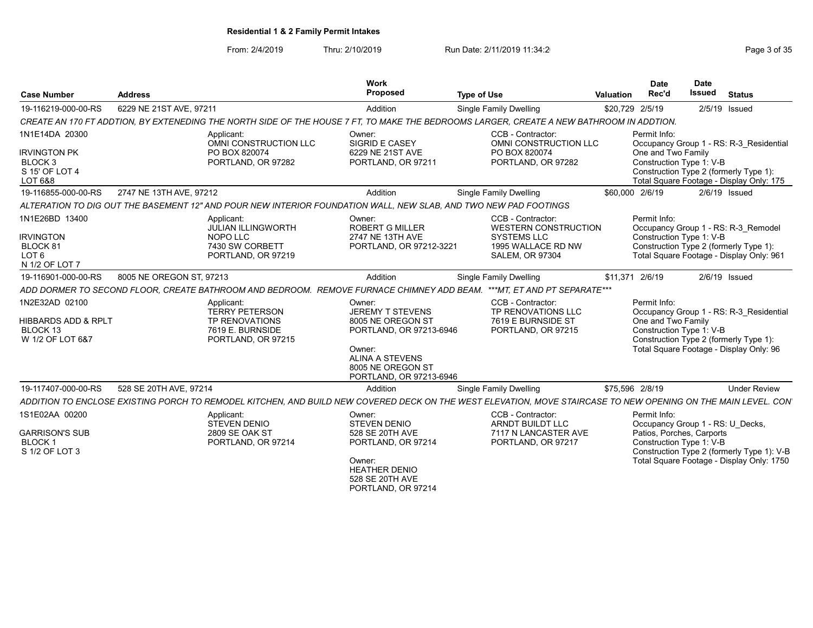From: 2/4/2019 Thru: 2/10/2019 Run Date: 2/11/2019 11:34:2<br>
Run Date: 2/11/2019 Page 3 of 35

| <b>Case Number</b>                                                                       | <b>Address</b>                                                                                                                                                 | Work<br>Proposed                                                                                                                                                      | <b>Type of Use</b>                                                                                                     | Valuation       | <b>Date</b><br>Rec'd               | <b>Date</b><br><b>Issued</b><br><b>Status</b>                                                                                                                                        |
|------------------------------------------------------------------------------------------|----------------------------------------------------------------------------------------------------------------------------------------------------------------|-----------------------------------------------------------------------------------------------------------------------------------------------------------------------|------------------------------------------------------------------------------------------------------------------------|-----------------|------------------------------------|--------------------------------------------------------------------------------------------------------------------------------------------------------------------------------------|
| 19-116219-000-00-RS                                                                      | 6229 NE 21ST AVE, 97211                                                                                                                                        | Addition                                                                                                                                                              | <b>Single Family Dwelling</b>                                                                                          | \$20,729 2/5/19 |                                    | 2/5/19 Issued                                                                                                                                                                        |
|                                                                                          | CREATE AN 170 FT ADDTION, BY EXTENEDING THE NORTH SIDE OF THE HOUSE 7 FT, TO MAKE THE BEDROOMS LARGER, CREATE A NEW BATHROOM IN ADDTION.                       |                                                                                                                                                                       |                                                                                                                        |                 |                                    |                                                                                                                                                                                      |
| 1N1E14DA 20300<br><b>IRVINGTON PK</b><br>BLOCK <sub>3</sub><br>S 15' OF LOT 4<br>LOT 6&8 | Applicant:<br>OMNI CONSTRUCTION LLC<br>PO BOX 820074<br>PORTLAND, OR 97282                                                                                     | Owner:<br><b>SIGRID E CASEY</b><br>6229 NE 21ST AVE<br>PORTLAND, OR 97211                                                                                             | CCB - Contractor:<br>OMNI CONSTRUCTION LLC<br>PO BOX 820074<br>PORTLAND, OR 97282                                      |                 | Permit Info:<br>One and Two Family | Occupancy Group 1 - RS: R-3 Residential<br>Construction Type 1: V-B<br>Construction Type 2 (formerly Type 1):<br>Total Square Footage - Display Only: 175                            |
| 19-116855-000-00-RS                                                                      | 2747 NE 13TH AVE, 97212                                                                                                                                        | Addition                                                                                                                                                              | <b>Single Family Dwelling</b>                                                                                          | \$60,000 2/6/19 |                                    | $2/6/19$ Issued                                                                                                                                                                      |
|                                                                                          | ALTERATION TO DIG OUT THE BASEMENT 12" AND POUR NEW INTERIOR FOUNDATION WALL. NEW SLAB. AND TWO NEW PAD FOOTINGS                                               |                                                                                                                                                                       |                                                                                                                        |                 |                                    |                                                                                                                                                                                      |
| 1N1E26BD 13400<br><b>IRVINGTON</b><br>BLOCK 81<br>LOT 6<br>N 1/2 OF LOT 7                | Applicant:<br><b>JULIAN ILLINGWORTH</b><br>NOPO LLC<br>7430 SW CORBETT<br>PORTLAND, OR 97219                                                                   | Owner:<br><b>ROBERT G MILLER</b><br>2747 NE 13TH AVE<br>PORTLAND, OR 97212-3221                                                                                       | CCB - Contractor:<br><b>WESTERN CONSTRUCTION</b><br><b>SYSTEMS LLC</b><br>1995 WALLACE RD NW<br><b>SALEM, OR 97304</b> |                 | Permit Info:                       | Occupancy Group 1 - RS: R-3 Remodel<br>Construction Type 1: V-B<br>Construction Type 2 (formerly Type 1):<br>Total Square Footage - Display Only: 961                                |
| 19-116901-000-00-RS                                                                      | 8005 NE OREGON ST. 97213                                                                                                                                       | Addition                                                                                                                                                              | Single Family Dwelling                                                                                                 | \$11,371 2/6/19 |                                    | $2/6/19$ Issued                                                                                                                                                                      |
|                                                                                          | ADD DORMER TO SECOND FLOOR, CREATE BATHROOM AND BEDROOM. REMOVE FURNACE CHIMNEY ADD BEAM.                                                                      |                                                                                                                                                                       | ***MT. ET AND PT SEPARATE***                                                                                           |                 |                                    |                                                                                                                                                                                      |
| 1N2E32AD 02100<br>HIBBARDS ADD & RPLT<br>BLOCK 13<br>W 1/2 OF LOT 6&7                    | Applicant:<br><b>TERRY PETERSON</b><br><b>TP RENOVATIONS</b><br>7619 E. BURNSIDE<br>PORTLAND, OR 97215                                                         | Owner:<br><b>JEREMY T STEVENS</b><br>8005 NE OREGON ST<br>PORTLAND, OR 97213-6946<br>Owner:<br><b>ALINA A STEVENS</b><br>8005 NE OREGON ST<br>PORTLAND, OR 97213-6946 | CCB - Contractor:<br>TP RENOVATIONS LLC<br>7619 E BURNSIDE ST<br>PORTLAND, OR 97215                                    |                 | Permit Info:<br>One and Two Family | Occupancy Group 1 - RS: R-3 Residential<br>Construction Type 1: V-B<br>Construction Type 2 (formerly Type 1):<br>Total Square Footage - Display Only: 96                             |
| 19-117407-000-00-RS                                                                      | 528 SE 20TH AVE, 97214                                                                                                                                         | Addition                                                                                                                                                              | Single Family Dwelling                                                                                                 | \$75,596 2/8/19 |                                    | <b>Under Review</b>                                                                                                                                                                  |
|                                                                                          | ADDITION TO ENCLOSE EXISTING PORCH TO REMODEL KITCHEN. AND BUILD NEW COVERED DECK ON THE WEST ELEVATION. MOVE STAIRCASE TO NEW OPENING ON THE MAIN LEVEL. CON' |                                                                                                                                                                       |                                                                                                                        |                 |                                    |                                                                                                                                                                                      |
| 1S1E02AA 00200<br><b>GARRISON'S SUB</b><br><b>BLOCK1</b><br>S 1/2 OF LOT 3               | Applicant:<br><b>STEVEN DENIO</b><br>2809 SE OAK ST<br>PORTLAND, OR 97214                                                                                      | Owner:<br><b>STEVEN DENIO</b><br>528 SE 20TH AVE<br>PORTLAND, OR 97214<br>Owner:<br><b>HEATHER DENIO</b><br>528 SE 20TH AVE<br>PORTLAND, OR 97214                     | CCB - Contractor:<br>ARNDT BUILDT LLC<br>7117 N LANCASTER AVE<br>PORTLAND, OR 97217                                    |                 | Permit Info:                       | Occupancy Group 1 - RS: U Decks,<br>Patios, Porches, Carports<br>Construction Type 1: V-B<br>Construction Type 2 (formerly Type 1): V-B<br>Total Square Footage - Display Only: 1750 |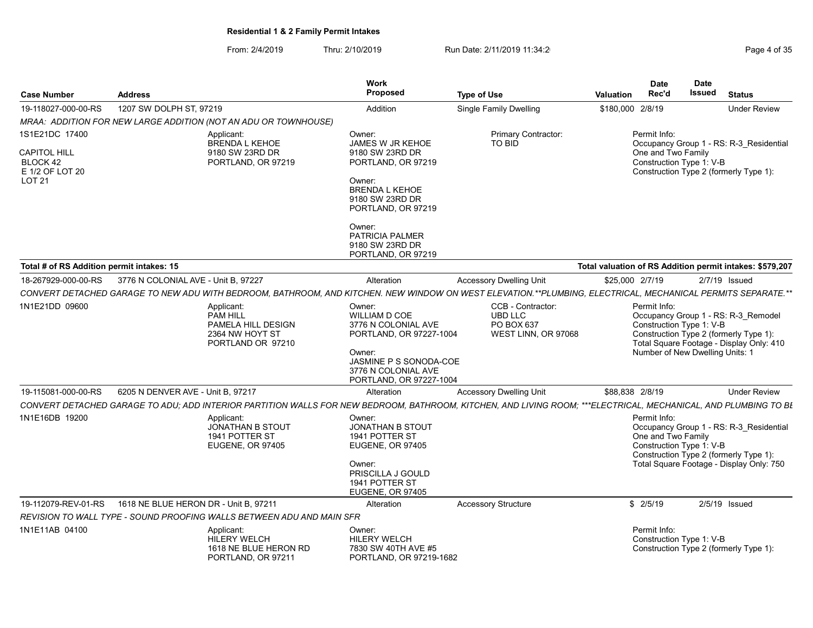From: 2/4/2019 Thru: 2/10/2019 Run Date: 2/11/2019 11:34:2<br>
Run Date: 2/11/2019 Page 4 of 35

| <b>Case Number</b>                                                             | <b>Address</b>                                                                                                                                                  | <b>Work</b><br>Proposed                                                                                                                                                | <b>Type of Use</b>                                                       | <b>Valuation</b> | <b>Date</b><br>Rec'd                                                        | <b>Date</b><br><b>Issued</b> | <b>Status</b>                                                                                                                 |
|--------------------------------------------------------------------------------|-----------------------------------------------------------------------------------------------------------------------------------------------------------------|------------------------------------------------------------------------------------------------------------------------------------------------------------------------|--------------------------------------------------------------------------|------------------|-----------------------------------------------------------------------------|------------------------------|-------------------------------------------------------------------------------------------------------------------------------|
| 19-118027-000-00-RS                                                            | 1207 SW DOLPH ST, 97219                                                                                                                                         | Addition                                                                                                                                                               | <b>Single Family Dwelling</b>                                            | \$180,000        | 2/8/19                                                                      |                              | <b>Under Review</b>                                                                                                           |
|                                                                                | MRAA: ADDITION FOR NEW LARGE ADDITION (NOT AN ADU OR TOWNHOUSE)                                                                                                 |                                                                                                                                                                        |                                                                          |                  |                                                                             |                              |                                                                                                                               |
| 1S1E21DC 17400<br><b>CAPITOL HILL</b><br>BLOCK 42<br>E 1/2 OF LOT 20<br>LOT 21 | Applicant:<br><b>BRENDA L KEHOE</b><br>9180 SW 23RD DR<br>PORTLAND, OR 97219                                                                                    | Owner:<br><b>JAMES W JR KEHOE</b><br>9180 SW 23RD DR<br>PORTLAND, OR 97219<br>Owner:<br><b>BRENDA L KEHOE</b>                                                          | Primary Contractor:<br>TO BID                                            |                  | Permit Info:<br>One and Two Family<br>Construction Type 1: V-B              |                              | Occupancy Group 1 - RS: R-3 Residential<br>Construction Type 2 (formerly Type 1):                                             |
|                                                                                |                                                                                                                                                                 | 9180 SW 23RD DR<br>PORTLAND, OR 97219<br>Owner:<br><b>PATRICIA PALMER</b><br>9180 SW 23RD DR<br>PORTLAND, OR 97219                                                     |                                                                          |                  |                                                                             |                              |                                                                                                                               |
| Total # of RS Addition permit intakes: 15                                      |                                                                                                                                                                 |                                                                                                                                                                        |                                                                          |                  |                                                                             |                              | Total valuation of RS Addition permit intakes: \$579,207                                                                      |
| 18-267929-000-00-RS                                                            | 3776 N COLONIAL AVE - Unit B, 97227                                                                                                                             | Alteration                                                                                                                                                             | <b>Accessory Dwelling Unit</b>                                           | \$25,000 2/7/19  |                                                                             |                              | $2/7/19$ Issued                                                                                                               |
|                                                                                | CONVERT DETACHED GARAGE TO NEW ADU WITH BEDROOM, BATHROOM, AND KITCHEN. NEW WINDOW ON WEST ELEVATION.**PLUMBING, ELECTRICAL, MECHANICAL PERMITS SEPARATE.**     |                                                                                                                                                                        |                                                                          |                  |                                                                             |                              |                                                                                                                               |
| 1N1E21DD 09600                                                                 | Applicant:<br><b>PAM HILL</b><br>PAMELA HILL DESIGN<br>2364 NW HOYT ST<br>PORTLAND OR 97210                                                                     | Owner:<br><b>WILLIAM D COE</b><br>3776 N COLONIAL AVE<br>PORTLAND, OR 97227-1004<br>Owner:<br>JASMINE P S SONODA-COE<br>3776 N COLONIAL AVE<br>PORTLAND, OR 97227-1004 | CCB - Contractor:<br><b>UBD LLC</b><br>PO BOX 637<br>WEST LINN, OR 97068 |                  | Permit Info:<br>Construction Type 1: V-B<br>Number of New Dwelling Units: 1 |                              | Occupancy Group 1 - RS: R-3_Remodel<br>Construction Type 2 (formerly Type 1):<br>Total Square Footage - Display Only: 410     |
| 19-115081-000-00-RS                                                            | 6205 N DENVER AVE - Unit B, 97217                                                                                                                               | Alteration                                                                                                                                                             | <b>Accessory Dwelling Unit</b>                                           | \$88,838 2/8/19  |                                                                             |                              | <b>Under Review</b>                                                                                                           |
|                                                                                | CONVERT DETACHED GARAGE TO ADU; ADD INTERIOR PARTITION WALLS FOR NEW BEDROOM, BATHROOM, KITCHEN, AND LIVING ROOM; ***ELECTRICAL, MECHANICAL, AND PLUMBING TO BL |                                                                                                                                                                        |                                                                          |                  |                                                                             |                              |                                                                                                                               |
| 1N1E16DB 19200                                                                 | Applicant:<br><b>JONATHAN B STOUT</b><br>1941 POTTER ST<br><b>EUGENE, OR 97405</b>                                                                              | Owner:<br><b>JONATHAN B STOUT</b><br>1941 POTTER ST<br><b>EUGENE, OR 97405</b><br>Owner:<br>PRISCILLA J GOULD<br>1941 POTTER ST<br><b>EUGENE, OR 97405</b>             |                                                                          |                  | Permit Info:<br>One and Two Family<br>Construction Type 1: V-B              |                              | Occupancy Group 1 - RS: R-3_Residential<br>Construction Type 2 (formerly Type 1):<br>Total Square Footage - Display Only: 750 |
| 19-112079-REV-01-RS                                                            | 1618 NE BLUE HERON DR - Unit B, 97211                                                                                                                           | Alteration                                                                                                                                                             | <b>Accessory Structure</b>                                               |                  | \$2/5/19                                                                    |                              | $2/5/19$ Issued                                                                                                               |
|                                                                                | REVISION TO WALL TYPE - SOUND PROOFING WALLS BETWEEN ADU AND MAIN SFR                                                                                           |                                                                                                                                                                        |                                                                          |                  |                                                                             |                              |                                                                                                                               |
| 1N1E11AB 04100                                                                 | Applicant:<br><b>HILERY WELCH</b><br>1618 NE BLUE HERON RD<br>PORTLAND, OR 97211                                                                                | Owner:<br><b>HILERY WELCH</b><br>7830 SW 40TH AVE #5<br>PORTLAND, OR 97219-1682                                                                                        |                                                                          |                  | Permit Info:<br>Construction Type 1: V-B                                    |                              | Construction Type 2 (formerly Type 1):                                                                                        |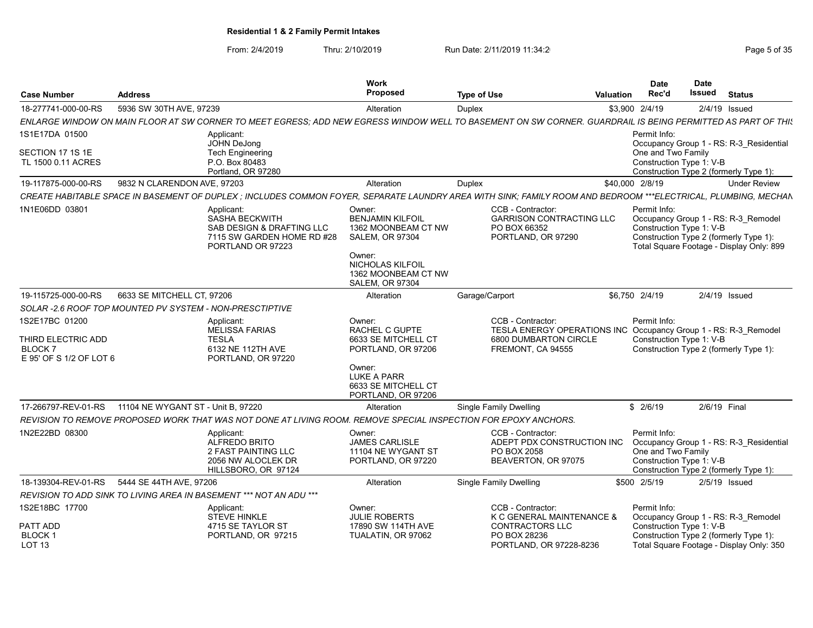# From: 2/4/2019 Thru: 2/10/2019 Run Date: 2/11/2019 11:34:2<br>
Run Date: 2/11/2019 Page 5 of 35

| <b>Case Number</b>                                                               | <b>Address</b>                                                     |                                                                                                                                                                | Work<br><b>Proposed</b>                                                                                                                                           | <b>Type of Use</b> |                                                                                                                                    | <b>Valuation</b> | <b>Date</b><br>Rec'd                           | <b>Date</b><br><b>Issued</b> | <b>Status</b>                                                                                                             |
|----------------------------------------------------------------------------------|--------------------------------------------------------------------|----------------------------------------------------------------------------------------------------------------------------------------------------------------|-------------------------------------------------------------------------------------------------------------------------------------------------------------------|--------------------|------------------------------------------------------------------------------------------------------------------------------------|------------------|------------------------------------------------|------------------------------|---------------------------------------------------------------------------------------------------------------------------|
| 18-277741-000-00-RS                                                              | 5936 SW 30TH AVE, 97239                                            |                                                                                                                                                                | Alteration                                                                                                                                                        | Duplex             |                                                                                                                                    |                  | \$3,900 2/4/19                                 | $2/4/19$ Issued              |                                                                                                                           |
|                                                                                  |                                                                    | ENLARGE WINDOW ON MAIN FLOOR AT SW CORNER TO MEET EGRESS: ADD NEW EGRESS WINDOW WELL TO BASEMENT ON SW CORNER. GUARDRAIL IS BEING PERMITTED AS PART OF THI:    |                                                                                                                                                                   |                    |                                                                                                                                    |                  |                                                |                              |                                                                                                                           |
| 1S1E17DA 01500                                                                   |                                                                    | Applicant:<br><b>JOHN DeJong</b>                                                                                                                               |                                                                                                                                                                   |                    |                                                                                                                                    |                  | Permit Info:                                   |                              | Occupancy Group 1 - RS: R-3_Residential                                                                                   |
| SECTION 17 1S 1E<br>TL 1500 0.11 ACRES                                           |                                                                    | <b>Tech Engineering</b><br>P.O. Box 80483<br>Portland, OR 97280                                                                                                |                                                                                                                                                                   |                    |                                                                                                                                    |                  | One and Two Family<br>Construction Type 1: V-B |                              | Construction Type 2 (formerly Type 1):                                                                                    |
| 19-117875-000-00-RS                                                              | 9832 N CLARENDON AVE, 97203                                        |                                                                                                                                                                | Alteration                                                                                                                                                        | Duplex             |                                                                                                                                    | \$40,000 2/8/19  |                                                |                              | <b>Under Review</b>                                                                                                       |
|                                                                                  |                                                                    | CREATE HABITABLE SPACE IN BASEMENT OF DUPLEX : INCLUDES COMMON FOYER, SEPARATE LAUNDRY AREA WITH SINK; FAMILY ROOM AND BEDROOM ***ELECTRICAL, PLUMBING, MECHAN |                                                                                                                                                                   |                    |                                                                                                                                    |                  |                                                |                              |                                                                                                                           |
| 1N1E06DD 03801                                                                   |                                                                    | Applicant:<br><b>SASHA BECKWITH</b><br>SAB DESIGN & DRAFTING LLC<br>7115 SW GARDEN HOME RD #28<br>PORTLAND OR 97223                                            | Owner:<br><b>BENJAMIN KILFOIL</b><br>1362 MOONBEAM CT NW<br><b>SALEM, OR 97304</b><br>Owner:<br>NICHOLAS KILFOIL<br>1362 MOONBEAM CT NW<br><b>SALEM, OR 97304</b> |                    | CCB - Contractor:<br><b>GARRISON CONTRACTING LLC</b><br>PO BOX 66352<br>PORTLAND, OR 97290                                         |                  | Permit Info:<br>Construction Type 1: V-B       |                              | Occupancy Group 1 - RS: R-3 Remodel<br>Construction Type 2 (formerly Type 1):<br>Total Square Footage - Display Only: 899 |
| 19-115725-000-00-RS                                                              | 6633 SE MITCHELL CT, 97206                                         |                                                                                                                                                                | Alteration                                                                                                                                                        | Garage/Carport     |                                                                                                                                    |                  | \$6,750 2/4/19                                 |                              | $2/4/19$ Issued                                                                                                           |
|                                                                                  | SOLAR -2.6 ROOF TOP MOUNTED PV SYSTEM - NON-PRESCTIPTIVE           |                                                                                                                                                                |                                                                                                                                                                   |                    |                                                                                                                                    |                  |                                                |                              |                                                                                                                           |
| 1S2E17BC 01200<br>THIRD ELECTRIC ADD<br><b>BLOCK7</b><br>E 95' OF S 1/2 OF LOT 6 |                                                                    | Applicant:<br><b>MELISSA FARIAS</b><br><b>TESLA</b><br>6132 NE 112TH AVE<br>PORTLAND, OR 97220                                                                 | Owner:<br><b>RACHEL C GUPTE</b><br>6633 SE MITCHELL CT<br>PORTLAND, OR 97206<br>Owner:<br>LUKE A PARR<br>6633 SE MITCHELL CT                                      |                    | CCB - Contractor:<br>TESLA ENERGY OPERATIONS INC Occupancy Group 1 - RS: R-3 Remodel<br>6800 DUMBARTON CIRCLE<br>FREMONT, CA 94555 |                  | Permit Info:<br>Construction Type 1: V-B       |                              | Construction Type 2 (formerly Type 1):                                                                                    |
| 17-266797-REV-01-RS                                                              | 11104 NE WYGANT ST - Unit B, 97220                                 |                                                                                                                                                                | PORTLAND, OR 97206<br>Alteration                                                                                                                                  |                    | <b>Single Family Dwelling</b>                                                                                                      |                  | \$2/6/19                                       | 2/6/19 Final                 |                                                                                                                           |
|                                                                                  |                                                                    |                                                                                                                                                                |                                                                                                                                                                   |                    |                                                                                                                                    |                  |                                                |                              |                                                                                                                           |
| 1N2E22BD 08300                                                                   |                                                                    | REVISION TO REMOVE PROPOSED WORK THAT WAS NOT DONE AT LIVING ROOM. REMOVE SPECIAL INSPECTION FOR EPOXY ANCHORS.<br>Applicant:                                  | Owner:                                                                                                                                                            |                    | CCB - Contractor:                                                                                                                  |                  | Permit Info:                                   |                              |                                                                                                                           |
|                                                                                  |                                                                    | ALFREDO BRITO<br>2 FAST PAINTING LLC<br>2056 NW ALOCLEK DR<br>HILLSBORO, OR 97124                                                                              | <b>JAMES CARLISLE</b><br>11104 NE WYGANT ST<br>PORTLAND, OR 97220                                                                                                 |                    | ADEPT PDX CONSTRUCTION INC<br>PO BOX 2058<br>BEAVERTON, OR 97075                                                                   |                  | One and Two Family<br>Construction Type 1: V-B |                              | Occupancy Group 1 - RS: R-3 Residential<br>Construction Type 2 (formerly Type 1):                                         |
| 18-139304-REV-01-RS                                                              | 5444 SE 44TH AVE, 97206                                            |                                                                                                                                                                | Alteration                                                                                                                                                        |                    | <b>Single Family Dwelling</b>                                                                                                      |                  | \$500 2/5/19                                   |                              | $2/5/19$ Issued                                                                                                           |
|                                                                                  | REVISION TO ADD SINK TO LIVING AREA IN BASEMENT *** NOT AN ADU *** |                                                                                                                                                                |                                                                                                                                                                   |                    |                                                                                                                                    |                  |                                                |                              |                                                                                                                           |
| 1S2E18BC 17700                                                                   |                                                                    | Applicant:<br><b>STEVE HINKLE</b>                                                                                                                              | Owner:<br><b>JULIE ROBERTS</b>                                                                                                                                    |                    | CCB - Contractor:<br>K C GENERAL MAINTENANCE &                                                                                     |                  | Permit Info:                                   |                              | Occupancy Group 1 - RS: R-3_Remodel                                                                                       |
| PATT ADD<br><b>BLOCK1</b><br>LOT <sub>13</sub>                                   |                                                                    | 4715 SE TAYLOR ST<br>PORTLAND, OR 97215                                                                                                                        | 17890 SW 114TH AVE<br>TUALATIN, OR 97062                                                                                                                          |                    | <b>CONTRACTORS LLC</b><br>PO BOX 28236<br>PORTLAND, OR 97228-8236                                                                  |                  | Construction Type 1: V-B                       |                              | Construction Type 2 (formerly Type 1):<br>Total Square Footage - Display Only: 350                                        |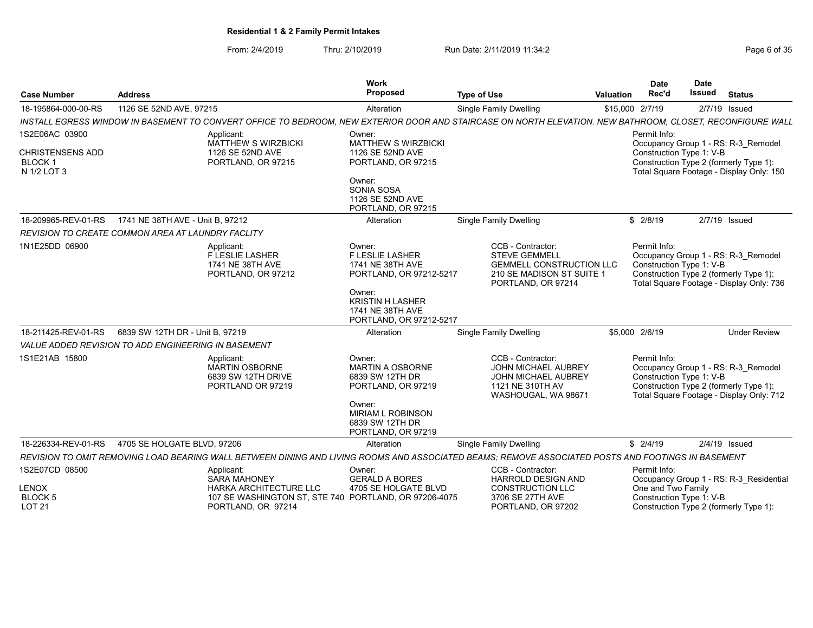| <b>Case Number</b>                                                        | <b>Address</b>                                                                                                                                             | Work<br>Proposed                                                                                                                                                    | <b>Type of Use</b> |                                                                                                                                 | <b>Valuation</b> | <b>Date</b><br>Rec'd                           | <b>Date</b><br>Issued | <b>Status</b>                                                                                                             |
|---------------------------------------------------------------------------|------------------------------------------------------------------------------------------------------------------------------------------------------------|---------------------------------------------------------------------------------------------------------------------------------------------------------------------|--------------------|---------------------------------------------------------------------------------------------------------------------------------|------------------|------------------------------------------------|-----------------------|---------------------------------------------------------------------------------------------------------------------------|
| 18-195864-000-00-RS                                                       | 1126 SE 52ND AVE, 97215                                                                                                                                    | Alteration                                                                                                                                                          |                    | <b>Single Family Dwelling</b>                                                                                                   |                  | \$15,000 2/7/19                                |                       | 2/7/19 Issued                                                                                                             |
|                                                                           | INSTALL EGRESS WINDOW IN BASEMENT TO CONVERT OFFICE TO BEDROOM. NEW EXTERIOR DOOR AND STAIRCASE ON NORTH ELEVATION. NEW BATHROOM, CLOSET, RECONFIGURE WALL |                                                                                                                                                                     |                    |                                                                                                                                 |                  |                                                |                       |                                                                                                                           |
| 1S2E06AC 03900<br><b>CHRISTENSENS ADD</b><br><b>BLOCK1</b><br>N 1/2 LOT 3 | Applicant:<br><b>MATTHEW S WIRZBICKI</b><br>1126 SE 52ND AVE<br>PORTLAND, OR 97215                                                                         | Owner:<br><b>MATTHEW S WIRZBICKI</b><br>1126 SE 52ND AVE<br>PORTLAND, OR 97215<br>Owner:<br>SONIA SOSA<br>1126 SE 52ND AVE                                          |                    |                                                                                                                                 |                  | Permit Info:<br>Construction Type 1: V-B       |                       | Occupancy Group 1 - RS: R-3 Remodel<br>Construction Type 2 (formerly Type 1):<br>Total Square Footage - Display Only: 150 |
|                                                                           |                                                                                                                                                            | PORTLAND, OR 97215                                                                                                                                                  |                    |                                                                                                                                 |                  |                                                |                       |                                                                                                                           |
| 18-209965-REV-01-RS                                                       | 1741 NE 38TH AVE - Unit B, 97212                                                                                                                           | Alteration                                                                                                                                                          |                    | Single Family Dwelling                                                                                                          |                  | \$2/8/19                                       |                       | 2/7/19 Issued                                                                                                             |
|                                                                           | <b>REVISION TO CREATE COMMON AREA AT LAUNDRY FACLITY</b>                                                                                                   |                                                                                                                                                                     |                    |                                                                                                                                 |                  |                                                |                       |                                                                                                                           |
| 1N1E25DD 06900                                                            | Applicant:<br>F LESLIE LASHER<br>1741 NE 38TH AVE<br>PORTLAND, OR 97212                                                                                    | Owner:<br><b>F LESLIE LASHER</b><br>1741 NE 38TH AVE<br>PORTLAND, OR 97212-5217<br>Owner:<br><b>KRISTIN H LASHER</b><br>1741 NE 38TH AVE<br>PORTLAND, OR 97212-5217 |                    | CCB - Contractor:<br><b>STEVE GEMMELL</b><br><b>GEMMELL CONSTRUCTION LLC</b><br>210 SE MADISON ST SUITE 1<br>PORTLAND, OR 97214 |                  | Permit Info:<br>Construction Type 1: V-B       |                       | Occupancy Group 1 - RS: R-3 Remodel<br>Construction Type 2 (formerly Type 1):<br>Total Square Footage - Display Only: 736 |
| 18-211425-REV-01-RS                                                       | 6839 SW 12TH DR - Unit B, 97219                                                                                                                            | Alteration                                                                                                                                                          |                    | <b>Single Family Dwelling</b>                                                                                                   |                  | \$5,000 2/6/19                                 |                       | <b>Under Review</b>                                                                                                       |
|                                                                           | VALUE ADDED REVISION TO ADD ENGINEERING IN BASEMENT                                                                                                        |                                                                                                                                                                     |                    |                                                                                                                                 |                  |                                                |                       |                                                                                                                           |
| 1S1E21AB 15800                                                            | Applicant:<br><b>MARTIN OSBORNE</b><br>6839 SW 12TH DRIVE<br>PORTLAND OR 97219                                                                             | Owner:<br><b>MARTIN A OSBORNE</b><br>6839 SW 12TH DR<br>PORTLAND, OR 97219<br>Owner:<br><b>MIRIAM L ROBINSON</b><br>6839 SW 12TH DR<br>PORTLAND, OR 97219           |                    | CCB - Contractor:<br>JOHN MICHAEL AUBREY<br>JOHN MICHAEL AUBREY<br>1121 NE 310TH AV<br>WASHOUGAL, WA 98671                      |                  | Permit Info:<br>Construction Type 1: V-B       |                       | Occupancy Group 1 - RS: R-3 Remodel<br>Construction Type 2 (formerly Type 1):<br>Total Square Footage - Display Only: 712 |
| 18-226334-REV-01-RS                                                       | 4705 SE HOLGATE BLVD, 97206                                                                                                                                | Alteration                                                                                                                                                          |                    | Single Family Dwelling                                                                                                          |                  | \$2/4/19                                       |                       | $2/4/19$ Issued                                                                                                           |
|                                                                           | REVISION TO OMIT REMOVING LOAD BEARING WALL BETWEEN DINING AND LIVING ROOMS AND ASSOCIATED BEAMS: REMOVE ASSOCIATED POSTS AND FOOTINGS IN BASEMENT         |                                                                                                                                                                     |                    |                                                                                                                                 |                  |                                                |                       |                                                                                                                           |
| 1S2E07CD 08500                                                            | Applicant:<br><b>SARA MAHONEY</b>                                                                                                                          | Owner:<br><b>GERALD A BORES</b>                                                                                                                                     |                    | CCB - Contractor:<br>HARROLD DESIGN AND                                                                                         |                  | Permit Info:                                   |                       | Occupancy Group 1 - RS: R-3 Residential                                                                                   |
| <b>LENOX</b><br>BLOCK 5<br><b>LOT 21</b>                                  | HARKA ARCHITECTURE LLC<br>107 SE WASHINGTON ST, STE 740 PORTLAND, OR 97206-4075<br>PORTLAND, OR 97214                                                      | 4705 SE HOLGATE BLVD                                                                                                                                                |                    | <b>CONSTRUCTION LLC</b><br>3706 SE 27TH AVE<br>PORTLAND, OR 97202                                                               |                  | One and Two Family<br>Construction Type 1: V-B |                       | Construction Type 2 (formerly Type 1):                                                                                    |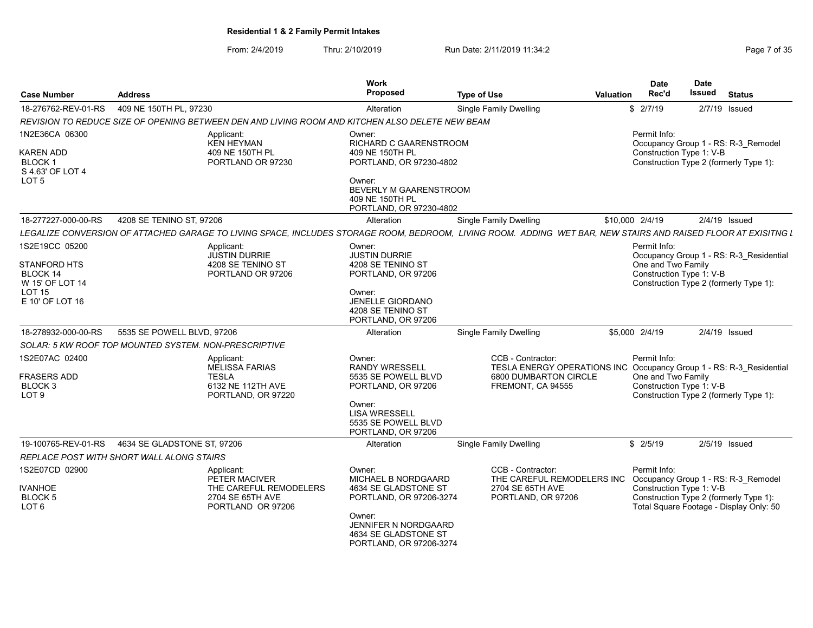# From: 2/4/2019 Thru: 2/10/2019 Run Date: 2/11/2019 11:34:2<br>
Run Date: 2/11/2019 Page 7 of 35

| Case Number                                 | <b>Address</b>                                                                                                                                                 | Work<br><b>Proposed</b>                                                                  | <b>Type of Use</b>                                                                       | <b>Date</b><br>Rec'd<br><b>Valuation</b> | Date<br>Issued                                                                           | <b>Status</b>   |  |
|---------------------------------------------|----------------------------------------------------------------------------------------------------------------------------------------------------------------|------------------------------------------------------------------------------------------|------------------------------------------------------------------------------------------|------------------------------------------|------------------------------------------------------------------------------------------|-----------------|--|
| 18-276762-REV-01-RS                         | 409 NE 150TH PL. 97230                                                                                                                                         | Alteration                                                                               | <b>Single Family Dwelling</b>                                                            | \$2/7/19                                 |                                                                                          | 2/7/19 Issued   |  |
|                                             | REVISION TO REDUCE SIZE OF OPENING BETWEEN DEN AND LIVING ROOM AND KITCHEN ALSO DELETE NEW BEAM                                                                |                                                                                          |                                                                                          |                                          |                                                                                          |                 |  |
| 1N2E36CA 06300<br><b>KAREN ADD</b>          | Applicant:<br>KEN HEYMAN<br>409 NE 150TH PL                                                                                                                    | Owner:<br>RICHARD C GAARENSTROOM<br>409 NE 150TH PL                                      |                                                                                          | Permit Info:                             | Occupancy Group 1 - RS: R-3 Remodel<br>Construction Type 1: V-B                          |                 |  |
| <b>BLOCK1</b><br>S 4.63' OF LOT 4           | PORTLAND OR 97230                                                                                                                                              | PORTLAND, OR 97230-4802                                                                  |                                                                                          |                                          | Construction Type 2 (formerly Type 1):                                                   |                 |  |
| LOT <sub>5</sub>                            |                                                                                                                                                                | Owner:<br>BEVERLY M GAARENSTROOM<br>409 NE 150TH PL<br>PORTLAND, OR 97230-4802           |                                                                                          |                                          |                                                                                          |                 |  |
| 18-277227-000-00-RS                         | 4208 SE TENINO ST, 97206                                                                                                                                       | Alteration                                                                               | Single Family Dwelling                                                                   | \$10,000 2/4/19                          |                                                                                          | $2/4/19$ Issued |  |
|                                             | LEGALIZE CONVERSION OF ATTACHED GARAGE TO LIVING SPACE, INCLUDES STORAGE ROOM, BEDROOM, LIVING ROOM. ADDING WET BAR, NEW STAIRS AND RAISED FLOOR AT EXISITNG L |                                                                                          |                                                                                          |                                          |                                                                                          |                 |  |
| 1S2E19CC 05200                              | Applicant:<br><b>JUSTIN DURRIE</b>                                                                                                                             | Owner:<br><b>JUSTIN DURRIE</b>                                                           |                                                                                          | Permit Info:                             | Occupancy Group 1 - RS: R-3_Residential                                                  |                 |  |
| STANFORD HTS<br>BLOCK 14<br>W 15' OF LOT 14 | 4208 SE TENINO ST<br>PORTLAND OR 97206                                                                                                                         | 4208 SE TENINO ST<br>PORTLAND, OR 97206                                                  |                                                                                          |                                          | One and Two Family<br>Construction Type 1: V-B<br>Construction Type 2 (formerly Type 1): |                 |  |
| <b>LOT 15</b><br>E 10' OF LOT 16            |                                                                                                                                                                | Owner:<br>JENELLE GIORDANO<br>4208 SE TENINO ST<br>PORTLAND, OR 97206                    |                                                                                          |                                          |                                                                                          |                 |  |
| 18-278932-000-00-RS                         | 5535 SE POWELL BLVD, 97206                                                                                                                                     | Alteration                                                                               | <b>Single Family Dwelling</b>                                                            | \$5,000 2/4/19                           |                                                                                          | 2/4/19 Issued   |  |
|                                             | SOLAR: 5 KW ROOF TOP MOUNTED SYSTEM. NON-PRESCRIPTIVE                                                                                                          |                                                                                          |                                                                                          |                                          |                                                                                          |                 |  |
| 1S2E07AC 02400                              | Applicant:<br>MELISSA FARIAS                                                                                                                                   | Owner:<br><b>RANDY WRESSELL</b>                                                          | CCB - Contractor:<br>TESLA ENERGY OPERATIONS INC Occupancy Group 1 - RS: R-3_Residential | Permit Info:                             |                                                                                          |                 |  |
| <b>FRASERS ADD</b>                          | <b>TESLA</b>                                                                                                                                                   | 5535 SE POWELL BLVD                                                                      | 6800 DUMBARTON CIRCLE                                                                    |                                          | One and Two Family                                                                       |                 |  |
| BLOCK <sub>3</sub><br>LOT <sub>9</sub>      | 6132 NE 112TH AVE<br>PORTLAND, OR 97220                                                                                                                        | PORTLAND, OR 97206                                                                       | FREMONT, CA 94555                                                                        |                                          | Construction Type 1: V-B<br>Construction Type 2 (formerly Type 1):                       |                 |  |
|                                             |                                                                                                                                                                | Owner:<br><b>LISA WRESSELL</b><br>5535 SE POWELL BLVD<br>PORTLAND, OR 97206              |                                                                                          |                                          |                                                                                          |                 |  |
| 19-100765-REV-01-RS                         | 4634 SE GLADSTONE ST, 97206                                                                                                                                    | Alteration                                                                               | <b>Single Family Dwelling</b>                                                            | \$2/5/19                                 |                                                                                          | 2/5/19 Issued   |  |
|                                             | REPLACE POST WITH SHORT WALL ALONG STAIRS                                                                                                                      |                                                                                          |                                                                                          |                                          |                                                                                          |                 |  |
| 1S2E07CD 02900                              | Applicant:<br>PETER MACIVER                                                                                                                                    | Owner:<br>MICHAEL B NORDGAARD                                                            | CCB - Contractor:<br>THE CAREFUL REMODELERS INC                                          | Permit Info:                             | Occupancy Group 1 - RS: R-3_Remodel                                                      |                 |  |
| <b>IVANHOE</b>                              | THE CAREFUL REMODELERS                                                                                                                                         | 4634 SE GLADSTONE ST                                                                     | 2704 SE 65TH AVE                                                                         |                                          | Construction Type 1: V-B                                                                 |                 |  |
| BLOCK 5<br>LOT <sub>6</sub>                 | 2704 SE 65TH AVE<br>PORTLAND OR 97206                                                                                                                          | PORTLAND, OR 97206-3274                                                                  | PORTLAND, OR 97206                                                                       |                                          | Construction Type 2 (formerly Type 1):<br>Total Square Footage - Display Only: 50        |                 |  |
|                                             |                                                                                                                                                                | Owner:<br><b>JENNIFER N NORDGAARD</b><br>4634 SE GLADSTONE ST<br>PORTLAND, OR 97206-3274 |                                                                                          |                                          |                                                                                          |                 |  |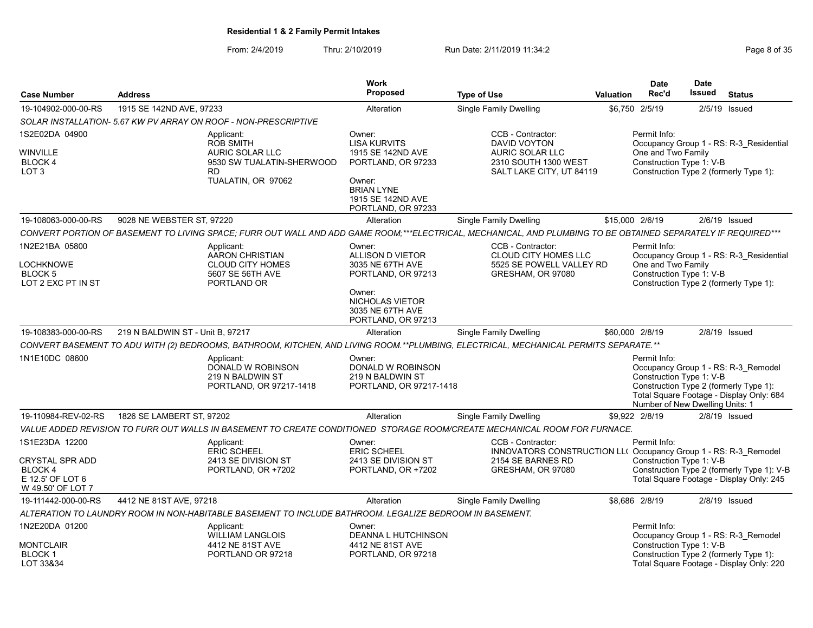From: 2/4/2019 Thru: 2/10/2019 Run Date: 2/11/2019 11:34:2<br>
Run Date: 2/11/2019 Page 8 of 35

|                                                                     |                                  |                                                                                                                          | <b>Work</b>                                                                                                                                        |                                                                                                                                                               |                  | <b>Date</b>                                                                 | <b>Date</b> |                                                                                                                           |
|---------------------------------------------------------------------|----------------------------------|--------------------------------------------------------------------------------------------------------------------------|----------------------------------------------------------------------------------------------------------------------------------------------------|---------------------------------------------------------------------------------------------------------------------------------------------------------------|------------------|-----------------------------------------------------------------------------|-------------|---------------------------------------------------------------------------------------------------------------------------|
| <b>Case Number</b>                                                  | <b>Address</b>                   |                                                                                                                          | <b>Proposed</b>                                                                                                                                    | <b>Type of Use</b>                                                                                                                                            | <b>Valuation</b> | Rec'd                                                                       | Issued      | <b>Status</b>                                                                                                             |
| 19-104902-000-00-RS                                                 | 1915 SE 142ND AVE, 97233         |                                                                                                                          | Alteration                                                                                                                                         | Single Family Dwelling                                                                                                                                        |                  | \$6,750 2/5/19                                                              | 2/5/19      | Issued                                                                                                                    |
|                                                                     |                                  | SOLAR INSTALLATION- 5.67 KW PV ARRAY ON ROOF - NON-PRESCRIPTIVE                                                          |                                                                                                                                                    |                                                                                                                                                               |                  |                                                                             |             |                                                                                                                           |
| 1S2E02DA 04900<br>WINVILLE<br>BLOCK 4<br>LOT <sub>3</sub>           |                                  | Applicant:<br><b>ROB SMITH</b><br><b>AURIC SOLAR LLC</b><br>9530 SW TUALATIN-SHERWOOD<br><b>RD</b><br>TUALATIN, OR 97062 | Owner:<br><b>LISA KURVITS</b><br>1915 SE 142ND AVE<br>PORTLAND, OR 97233<br>Owner:<br><b>BRIAN LYNE</b><br>1915 SE 142ND AVE<br>PORTLAND, OR 97233 | CCB - Contractor:<br><b>DAVID VOYTON</b><br>AURIC SOLAR LLC<br>2310 SOUTH 1300 WEST<br>SALT LAKE CITY, UT 84119                                               |                  | Permit Info:<br>One and Two Family<br>Construction Type 1: V-B              |             | Occupancy Group 1 - RS: R-3 Residential<br>Construction Type 2 (formerly Type 1):                                         |
| 19-108063-000-00-RS                                                 | 9028 NE WEBSTER ST, 97220        |                                                                                                                          | Alteration                                                                                                                                         | <b>Single Family Dwelling</b>                                                                                                                                 |                  | \$15,000 2/6/19                                                             |             | $2/6/19$ Issued                                                                                                           |
|                                                                     |                                  |                                                                                                                          |                                                                                                                                                    | CONVERT PORTION OF BASEMENT TO LIVING SPACE; FURR OUT WALL AND ADD GAME ROOM;***ELECTRICAL, MECHANICAL, AND PLUMBING TO BE OBTAINED SEPARATELY IF REQUIRED*** |                  |                                                                             |             |                                                                                                                           |
| 1N2E21BA 05800<br><b>LOCHKNOWE</b><br>BLOCK 5<br>LOT 2 EXC PT IN ST |                                  | Applicant:<br>AARON CHRISTIAN<br><b>CLOUD CITY HOMES</b><br>5607 SE 56TH AVE<br>PORTLAND OR                              | Owner:<br>ALLISON D VIETOR<br>3035 NE 67TH AVE<br>PORTLAND, OR 97213                                                                               | CCB - Contractor:<br>CLOUD CITY HOMES LLC<br>5525 SE POWELL VALLEY RD<br>GRESHAM, OR 97080                                                                    |                  | Permit Info:<br>One and Two Family<br>Construction Type 1: V-B              |             | Occupancy Group 1 - RS: R-3_Residential<br>Construction Type 2 (formerly Type 1):                                         |
|                                                                     |                                  |                                                                                                                          | Owner:<br>NICHOLAS VIETOR<br>3035 NE 67TH AVE<br>PORTLAND, OR 97213                                                                                |                                                                                                                                                               |                  |                                                                             |             |                                                                                                                           |
| 19-108383-000-00-RS                                                 | 219 N BALDWIN ST - Unit B, 97217 |                                                                                                                          | Alteration                                                                                                                                         | Single Family Dwelling                                                                                                                                        |                  | \$60,000 2/8/19                                                             |             | 2/8/19 Issued                                                                                                             |
|                                                                     |                                  |                                                                                                                          |                                                                                                                                                    | CONVERT BASEMENT TO ADU WITH (2) BEDROOMS, BATHROOM, KITCHEN, AND LIVING ROOM.**PLUMBING, ELECTRICAL, MECHANICAL PERMITS SEPARATE.**                          |                  |                                                                             |             |                                                                                                                           |
| 1N1E10DC 08600                                                      |                                  | Applicant:<br>DONALD W ROBINSON<br>219 N BALDWIN ST<br>PORTLAND, OR 97217-1418                                           | Owner:<br>DONALD W ROBINSON<br>219 N BALDWIN ST<br>PORTLAND, OR 97217-1418                                                                         |                                                                                                                                                               |                  | Permit Info:<br>Construction Type 1: V-B<br>Number of New Dwelling Units: 1 |             | Occupancy Group 1 - RS: R-3 Remodel<br>Construction Type 2 (formerly Type 1):<br>Total Square Footage - Display Only: 684 |
| 19-110984-REV-02-RS                                                 | 1826 SE LAMBERT ST, 97202        |                                                                                                                          | Alteration                                                                                                                                         | <b>Single Family Dwelling</b>                                                                                                                                 |                  | \$9,922 2/8/19                                                              |             | $2/8/19$ Issued                                                                                                           |
|                                                                     |                                  |                                                                                                                          |                                                                                                                                                    | VALUE ADDED REVISION TO FURR OUT WALLS IN BASEMENT TO CREATE CONDITIONED  STORAGE ROOM/CREATE MECHANICAL ROOM FOR FURNACE.                                    |                  |                                                                             |             |                                                                                                                           |
| 1S1E23DA 12200<br>CRYSTAL SPR ADD                                   |                                  | Applicant:<br><b>ERIC SCHEEL</b><br>2413 SE DIVISION ST                                                                  | Owner:<br><b>ERIC SCHEEL</b><br>2413 SE DIVISION ST                                                                                                | CCB - Contractor:<br>INNOVATORS CONSTRUCTION LL( Occupancy Group 1 - RS: R-3 Remodel<br>2154 SE BARNES RD                                                     |                  | Permit Info:<br>Construction Type 1: V-B                                    |             |                                                                                                                           |
| BLOCK 4<br>E 12.5' OF LOT 6<br>W 49.50' OF LOT 7                    |                                  | PORTLAND, OR +7202                                                                                                       | PORTLAND, OR +7202                                                                                                                                 | GRESHAM, OR 97080                                                                                                                                             |                  |                                                                             |             | Construction Type 2 (formerly Type 1): V-B<br>Total Square Footage - Display Only: 245                                    |
| 19-111442-000-00-RS                                                 | 4412 NE 81ST AVE, 97218          |                                                                                                                          | Alteration                                                                                                                                         | Single Family Dwelling                                                                                                                                        |                  | \$8,686 2/8/19                                                              |             | $2/8/19$ Issued                                                                                                           |
|                                                                     |                                  | ALTERATION TO LAUNDRY ROOM IN NON-HABITABLE BASEMENT TO INCLUDE BATHROOM. LEGALIZE BEDROOM IN BASEMENT.                  |                                                                                                                                                    |                                                                                                                                                               |                  |                                                                             |             |                                                                                                                           |
| 1N2E20DA 01200                                                      |                                  | Applicant:<br><b>WILLIAM LANGLOIS</b>                                                                                    | Owner:<br>DEANNA L HUTCHINSON                                                                                                                      |                                                                                                                                                               |                  | Permit Info:                                                                |             | Occupancy Group 1 - RS: R-3 Remodel                                                                                       |
| MONTCLAIR<br><b>BLOCK1</b><br>LOT 33&34                             |                                  | 4412 NE 81ST AVE<br>PORTLAND OR 97218                                                                                    | 4412 NE 81ST AVE<br>PORTLAND, OR 97218                                                                                                             |                                                                                                                                                               |                  | Construction Type 1: V-B                                                    |             | Construction Type 2 (formerly Type 1):<br>Total Square Footage - Display Only: 220                                        |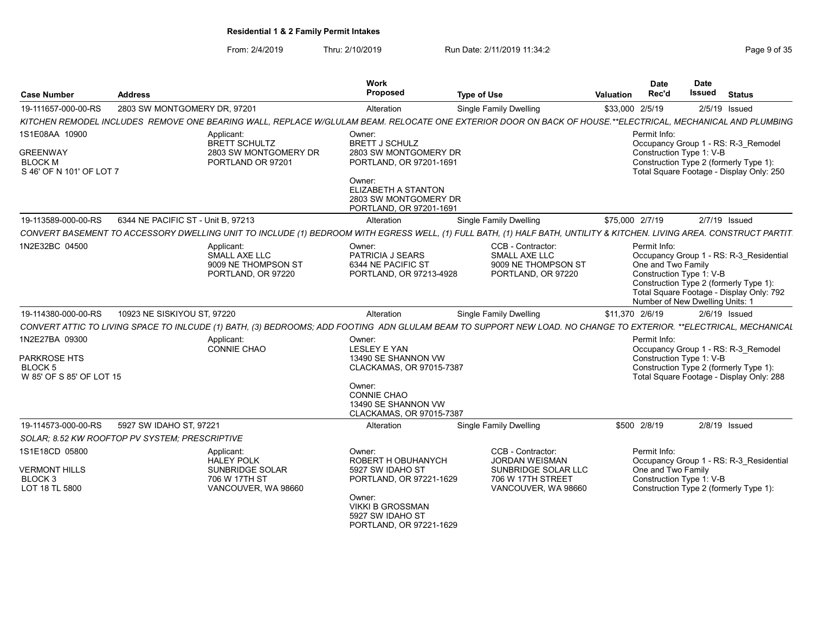From: 2/4/2019 Thru: 2/10/2019 Run Date: 2/11/2019 11:34:2<br>
Page 9 of 35

| <b>Case Number</b>                                                              | <b>Address</b>                     |                                                                                     | Work<br>Proposed                                                                                                                                                         | <b>Type of Use</b>                                                                                                                                                   | Rec'd<br>Valuation                 | <b>Date</b>        | Date<br><b>Issued</b><br><b>Status</b>                                                                                                                                                       |
|---------------------------------------------------------------------------------|------------------------------------|-------------------------------------------------------------------------------------|--------------------------------------------------------------------------------------------------------------------------------------------------------------------------|----------------------------------------------------------------------------------------------------------------------------------------------------------------------|------------------------------------|--------------------|----------------------------------------------------------------------------------------------------------------------------------------------------------------------------------------------|
| 19-111657-000-00-RS                                                             | 2803 SW MONTGOMERY DR, 97201       |                                                                                     | Alteration                                                                                                                                                               | <b>Single Family Dwelling</b>                                                                                                                                        | \$33,000 2/5/19                    |                    | 2/5/19 Issued                                                                                                                                                                                |
|                                                                                 |                                    |                                                                                     |                                                                                                                                                                          | KITCHEN REMODEL INCLUDES REMOVE ONE BEARING WALL, REPLACE W/GLULAM BEAM. RELOCATE ONE EXTERIOR DOOR ON BACK OF HOUSE.**ELECTRICAL, MECHANICAL AND PLUMBING           |                                    |                    |                                                                                                                                                                                              |
| 1S1E08AA 10900<br><b>GREENWAY</b><br><b>BLOCK M</b><br>S 46' OF N 101' OF LOT 7 |                                    | Applicant:<br>BRETT SCHULTZ<br>2803 SW MONTGOMERY DR<br>PORTLAND OR 97201           | Owner:<br><b>BRETT J SCHULZ</b><br>2803 SW MONTGOMERY DR<br>PORTLAND, OR 97201-1691<br>Owner:<br>ELIZABETH A STANTON<br>2803 SW MONTGOMERY DR<br>PORTLAND, OR 97201-1691 |                                                                                                                                                                      | Permit Info:                       |                    | Occupancy Group 1 - RS: R-3 Remodel<br>Construction Type 1: V-B<br>Construction Type 2 (formerly Type 1):<br>Total Square Footage - Display Only: 250                                        |
| 19-113589-000-00-RS                                                             | 6344 NE PACIFIC ST - Unit B, 97213 |                                                                                     | Alteration                                                                                                                                                               | <b>Single Family Dwelling</b>                                                                                                                                        | \$75,000 2/7/19                    |                    | $2/7/19$ Issued                                                                                                                                                                              |
|                                                                                 |                                    |                                                                                     |                                                                                                                                                                          | CONVERT BASEMENT TO ACCESSORY DWELLING UNIT TO INCLUDE (1) BEDROOM WITH EGRESS WELL, (1) FULL BATH, (1) HALF BATH, UNTILITY & KITCHEN. LIVING AREA. CONSTRUCT PARTIT |                                    |                    |                                                                                                                                                                                              |
| 1N2E32BC 04500                                                                  |                                    | Applicant:<br>SMALL AXE LLC<br>9009 NE THOMPSON ST<br>PORTLAND, OR 97220            | Owner:<br>PATRICIA J SEARS<br>6344 NE PACIFIC ST<br>PORTLAND, OR 97213-4928                                                                                              | CCB - Contractor:<br>SMALL AXE LLC<br>9009 NE THOMPSON ST<br>PORTLAND, OR 97220                                                                                      | Permit Info:                       | One and Two Family | Occupancy Group 1 - RS: R-3_Residential<br>Construction Type 1: V-B<br>Construction Type 2 (formerly Type 1):<br>Total Square Footage - Display Only: 792<br>Number of New Dwelling Units: 1 |
| 19-114380-000-00-RS                                                             | 10923 NE SISKIYOU ST, 97220        |                                                                                     | Alteration                                                                                                                                                               | <b>Single Family Dwelling</b>                                                                                                                                        | \$11,370 2/6/19                    |                    | 2/6/19 Issued                                                                                                                                                                                |
|                                                                                 |                                    |                                                                                     |                                                                                                                                                                          | CONVERT ATTIC TO LIVING SPACE TO INLCUDE (1) BATH, (3) BEDROOMS; ADD FOOTING ADN GLULAM BEAM TO SUPPORT NEW LOAD. NO CHANGE TO EXTERIOR. **ELECTRICAL, MECHANICAL    |                                    |                    |                                                                                                                                                                                              |
| 1N2E27BA 09300<br>PARKROSE HTS<br>BLOCK 5<br>W 85' OF S 85' OF LOT 15           |                                    | Applicant:<br>CONNIE CHAO                                                           | Owner:<br>LESLEY E YAN<br>13490 SE SHANNON VW<br>CLACKAMAS, OR 97015-7387<br>Owner:<br><b>CONNIE CHAO</b><br>13490 SE SHANNON VW<br>CLACKAMAS, OR 97015-7387             |                                                                                                                                                                      | Permit Info:                       |                    | Occupancy Group 1 - RS: R-3_Remodel<br>Construction Type 1: V-B<br>Construction Type 2 (formerly Type 1):<br>Total Square Footage - Display Only: 288                                        |
| 19-114573-000-00-RS                                                             | 5927 SW IDAHO ST, 97221            |                                                                                     | Alteration                                                                                                                                                               | <b>Single Family Dwelling</b>                                                                                                                                        | \$500 2/8/19                       |                    | 2/8/19 Issued                                                                                                                                                                                |
| SOLAR; 8.52 KW ROOFTOP PV SYSTEM; PRESCRIPTIVE                                  |                                    |                                                                                     |                                                                                                                                                                          |                                                                                                                                                                      |                                    |                    |                                                                                                                                                                                              |
| 1S1E18CD 05800<br><b>VERMONT HILLS</b><br>BLOCK <sub>3</sub><br>LOT 18 TL 5800  |                                    | Applicant:<br>HALEY POLK<br>SUNBRIDGE SOLAR<br>706 W 17TH ST<br>VANCOUVER, WA 98660 | Owner:<br>ROBERT H OBUHANYCH<br>5927 SW IDAHO ST<br>PORTLAND, OR 97221-1629<br>Owner:<br><b>VIKKI B GROSSMAN</b><br>5927 SW IDAHO ST<br>PORTLAND, OR 97221-1629          | CCB - Contractor:<br><b>JORDAN WEISMAN</b><br>SUNBRIDGE SOLAR LLC<br>706 W 17TH STREET<br>VANCOUVER, WA 98660                                                        | Permit Info:<br>One and Two Family |                    | Occupancy Group 1 - RS: R-3 Residential<br>Construction Type 1: V-B<br>Construction Type 2 (formerly Type 1):                                                                                |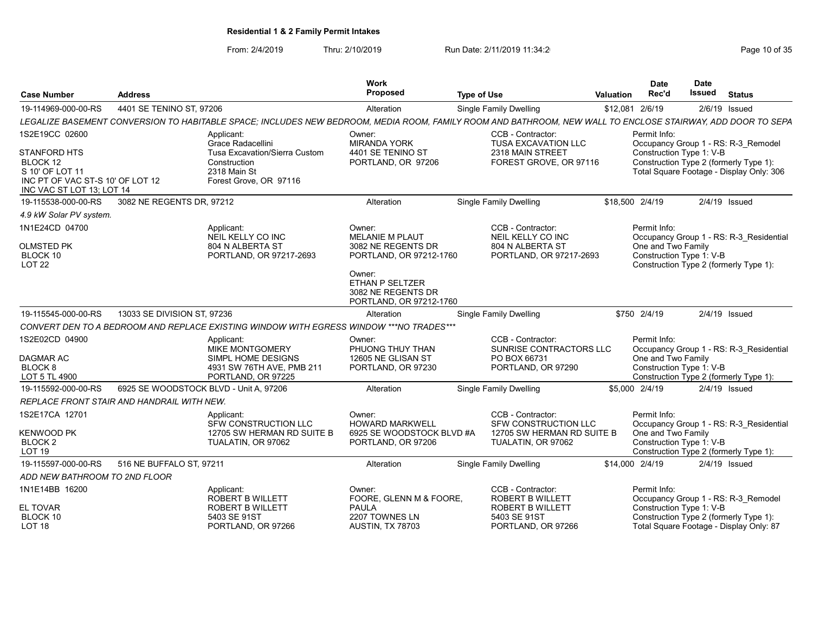| 4401 SE TENINO ST, 97206<br>\$12,081 2/6/19<br>2/6/19 Issued<br>Alteration<br><b>Single Family Dwelling</b><br>LEGALIZE BASEMENT CONVERSION TO HABITABLE SPACE; INCLUDES NEW BEDROOM, MEDIA ROOM, FAMILY ROOM AND BATHROOM, NEW WALL TO ENCLOSE STAIRWAY, ADD DOOR TO SEPA<br>CCB - Contractor:<br>Applicant:<br>Permit Info:<br>Owner:<br>Grace Radacellini<br><b>MIRANDA YORK</b><br><b>TUSA EXCAVATION LLC</b><br>Occupancy Group 1 - RS: R-3 Remodel<br><b>STANFORD HTS</b><br>4401 SE TENINO ST<br>2318 MAIN STREET<br>Construction Type 1: V-B<br>Tusa Excavation/Sierra Custom<br>PORTLAND, OR 97206<br>FOREST GROVE, OR 97116<br>Construction Type 2 (formerly Type 1):<br>Construction<br>Total Square Footage - Display Only: 306<br>2318 Main St<br>INC PT OF VAC ST-S 10' OF LOT 12<br>Forest Grove, OR 97116<br>INC VAC ST LOT 13: LOT 14<br>3082 NE REGENTS DR, 97212<br><b>Single Family Dwelling</b><br>\$18,500 2/4/19<br>2/4/19 Issued<br>Alteration<br>CCB - Contractor:<br>Permit Info:<br>Applicant:<br>Owner:<br>MELANIE M PLAUT<br>NEIL KELLY CO INC<br>NEIL KELLY CO INC<br>Occupancy Group 1 - RS: R-3 Residential<br>804 N ALBERTA ST<br>804 N ALBERTA ST<br>3082 NE REGENTS DR<br>One and Two Family<br>PORTLAND, OR 97217-2693<br>PORTLAND, OR 97212-1760<br>PORTLAND, OR 97217-2693<br>Construction Type 1: V-B<br><b>LOT 22</b><br>Construction Type 2 (formerly Type 1):<br>Owner:<br>ETHAN P SELTZER<br>3082 NE REGENTS DR<br>PORTLAND, OR 97212-1760<br>13033 SE DIVISION ST, 97236<br>\$750 2/4/19<br>2/4/19 Issued<br><b>Single Family Dwelling</b><br>Alteration<br>CONVERT DEN TO A BEDROOM AND REPLACE EXISTING WINDOW WITH EGRESS WINDOW ***NO TRADES***<br>Permit Info:<br>CCB - Contractor:<br>Applicant:<br>Owner:<br><b>MIKE MONTGOMERY</b><br>SUNRISE CONTRACTORS LLC<br>PHUONG THUY THAN<br>Occupancy Group 1 - RS: R-3 Residential<br>One and Two Family<br>SIMPL HOME DESIGNS<br>12605 NE GLISAN ST<br>PO BOX 66731<br>4931 SW 76TH AVE, PMB 211<br>PORTLAND, OR 97230<br>PORTLAND, OR 97290<br>Construction Type 1: V-B<br>PORTLAND, OR 97225<br>Construction Type 2 (formerly Type 1):<br>6925 SE WOODSTOCK BLVD - Unit A, 97206<br>Alteration<br>Single Family Dwelling<br>\$5,000 2/4/19<br>2/4/19 Issued<br>REPLACE FRONT STAIR AND HANDRAIL WITH NEW.<br>CCB - Contractor:<br>Permit Info:<br>Applicant:<br>Owner:<br><b>HOWARD MARKWELL</b><br>SFW CONSTRUCTION LLC<br>SFW CONSTRUCTION LLC<br>Occupancy Group 1 - RS: R-3 Residential<br>12705 SW HERMAN RD SUITE B<br>6925 SE WOODSTOCK BLVD #A<br>12705 SW HERMAN RD SUITE B<br>One and Two Family<br>TUALATIN, OR 97062<br>PORTLAND, OR 97206<br>TUALATIN, OR 97062<br>Construction Type 1: V-B<br>Construction Type 2 (formerly Type 1):<br>516 NE BUFFALO ST. 97211<br>\$14,000 2/4/19<br>$2/4/19$ Issued<br>Alteration<br>Single Family Dwelling<br>ADD NEW BATHROOM TO 2ND FLOOR<br>CCB - Contractor:<br>Applicant:<br>Permit Info:<br>Owner:<br>ROBERT B WILLETT<br>FOORE, GLENN M & FOORE<br><b>ROBERT B WILLETT</b><br>Occupancy Group 1 - RS: R-3 Remodel<br><b>ROBERT B WILLETT</b><br><b>ROBERT B WILLETT</b><br>Construction Type 1: V-B<br><b>PAULA</b><br>2207 TOWNES LN<br>5403 SE 91ST<br>Construction Type 2 (formerly Type 1):<br>5403 SE 91ST<br>Total Square Footage - Display Only: 87<br>PORTLAND, OR 97266<br><b>AUSTIN, TX 78703</b><br>PORTLAND, OR 97266 | <b>Case Number</b>                  | <b>Address</b> | Work<br>Proposed | <b>Type of Use</b> | Valuation | <b>Date</b><br>Rec'd | <b>Date</b><br>Issued<br><b>Status</b> |
|---------------------------------------------------------------------------------------------------------------------------------------------------------------------------------------------------------------------------------------------------------------------------------------------------------------------------------------------------------------------------------------------------------------------------------------------------------------------------------------------------------------------------------------------------------------------------------------------------------------------------------------------------------------------------------------------------------------------------------------------------------------------------------------------------------------------------------------------------------------------------------------------------------------------------------------------------------------------------------------------------------------------------------------------------------------------------------------------------------------------------------------------------------------------------------------------------------------------------------------------------------------------------------------------------------------------------------------------------------------------------------------------------------------------------------------------------------------------------------------------------------------------------------------------------------------------------------------------------------------------------------------------------------------------------------------------------------------------------------------------------------------------------------------------------------------------------------------------------------------------------------------------------------------------------------------------------------------------------------------------------------------------------------------------------------------------------------------------------------------------------------------------------------------------------------------------------------------------------------------------------------------------------------------------------------------------------------------------------------------------------------------------------------------------------------------------------------------------------------------------------------------------------------------------------------------------------------------------------------------------------------------------------------------------------------------------------------------------------------------------------------------------------------------------------------------------------------------------------------------------------------------------------------------------------------------------------------------------------------------------------------------------------------------------------------------------------------------------------------------------------------------------------------------------------------------------------------------------------------------------------------------------------------------------------------------------------------------------------------------------------------------------|-------------------------------------|----------------|------------------|--------------------|-----------|----------------------|----------------------------------------|
|                                                                                                                                                                                                                                                                                                                                                                                                                                                                                                                                                                                                                                                                                                                                                                                                                                                                                                                                                                                                                                                                                                                                                                                                                                                                                                                                                                                                                                                                                                                                                                                                                                                                                                                                                                                                                                                                                                                                                                                                                                                                                                                                                                                                                                                                                                                                                                                                                                                                                                                                                                                                                                                                                                                                                                                                                                                                                                                                                                                                                                                                                                                                                                                                                                                                                                                                                                                             | 19-114969-000-00-RS                 |                |                  |                    |           |                      |                                        |
|                                                                                                                                                                                                                                                                                                                                                                                                                                                                                                                                                                                                                                                                                                                                                                                                                                                                                                                                                                                                                                                                                                                                                                                                                                                                                                                                                                                                                                                                                                                                                                                                                                                                                                                                                                                                                                                                                                                                                                                                                                                                                                                                                                                                                                                                                                                                                                                                                                                                                                                                                                                                                                                                                                                                                                                                                                                                                                                                                                                                                                                                                                                                                                                                                                                                                                                                                                                             |                                     |                |                  |                    |           |                      |                                        |
|                                                                                                                                                                                                                                                                                                                                                                                                                                                                                                                                                                                                                                                                                                                                                                                                                                                                                                                                                                                                                                                                                                                                                                                                                                                                                                                                                                                                                                                                                                                                                                                                                                                                                                                                                                                                                                                                                                                                                                                                                                                                                                                                                                                                                                                                                                                                                                                                                                                                                                                                                                                                                                                                                                                                                                                                                                                                                                                                                                                                                                                                                                                                                                                                                                                                                                                                                                                             | 1S2E19CC 02600                      |                |                  |                    |           |                      |                                        |
|                                                                                                                                                                                                                                                                                                                                                                                                                                                                                                                                                                                                                                                                                                                                                                                                                                                                                                                                                                                                                                                                                                                                                                                                                                                                                                                                                                                                                                                                                                                                                                                                                                                                                                                                                                                                                                                                                                                                                                                                                                                                                                                                                                                                                                                                                                                                                                                                                                                                                                                                                                                                                                                                                                                                                                                                                                                                                                                                                                                                                                                                                                                                                                                                                                                                                                                                                                                             | BLOCK 12<br>S 10' OF LOT 11         |                |                  |                    |           |                      |                                        |
|                                                                                                                                                                                                                                                                                                                                                                                                                                                                                                                                                                                                                                                                                                                                                                                                                                                                                                                                                                                                                                                                                                                                                                                                                                                                                                                                                                                                                                                                                                                                                                                                                                                                                                                                                                                                                                                                                                                                                                                                                                                                                                                                                                                                                                                                                                                                                                                                                                                                                                                                                                                                                                                                                                                                                                                                                                                                                                                                                                                                                                                                                                                                                                                                                                                                                                                                                                                             | 19-115538-000-00-RS                 |                |                  |                    |           |                      |                                        |
|                                                                                                                                                                                                                                                                                                                                                                                                                                                                                                                                                                                                                                                                                                                                                                                                                                                                                                                                                                                                                                                                                                                                                                                                                                                                                                                                                                                                                                                                                                                                                                                                                                                                                                                                                                                                                                                                                                                                                                                                                                                                                                                                                                                                                                                                                                                                                                                                                                                                                                                                                                                                                                                                                                                                                                                                                                                                                                                                                                                                                                                                                                                                                                                                                                                                                                                                                                                             | 4.9 kW Solar PV system.             |                |                  |                    |           |                      |                                        |
|                                                                                                                                                                                                                                                                                                                                                                                                                                                                                                                                                                                                                                                                                                                                                                                                                                                                                                                                                                                                                                                                                                                                                                                                                                                                                                                                                                                                                                                                                                                                                                                                                                                                                                                                                                                                                                                                                                                                                                                                                                                                                                                                                                                                                                                                                                                                                                                                                                                                                                                                                                                                                                                                                                                                                                                                                                                                                                                                                                                                                                                                                                                                                                                                                                                                                                                                                                                             | 1N1E24CD 04700                      |                |                  |                    |           |                      |                                        |
|                                                                                                                                                                                                                                                                                                                                                                                                                                                                                                                                                                                                                                                                                                                                                                                                                                                                                                                                                                                                                                                                                                                                                                                                                                                                                                                                                                                                                                                                                                                                                                                                                                                                                                                                                                                                                                                                                                                                                                                                                                                                                                                                                                                                                                                                                                                                                                                                                                                                                                                                                                                                                                                                                                                                                                                                                                                                                                                                                                                                                                                                                                                                                                                                                                                                                                                                                                                             | <b>OLMSTED PK</b><br>BLOCK 10       |                |                  |                    |           |                      |                                        |
|                                                                                                                                                                                                                                                                                                                                                                                                                                                                                                                                                                                                                                                                                                                                                                                                                                                                                                                                                                                                                                                                                                                                                                                                                                                                                                                                                                                                                                                                                                                                                                                                                                                                                                                                                                                                                                                                                                                                                                                                                                                                                                                                                                                                                                                                                                                                                                                                                                                                                                                                                                                                                                                                                                                                                                                                                                                                                                                                                                                                                                                                                                                                                                                                                                                                                                                                                                                             |                                     |                |                  |                    |           |                      |                                        |
|                                                                                                                                                                                                                                                                                                                                                                                                                                                                                                                                                                                                                                                                                                                                                                                                                                                                                                                                                                                                                                                                                                                                                                                                                                                                                                                                                                                                                                                                                                                                                                                                                                                                                                                                                                                                                                                                                                                                                                                                                                                                                                                                                                                                                                                                                                                                                                                                                                                                                                                                                                                                                                                                                                                                                                                                                                                                                                                                                                                                                                                                                                                                                                                                                                                                                                                                                                                             | 19-115545-000-00-RS                 |                |                  |                    |           |                      |                                        |
|                                                                                                                                                                                                                                                                                                                                                                                                                                                                                                                                                                                                                                                                                                                                                                                                                                                                                                                                                                                                                                                                                                                                                                                                                                                                                                                                                                                                                                                                                                                                                                                                                                                                                                                                                                                                                                                                                                                                                                                                                                                                                                                                                                                                                                                                                                                                                                                                                                                                                                                                                                                                                                                                                                                                                                                                                                                                                                                                                                                                                                                                                                                                                                                                                                                                                                                                                                                             |                                     |                |                  |                    |           |                      |                                        |
|                                                                                                                                                                                                                                                                                                                                                                                                                                                                                                                                                                                                                                                                                                                                                                                                                                                                                                                                                                                                                                                                                                                                                                                                                                                                                                                                                                                                                                                                                                                                                                                                                                                                                                                                                                                                                                                                                                                                                                                                                                                                                                                                                                                                                                                                                                                                                                                                                                                                                                                                                                                                                                                                                                                                                                                                                                                                                                                                                                                                                                                                                                                                                                                                                                                                                                                                                                                             | 1S2E02CD 04900                      |                |                  |                    |           |                      |                                        |
|                                                                                                                                                                                                                                                                                                                                                                                                                                                                                                                                                                                                                                                                                                                                                                                                                                                                                                                                                                                                                                                                                                                                                                                                                                                                                                                                                                                                                                                                                                                                                                                                                                                                                                                                                                                                                                                                                                                                                                                                                                                                                                                                                                                                                                                                                                                                                                                                                                                                                                                                                                                                                                                                                                                                                                                                                                                                                                                                                                                                                                                                                                                                                                                                                                                                                                                                                                                             | DAGMAR AC                           |                |                  |                    |           |                      |                                        |
|                                                                                                                                                                                                                                                                                                                                                                                                                                                                                                                                                                                                                                                                                                                                                                                                                                                                                                                                                                                                                                                                                                                                                                                                                                                                                                                                                                                                                                                                                                                                                                                                                                                                                                                                                                                                                                                                                                                                                                                                                                                                                                                                                                                                                                                                                                                                                                                                                                                                                                                                                                                                                                                                                                                                                                                                                                                                                                                                                                                                                                                                                                                                                                                                                                                                                                                                                                                             | BLOCK 8<br>LOT 5 TL 4900            |                |                  |                    |           |                      |                                        |
|                                                                                                                                                                                                                                                                                                                                                                                                                                                                                                                                                                                                                                                                                                                                                                                                                                                                                                                                                                                                                                                                                                                                                                                                                                                                                                                                                                                                                                                                                                                                                                                                                                                                                                                                                                                                                                                                                                                                                                                                                                                                                                                                                                                                                                                                                                                                                                                                                                                                                                                                                                                                                                                                                                                                                                                                                                                                                                                                                                                                                                                                                                                                                                                                                                                                                                                                                                                             | 19-115592-000-00-RS                 |                |                  |                    |           |                      |                                        |
|                                                                                                                                                                                                                                                                                                                                                                                                                                                                                                                                                                                                                                                                                                                                                                                                                                                                                                                                                                                                                                                                                                                                                                                                                                                                                                                                                                                                                                                                                                                                                                                                                                                                                                                                                                                                                                                                                                                                                                                                                                                                                                                                                                                                                                                                                                                                                                                                                                                                                                                                                                                                                                                                                                                                                                                                                                                                                                                                                                                                                                                                                                                                                                                                                                                                                                                                                                                             |                                     |                |                  |                    |           |                      |                                        |
|                                                                                                                                                                                                                                                                                                                                                                                                                                                                                                                                                                                                                                                                                                                                                                                                                                                                                                                                                                                                                                                                                                                                                                                                                                                                                                                                                                                                                                                                                                                                                                                                                                                                                                                                                                                                                                                                                                                                                                                                                                                                                                                                                                                                                                                                                                                                                                                                                                                                                                                                                                                                                                                                                                                                                                                                                                                                                                                                                                                                                                                                                                                                                                                                                                                                                                                                                                                             | 1S2E17CA 12701                      |                |                  |                    |           |                      |                                        |
|                                                                                                                                                                                                                                                                                                                                                                                                                                                                                                                                                                                                                                                                                                                                                                                                                                                                                                                                                                                                                                                                                                                                                                                                                                                                                                                                                                                                                                                                                                                                                                                                                                                                                                                                                                                                                                                                                                                                                                                                                                                                                                                                                                                                                                                                                                                                                                                                                                                                                                                                                                                                                                                                                                                                                                                                                                                                                                                                                                                                                                                                                                                                                                                                                                                                                                                                                                                             | <b>KENWOOD PK</b>                   |                |                  |                    |           |                      |                                        |
|                                                                                                                                                                                                                                                                                                                                                                                                                                                                                                                                                                                                                                                                                                                                                                                                                                                                                                                                                                                                                                                                                                                                                                                                                                                                                                                                                                                                                                                                                                                                                                                                                                                                                                                                                                                                                                                                                                                                                                                                                                                                                                                                                                                                                                                                                                                                                                                                                                                                                                                                                                                                                                                                                                                                                                                                                                                                                                                                                                                                                                                                                                                                                                                                                                                                                                                                                                                             | BLOCK <sub>2</sub><br><b>LOT 19</b> |                |                  |                    |           |                      |                                        |
|                                                                                                                                                                                                                                                                                                                                                                                                                                                                                                                                                                                                                                                                                                                                                                                                                                                                                                                                                                                                                                                                                                                                                                                                                                                                                                                                                                                                                                                                                                                                                                                                                                                                                                                                                                                                                                                                                                                                                                                                                                                                                                                                                                                                                                                                                                                                                                                                                                                                                                                                                                                                                                                                                                                                                                                                                                                                                                                                                                                                                                                                                                                                                                                                                                                                                                                                                                                             | 19-115597-000-00-RS                 |                |                  |                    |           |                      |                                        |
|                                                                                                                                                                                                                                                                                                                                                                                                                                                                                                                                                                                                                                                                                                                                                                                                                                                                                                                                                                                                                                                                                                                                                                                                                                                                                                                                                                                                                                                                                                                                                                                                                                                                                                                                                                                                                                                                                                                                                                                                                                                                                                                                                                                                                                                                                                                                                                                                                                                                                                                                                                                                                                                                                                                                                                                                                                                                                                                                                                                                                                                                                                                                                                                                                                                                                                                                                                                             |                                     |                |                  |                    |           |                      |                                        |
|                                                                                                                                                                                                                                                                                                                                                                                                                                                                                                                                                                                                                                                                                                                                                                                                                                                                                                                                                                                                                                                                                                                                                                                                                                                                                                                                                                                                                                                                                                                                                                                                                                                                                                                                                                                                                                                                                                                                                                                                                                                                                                                                                                                                                                                                                                                                                                                                                                                                                                                                                                                                                                                                                                                                                                                                                                                                                                                                                                                                                                                                                                                                                                                                                                                                                                                                                                                             | 1N1E14BB 16200                      |                |                  |                    |           |                      |                                        |
|                                                                                                                                                                                                                                                                                                                                                                                                                                                                                                                                                                                                                                                                                                                                                                                                                                                                                                                                                                                                                                                                                                                                                                                                                                                                                                                                                                                                                                                                                                                                                                                                                                                                                                                                                                                                                                                                                                                                                                                                                                                                                                                                                                                                                                                                                                                                                                                                                                                                                                                                                                                                                                                                                                                                                                                                                                                                                                                                                                                                                                                                                                                                                                                                                                                                                                                                                                                             | EL TOVAR                            |                |                  |                    |           |                      |                                        |
|                                                                                                                                                                                                                                                                                                                                                                                                                                                                                                                                                                                                                                                                                                                                                                                                                                                                                                                                                                                                                                                                                                                                                                                                                                                                                                                                                                                                                                                                                                                                                                                                                                                                                                                                                                                                                                                                                                                                                                                                                                                                                                                                                                                                                                                                                                                                                                                                                                                                                                                                                                                                                                                                                                                                                                                                                                                                                                                                                                                                                                                                                                                                                                                                                                                                                                                                                                                             | BLOCK 10<br><b>LOT 18</b>           |                |                  |                    |           |                      |                                        |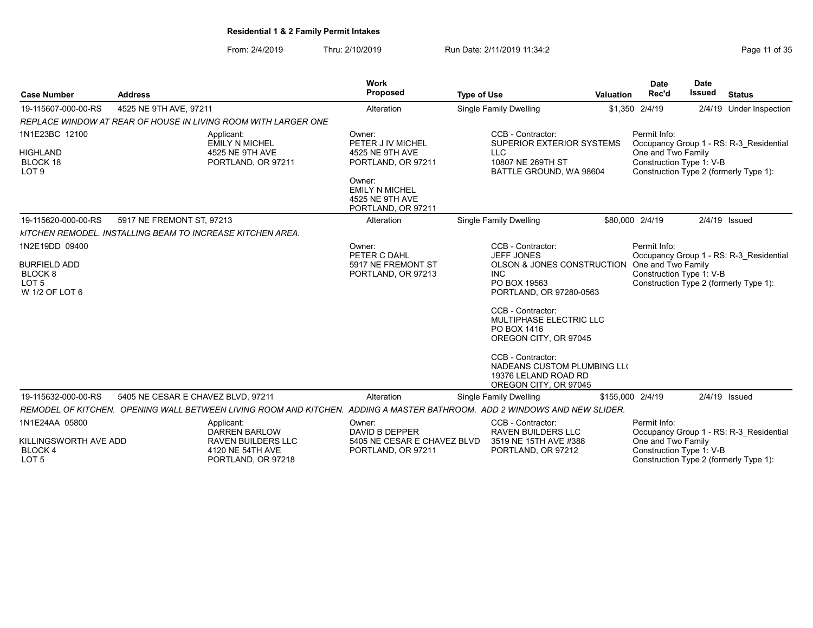| Page 11 of 35 |  |
|---------------|--|
|---------------|--|

| <b>Case Number</b>                                                              | <b>Address</b>                     |                                                                                                                              | Work<br>Proposed                                                         | <b>Type of Use</b> |                                                                                                   | Valuation        | <b>Date</b><br>Rec'd                           | <b>Date</b><br><b>Issued</b> | <b>Status</b>                           |
|---------------------------------------------------------------------------------|------------------------------------|------------------------------------------------------------------------------------------------------------------------------|--------------------------------------------------------------------------|--------------------|---------------------------------------------------------------------------------------------------|------------------|------------------------------------------------|------------------------------|-----------------------------------------|
| 19-115607-000-00-RS                                                             | 4525 NE 9TH AVE, 97211             |                                                                                                                              | Alteration                                                               |                    | <b>Single Family Dwelling</b>                                                                     |                  | \$1,350 2/4/19                                 |                              | 2/4/19 Under Inspection                 |
|                                                                                 |                                    | REPLACE WINDOW AT REAR OF HOUSE IN LIVING ROOM WITH LARGER ONE                                                               |                                                                          |                    |                                                                                                   |                  |                                                |                              |                                         |
| 1N1E23BC 12100                                                                  |                                    | Applicant:<br><b>EMILY N MICHEL</b>                                                                                          | Owner:<br>PETER J IV MICHEL                                              |                    | CCB - Contractor:<br>SUPERIOR EXTERIOR SYSTEMS                                                    |                  | Permit Info:                                   |                              | Occupancy Group 1 - RS: R-3_Residential |
| <b>HIGHLAND</b><br><b>BLOCK 18</b><br>LOT <sub>9</sub>                          |                                    | 4525 NE 9TH AVE<br>PORTLAND, OR 97211                                                                                        | 4525 NE 9TH AVE<br>PORTLAND, OR 97211                                    |                    | <b>LLC</b><br>10807 NE 269TH ST<br>BATTLE GROUND, WA 98604                                        |                  | One and Two Family<br>Construction Type 1: V-B |                              | Construction Type 2 (formerly Type 1):  |
|                                                                                 |                                    |                                                                                                                              | Owner:<br><b>EMILY N MICHEL</b><br>4525 NE 9TH AVE<br>PORTLAND, OR 97211 |                    |                                                                                                   |                  |                                                |                              |                                         |
| 19-115620-000-00-RS                                                             | 5917 NE FREMONT ST, 97213          |                                                                                                                              | Alteration                                                               |                    | <b>Single Family Dwelling</b>                                                                     |                  | \$80,000 2/4/19                                |                              | $2/4/19$ Issued                         |
|                                                                                 |                                    | <b>KITCHEN REMODEL. INSTALLING BEAM TO INCREASE KITCHEN AREA.</b>                                                            |                                                                          |                    |                                                                                                   |                  |                                                |                              |                                         |
| 1N2E19DD 09400                                                                  |                                    |                                                                                                                              | Owner:<br>PETER C DAHL                                                   |                    | CCB - Contractor:<br><b>JEFF JONES</b>                                                            |                  | Permit Info:                                   |                              | Occupancy Group 1 - RS: R-3 Residential |
| <b>BURFIELD ADD</b><br>BLOCK <sub>8</sub><br>LOT <sub>5</sub><br>W 1/2 OF LOT 6 |                                    |                                                                                                                              | 5917 NE FREMONT ST<br>PORTLAND, OR 97213                                 |                    | OLSON & JONES CONSTRUCTION<br><b>INC</b><br>PO BOX 19563<br>PORTLAND, OR 97280-0563               |                  | One and Two Family<br>Construction Type 1: V-B |                              | Construction Type 2 (formerly Type 1):  |
|                                                                                 |                                    |                                                                                                                              |                                                                          |                    | CCB - Contractor:<br>MULTIPHASE ELECTRIC LLC<br>PO BOX 1416<br>OREGON CITY, OR 97045              |                  |                                                |                              |                                         |
|                                                                                 |                                    |                                                                                                                              |                                                                          |                    | CCB - Contractor:<br>NADEANS CUSTOM PLUMBING LLO<br>19376 LELAND ROAD RD<br>OREGON CITY, OR 97045 |                  |                                                |                              |                                         |
| 19-115632-000-00-RS                                                             | 5405 NE CESAR E CHAVEZ BLVD, 97211 |                                                                                                                              | Alteration                                                               |                    | Single Family Dwelling                                                                            | \$155,000 2/4/19 |                                                | 2/4/19 Issued                |                                         |
|                                                                                 |                                    | REMODEL OF KITCHEN.  OPENING WALL BETWEEN LIVING ROOM AND KITCHEN.  ADDING A MASTER BATHROOM.  ADD 2 WINDOWS AND NEW SLIDER. |                                                                          |                    |                                                                                                   |                  |                                                |                              |                                         |
| 1N1E24AA 05800                                                                  |                                    | Applicant:<br><b>DARREN BARLOW</b>                                                                                           | Owner:<br>DAVID B DEPPER                                                 |                    | CCB - Contractor:<br><b>RAVEN BUILDERS LLC</b>                                                    |                  | Permit Info:                                   |                              | Occupancy Group 1 - RS: R-3 Residential |
| KILLINGSWORTH AVE ADD<br>BLOCK 4<br>LOT <sub>5</sub>                            |                                    | RAVEN BUILDERS LLC<br>4120 NE 54TH AVE<br>PORTLAND, OR 97218                                                                 | 5405 NE CESAR E CHAVEZ BLVD<br>PORTLAND, OR 97211                        |                    | 3519 NE 15TH AVE #388<br>PORTLAND, OR 97212                                                       |                  | One and Two Family<br>Construction Type 1: V-B |                              | Construction Type 2 (formerly Type 1):  |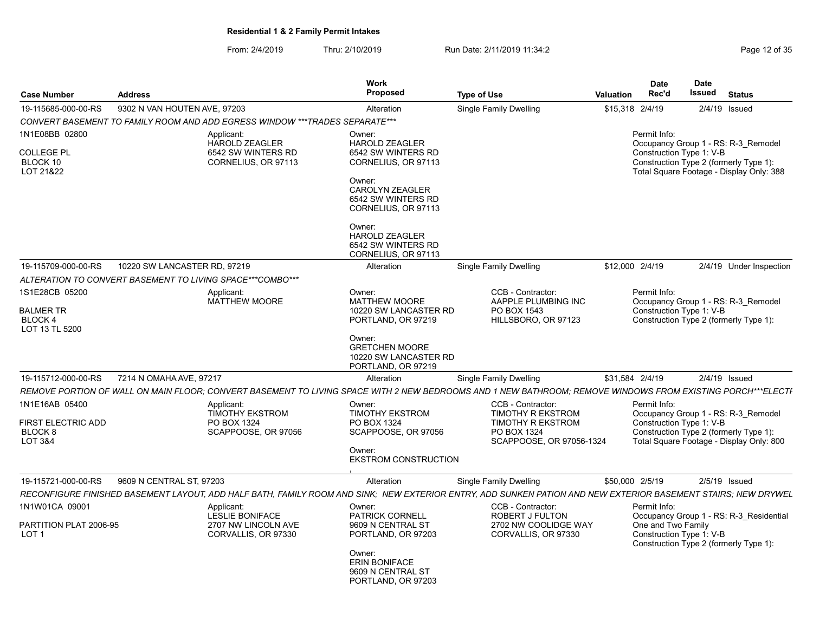From: 2/4/2019 Thru: 2/10/2019 Run Date: 2/11/2019 11:34:2<br>Page 12 of 35

| <b>Case Number</b>                                                    | <b>Address</b>                                                                                                                                                | Work<br>Proposed                                                                                                                                                | <b>Type of Use</b>                                                                                                   | Valuation | <b>Date</b><br>Rec'd                     | Date<br>Issued<br><b>Status</b> |                                                                                                                           |  |  |
|-----------------------------------------------------------------------|---------------------------------------------------------------------------------------------------------------------------------------------------------------|-----------------------------------------------------------------------------------------------------------------------------------------------------------------|----------------------------------------------------------------------------------------------------------------------|-----------|------------------------------------------|---------------------------------|---------------------------------------------------------------------------------------------------------------------------|--|--|
| 19-115685-000-00-RS                                                   | 9302 N VAN HOUTEN AVE, 97203                                                                                                                                  | Alteration                                                                                                                                                      | Single Family Dwelling                                                                                               |           | \$15,318 2/4/19                          |                                 | 2/4/19 Issued                                                                                                             |  |  |
|                                                                       | CONVERT BASEMENT TO FAMILY ROOM AND ADD EGRESS WINDOW ***TRADES SEPARATE***                                                                                   |                                                                                                                                                                 |                                                                                                                      |           |                                          |                                 |                                                                                                                           |  |  |
| 1N1E08BB 02800<br><b>COLLEGE PL</b><br>BLOCK 10<br>LOT 21&22          | Applicant:<br><b>HAROLD ZEAGLER</b><br>6542 SW WINTERS RD<br>CORNELIUS, OR 97113                                                                              | Owner:<br><b>HAROLD ZEAGLER</b><br>6542 SW WINTERS RD<br>CORNELIUS, OR 97113<br>Owner:<br><b>CAROLYN ZEAGLER</b><br>6542 SW WINTERS RD<br>CORNELIUS, OR 97113   |                                                                                                                      |           | Permit Info:<br>Construction Type 1: V-B |                                 | Occupancy Group 1 - RS: R-3 Remodel<br>Construction Type 2 (formerly Type 1):<br>Total Square Footage - Display Only: 388 |  |  |
|                                                                       |                                                                                                                                                               | Owner:<br><b>HAROLD ZEAGLER</b><br>6542 SW WINTERS RD<br>CORNELIUS, OR 97113                                                                                    |                                                                                                                      |           |                                          |                                 |                                                                                                                           |  |  |
| 19-115709-000-00-RS                                                   | 10220 SW LANCASTER RD, 97219                                                                                                                                  | Alteration                                                                                                                                                      | <b>Single Family Dwelling</b>                                                                                        |           | \$12,000 2/4/19                          |                                 | 2/4/19 Under Inspection                                                                                                   |  |  |
|                                                                       | ALTERATION TO CONVERT BASEMENT TO LIVING SPACE***COMBO***                                                                                                     |                                                                                                                                                                 |                                                                                                                      |           |                                          |                                 |                                                                                                                           |  |  |
| 1S1E28CB 05200<br><b>BALMER TR</b><br>BLOCK 4<br>LOT 13 TL 5200       | Applicant:<br><b>MATTHEW MOORE</b>                                                                                                                            | Owner:<br><b>MATTHEW MOORE</b><br>10220 SW LANCASTER RD<br>PORTLAND, OR 97219<br>Owner:<br><b>GRETCHEN MOORE</b><br>10220 SW LANCASTER RD<br>PORTLAND, OR 97219 | CCB - Contractor:<br>AAPPLE PLUMBING INC<br>PO BOX 1543<br>HILLSBORO, OR 97123                                       |           | Permit Info:<br>Construction Type 1: V-B |                                 | Occupancy Group 1 - RS: R-3 Remodel<br>Construction Type 2 (formerly Type 1):                                             |  |  |
| 19-115712-000-00-RS                                                   | 7214 N OMAHA AVE, 97217                                                                                                                                       | Alteration                                                                                                                                                      | Single Family Dwelling                                                                                               |           | \$31,584 2/4/19                          |                                 | $2/4/19$ Issued                                                                                                           |  |  |
|                                                                       | REMOVE PORTION OF WALL ON MAIN FLOOR; CONVERT BASEMENT TO LIVING SPACE WITH 2 NEW BEDROOMS AND 1 NEW BATHROOM; REMOVE WINDOWS FROM EXISTING PORCH***ELECTI    |                                                                                                                                                                 |                                                                                                                      |           |                                          |                                 |                                                                                                                           |  |  |
| 1N1E16AB 05400<br>FIRST ELECTRIC ADD<br>BLOCK <sub>8</sub><br>LOT 3&4 | Applicant:<br><b>TIMOTHY EKSTROM</b><br>PO BOX 1324<br>SCAPPOOSE, OR 97056                                                                                    | Owner:<br>TIMOTHY EKSTROM<br>PO BOX 1324<br>SCAPPOOSE, OR 97056<br>Owner:<br><b>EKSTROM CONSTRUCTION</b>                                                        | CCB - Contractor:<br><b>TIMOTHY R EKSTROM</b><br><b>TIMOTHY R EKSTROM</b><br>PO BOX 1324<br>SCAPPOOSE, OR 97056-1324 |           | Permit Info:<br>Construction Type 1: V-B |                                 | Occupancy Group 1 - RS: R-3_Remodel<br>Construction Type 2 (formerly Type 1):<br>Total Square Footage - Display Only: 800 |  |  |
| 19-115721-000-00-RS                                                   | 9609 N CENTRAL ST, 97203                                                                                                                                      | Alteration                                                                                                                                                      | Single Family Dwelling                                                                                               |           | \$50,000 2/5/19                          |                                 | $2/5/19$ Issued                                                                                                           |  |  |
|                                                                       | RECONFIGURE FINISHED BASEMENT LAYOUT, ADD HALF BATH, FAMILY ROOM AND SINK; NEW EXTERIOR ENTRY, ADD SUNKEN PATION AND NEW EXTERIOR BASEMENT STAIRS; NEW DRYWEL |                                                                                                                                                                 |                                                                                                                      |           |                                          |                                 |                                                                                                                           |  |  |
| 1N1W01CA 09001<br>PARTITION PLAT 2006-95                              | Applicant:<br><b>LESLIE BONIFACE</b><br>2707 NW LINCOLN AVE                                                                                                   | Owner:<br><b>PATRICK CORNELL</b><br>9609 N CENTRAL ST                                                                                                           | CCB - Contractor:<br><b>ROBERT J FULTON</b><br>2702 NW COOLIDGE WAY                                                  |           | Permit Info:<br>One and Two Family       |                                 | Occupancy Group 1 - RS: R-3 Residential                                                                                   |  |  |
| LOT <sub>1</sub>                                                      | CORVALLIS, OR 97330                                                                                                                                           | PORTLAND, OR 97203<br>Owner:<br><b>ERIN BONIFACE</b><br>9609 N CENTRAL ST<br>PORTLAND, OR 97203                                                                 | CORVALLIS, OR 97330                                                                                                  |           | Construction Type 1: V-B                 |                                 | Construction Type 2 (formerly Type 1):                                                                                    |  |  |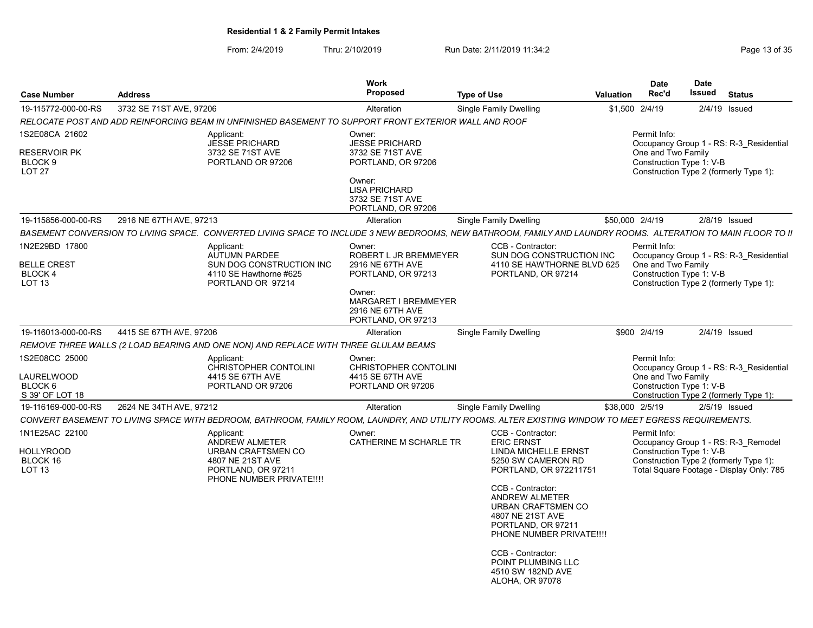| <b>Case Number</b>                                         | <b>Address</b>          |                                                                                                                                                               | Work<br>Proposed                                                         | <b>Type of Use</b>                                                                                                 | Valuation | <b>Date</b><br>Rec'd | <b>Date</b><br>Issued<br><b>Status</b>                                             |  |
|------------------------------------------------------------|-------------------------|---------------------------------------------------------------------------------------------------------------------------------------------------------------|--------------------------------------------------------------------------|--------------------------------------------------------------------------------------------------------------------|-----------|----------------------|------------------------------------------------------------------------------------|--|
| 19-115772-000-00-RS                                        | 3732 SE 71ST AVE, 97206 |                                                                                                                                                               | Alteration                                                               | Single Family Dwelling                                                                                             |           | \$1,500 2/4/19       | 2/4/19 Issued                                                                      |  |
|                                                            |                         | RELOCATE POST AND ADD REINFORCING BEAM IN UNFINISHED BASEMENT TO SUPPORT FRONT EXTERIOR WALL AND ROOF                                                         |                                                                          |                                                                                                                    |           |                      |                                                                                    |  |
| 1S2E08CA 21602                                             |                         | Applicant:<br>JESSE PRICHARD                                                                                                                                  | Owner:<br><b>JESSE PRICHARD</b>                                          |                                                                                                                    |           | Permit Info:         | Occupancy Group 1 - RS: R-3 Residential                                            |  |
| <b>RESERVOIR PK</b><br>BLOCK <sub>9</sub><br><b>LOT 27</b> |                         | 3732 SE 71ST AVE<br>PORTLAND OR 97206                                                                                                                         | 3732 SE 71ST AVE<br>PORTLAND, OR 97206                                   |                                                                                                                    |           | One and Two Family   | Construction Type 1: V-B<br>Construction Type 2 (formerly Type 1):                 |  |
|                                                            |                         |                                                                                                                                                               | Owner:<br><b>LISA PRICHARD</b><br>3732 SE 71ST AVE<br>PORTLAND, OR 97206 |                                                                                                                    |           |                      |                                                                                    |  |
| 19-115856-000-00-RS                                        | 2916 NE 67TH AVE, 97213 |                                                                                                                                                               | Alteration                                                               | Single Family Dwelling                                                                                             |           | \$50,000 2/4/19      | $2/8/19$ Issued                                                                    |  |
|                                                            |                         | BASEMENT CONVERSION TO LIVING SPACE. CONVERTED LIVING SPACE TO INCLUDE 3 NEW BEDROOMS, NEW BATHROOM, FAMILY AND LAUNDRY ROOMS. ALTERATION TO MAIN FLOOR TO II |                                                                          |                                                                                                                    |           |                      |                                                                                    |  |
| 1N2E29BD 17800                                             |                         | Applicant:                                                                                                                                                    | Owner:                                                                   | CCB - Contractor:                                                                                                  |           | Permit Info:         |                                                                                    |  |
| <b>BELLE CREST</b><br>BLOCK 4                              |                         | AUTUMN PARDEE<br>SUN DOG CONSTRUCTION INC<br>4110 SE Hawthorne #625                                                                                           | ROBERT L JR BREMMEYER<br>2916 NE 67TH AVE<br>PORTLAND, OR 97213          | SUN DOG CONSTRUCTION INC<br>4110 SE HAWTHORNE BLVD 625<br>PORTLAND, OR 97214                                       |           | One and Two Family   | Occupancy Group 1 - RS: R-3_Residential<br>Construction Type 1: V-B                |  |
| LOT <sub>13</sub>                                          |                         | PORTLAND OR 97214                                                                                                                                             |                                                                          |                                                                                                                    |           |                      | Construction Type 2 (formerly Type 1):                                             |  |
|                                                            |                         |                                                                                                                                                               | Owner:<br>MARGARET I BREMMEYER<br>2916 NE 67TH AVE<br>PORTLAND, OR 97213 |                                                                                                                    |           |                      |                                                                                    |  |
| 19-116013-000-00-RS                                        | 4415 SE 67TH AVE, 97206 |                                                                                                                                                               | Alteration                                                               | Single Family Dwelling                                                                                             |           | \$900 2/4/19         | 2/4/19 Issued                                                                      |  |
|                                                            |                         | REMOVE THREE WALLS (2 LOAD BEARING AND ONE NON) AND REPLACE WITH THREE GLULAM BEAMS                                                                           |                                                                          |                                                                                                                    |           |                      |                                                                                    |  |
| 1S2E08CC 25000                                             |                         | Applicant:                                                                                                                                                    | Owner:                                                                   |                                                                                                                    |           | Permit Info:         |                                                                                    |  |
|                                                            |                         | CHRISTOPHER CONTOLINI                                                                                                                                         | CHRISTOPHER CONTOLINI                                                    |                                                                                                                    |           |                      | Occupancy Group 1 - RS: R-3 Residential                                            |  |
| LAURELWOOD<br>BLOCK 6                                      |                         | 4415 SE 67TH AVE<br>PORTLAND OR 97206                                                                                                                         | 4415 SE 67TH AVE<br>PORTLAND OR 97206                                    |                                                                                                                    |           | One and Two Family   | Construction Type 1: V-B                                                           |  |
| S 39' OF LOT 18                                            |                         |                                                                                                                                                               |                                                                          |                                                                                                                    |           |                      | Construction Type 2 (formerly Type 1):                                             |  |
| 19-116169-000-00-RS                                        | 2624 NE 34TH AVE, 97212 |                                                                                                                                                               | Alteration                                                               | Single Family Dwelling                                                                                             |           | \$38,000 2/5/19      | $2/5/19$ Issued                                                                    |  |
|                                                            |                         | CONVERT BASEMENT TO LIVING SPACE WITH BEDROOM, BATHROOM, FAMILY ROOM, LAUNDRY, AND UTILITY ROOMS. ALTER EXISTING WINDOW TO MEET EGRESS REQUIREMENTS.          |                                                                          |                                                                                                                    |           |                      |                                                                                    |  |
| 1N1E25AC 22100                                             |                         | Applicant:                                                                                                                                                    | Owner:                                                                   | CCB - Contractor:                                                                                                  |           | Permit Info:         |                                                                                    |  |
| <b>HOLLYROOD</b>                                           |                         | <b>ANDREW ALMETER</b><br>URBAN CRAFTSMEN CO                                                                                                                   | CATHERINE M SCHARLE TR                                                   | <b>ERIC ERNST</b><br>LINDA MICHELLE ERNST                                                                          |           |                      | Occupancy Group 1 - RS: R-3 Remodel<br>Construction Type 1: V-B                    |  |
| BLOCK 16<br>LOT 13                                         |                         | 4807 NE 21ST AVE<br>PORTLAND, OR 97211                                                                                                                        |                                                                          | 5250 SW CAMERON RD<br>PORTLAND, OR 972211751                                                                       |           |                      | Construction Type 2 (formerly Type 1):<br>Total Square Footage - Display Only: 785 |  |
|                                                            |                         | PHONE NUMBER PRIVATE !!!!                                                                                                                                     |                                                                          | CCB - Contractor:                                                                                                  |           |                      |                                                                                    |  |
|                                                            |                         |                                                                                                                                                               |                                                                          | <b>ANDREW ALMETER</b><br>URBAN CRAFTSMEN CO<br>4807 NE 21ST AVE<br>PORTLAND, OR 97211<br>PHONE NUMBER PRIVATE !!!! |           |                      |                                                                                    |  |
|                                                            |                         |                                                                                                                                                               |                                                                          | CCB - Contractor:<br>POINT PLUMBING LLC<br>4510 SW 182ND AVE<br>ALOHA, OR 97078                                    |           |                      |                                                                                    |  |
|                                                            |                         |                                                                                                                                                               |                                                                          |                                                                                                                    |           |                      |                                                                                    |  |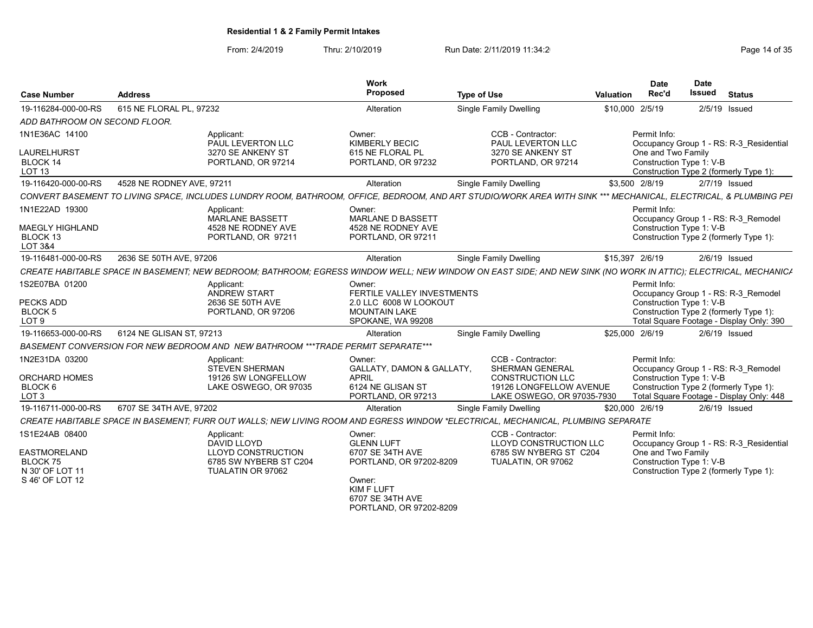# From: 2/4/2019 Thru: 2/10/2019 Run Date: 2/11/2019 11:34:2<br>Page 14 of 35

|                                                                          |                                                                                                                                                                  | Work                                                                                                        |                                                                                  |                  | <b>Date</b>        | <b>Date</b>              |                                                                                                                           |
|--------------------------------------------------------------------------|------------------------------------------------------------------------------------------------------------------------------------------------------------------|-------------------------------------------------------------------------------------------------------------|----------------------------------------------------------------------------------|------------------|--------------------|--------------------------|---------------------------------------------------------------------------------------------------------------------------|
| <b>Case Number</b>                                                       | <b>Address</b>                                                                                                                                                   | Proposed                                                                                                    | <b>Type of Use</b>                                                               | <b>Valuation</b> | Rec'd              | Issued                   | <b>Status</b>                                                                                                             |
| 19-116284-000-00-RS                                                      | 615 NE FLORAL PL, 97232                                                                                                                                          | Alteration                                                                                                  | <b>Single Family Dwelling</b>                                                    | \$10,000 2/5/19  |                    |                          | $2/5/19$ Issued                                                                                                           |
| ADD BATHROOM ON SECOND FLOOR.                                            |                                                                                                                                                                  |                                                                                                             |                                                                                  |                  |                    |                          |                                                                                                                           |
| 1N1E36AC 14100                                                           | Applicant:<br>PAUL LEVERTON LLC                                                                                                                                  | Owner:<br><b>KIMBERLY BECIC</b>                                                                             | CCB - Contractor:<br>PAUL LEVERTON LLC                                           |                  | Permit Info:       |                          | Occupancy Group 1 - RS: R-3 Residential                                                                                   |
| <b>LAURELHURST</b><br>BLOCK 14                                           | 3270 SE ANKENY ST<br>PORTLAND, OR 97214                                                                                                                          | 615 NE FLORAL PL<br>PORTLAND, OR 97232                                                                      | 3270 SE ANKENY ST<br>PORTLAND, OR 97214                                          |                  | One and Two Family | Construction Type 1: V-B |                                                                                                                           |
| <b>LOT 13</b>                                                            |                                                                                                                                                                  |                                                                                                             |                                                                                  |                  |                    |                          | Construction Type 2 (formerly Type 1):                                                                                    |
| 19-116420-000-00-RS                                                      | 4528 NE RODNEY AVE, 97211                                                                                                                                        | Alteration                                                                                                  | <b>Single Family Dwelling</b>                                                    |                  | \$3,500 2/8/19     |                          | $2/7/19$ Issued                                                                                                           |
|                                                                          | CONVERT BASEMENT TO LIVING SPACE, INCLUDES LUNDRY ROOM, BATHROOM, OFFICE, BEDROOM, AND ART STUDIO/WORK AREA WITH SINK *** MECHANICAL, ELECTRICAL, & PLUMBING PEI |                                                                                                             |                                                                                  |                  |                    |                          |                                                                                                                           |
| 1N1E22AD 19300<br><b>MAEGLY HIGHLAND</b><br>BLOCK 13                     | Applicant:<br><b>MARLANE BASSETT</b><br>4528 NE RODNEY AVE<br>PORTLAND, OR 97211                                                                                 | Owner:<br><b>MARLANE D BASSETT</b><br>4528 NE RODNEY AVE<br>PORTLAND, OR 97211                              |                                                                                  |                  | Permit Info:       | Construction Type 1: V-B | Occupancy Group 1 - RS: R-3 Remodel<br>Construction Type 2 (formerly Type 1):                                             |
| LOT 3&4                                                                  |                                                                                                                                                                  |                                                                                                             |                                                                                  |                  |                    |                          |                                                                                                                           |
| 19-116481-000-00-RS                                                      | 2636 SE 50TH AVE, 97206                                                                                                                                          | Alteration                                                                                                  | <b>Single Family Dwelling</b>                                                    | \$15,397 2/6/19  |                    |                          | $2/6/19$ Issued                                                                                                           |
|                                                                          | CREATE HABITABLE SPACE IN BASEMENT; NEW BEDROOM; BATHROOM; EGRESS WINDOW WELL; NEW WINDOW ON EAST SIDE; AND NEW SINK (NO WORK IN ATTIC); ELECTRICAL, MECHANIC/   |                                                                                                             |                                                                                  |                  |                    |                          |                                                                                                                           |
| 1S2E07BA 01200<br><b>PECKS ADD</b><br><b>BLOCK 5</b><br>LOT <sub>9</sub> | Applicant:<br>ANDREW START<br>2636 SE 50TH AVE<br>PORTLAND, OR 97206                                                                                             | Owner:<br>FERTILE VALLEY INVESTMENTS<br>2.0 LLC 6008 W LOOKOUT<br><b>MOUNTAIN LAKE</b><br>SPOKANE, WA 99208 |                                                                                  |                  | Permit Info:       | Construction Type 1: V-B | Occupancy Group 1 - RS: R-3 Remodel<br>Construction Type 2 (formerly Type 1):<br>Total Square Footage - Display Only: 390 |
| 19-116653-000-00-RS                                                      | 6124 NE GLISAN ST. 97213                                                                                                                                         | Alteration                                                                                                  | <b>Single Family Dwelling</b>                                                    | \$25,000 2/6/19  |                    |                          | $2/6/19$ Issued                                                                                                           |
|                                                                          | BASEMENT CONVERSION FOR NEW BEDROOM AND NEW BATHROOM ***TRADE PERMIT SEPARATE***                                                                                 |                                                                                                             |                                                                                  |                  |                    |                          |                                                                                                                           |
| 1N2E31DA 03200                                                           | Applicant:<br><b>STEVEN SHERMAN</b>                                                                                                                              | Owner:<br>GALLATY, DAMON & GALLATY,                                                                         | CCB - Contractor:<br><b>SHERMAN GENERAL</b>                                      |                  | Permit Info:       |                          | Occupancy Group 1 - RS: R-3 Remodel                                                                                       |
| <b>ORCHARD HOMES</b><br>BLOCK 6<br>LOT <sub>3</sub>                      | 19126 SW LONGFELLOW<br>LAKE OSWEGO, OR 97035                                                                                                                     | <b>APRIL</b><br>6124 NE GLISAN ST<br>PORTLAND, OR 97213                                                     | <b>CONSTRUCTION LLC</b><br>19126 LONGFELLOW AVENUE<br>LAKE OSWEGO, OR 97035-7930 |                  |                    | Construction Type 1: V-B | Construction Type 2 (formerly Type 1):<br>Total Square Footage - Display Only: 448                                        |
| 19-116711-000-00-RS                                                      | 6707 SE 34TH AVE, 97202                                                                                                                                          | Alteration                                                                                                  | Single Family Dwelling                                                           | \$20,000 2/6/19  |                    |                          | $2/6/19$ Issued                                                                                                           |
|                                                                          | CREATE HABITABLE SPACE IN BASEMENT; FURR OUT WALLS; NEW LIVING ROOM AND EGRESS WINDOW *ELECTRICAL, MECHANICAL, PLUMBING SEPARATE                                 |                                                                                                             |                                                                                  |                  |                    |                          |                                                                                                                           |
| 1S1E24AB 08400                                                           | Applicant:<br><b>DAVID LLOYD</b>                                                                                                                                 | Owner:<br><b>GLENN LUFT</b>                                                                                 | CCB - Contractor:<br>LLOYD CONSTRUCTION LLC                                      |                  | Permit Info:       |                          | Occupancy Group 1 - RS: R-3 Residential                                                                                   |
| <b>EASTMORELAND</b><br>BLOCK 75<br>N 30' OF LOT 11<br>S 46' OF LOT 12    | <b>LLOYD CONSTRUCTION</b><br>6785 SW NYBERB ST C204<br>TUALATIN OR 97062                                                                                         | 6707 SE 34TH AVE<br>PORTLAND, OR 97202-8209<br>Owner:                                                       | 6785 SW NYBERG ST C204<br>TUALATIN, OR 97062                                     |                  | One and Two Family | Construction Type 1: V-B | Construction Type 2 (formerly Type 1):                                                                                    |
|                                                                          |                                                                                                                                                                  | <b>KIMF LUFT</b><br>6707 SE 34TH AVE<br>PORTLAND, OR 97202-8209                                             |                                                                                  |                  |                    |                          |                                                                                                                           |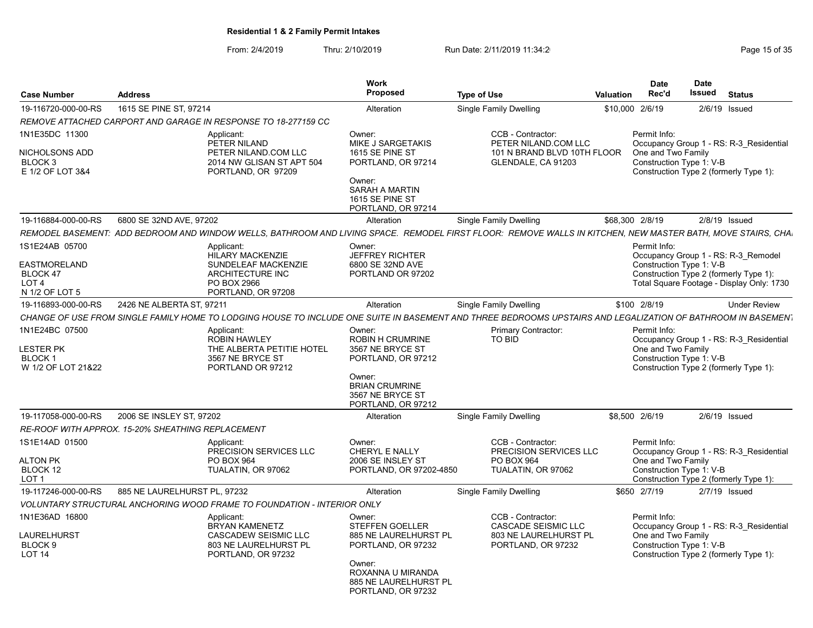| <b>Case Number</b>                                                                      | <b>Address</b>                                    |                                                                                                                       | <b>Work</b><br>Proposed                                                                                                                                       | <b>Type of Use</b>                                                                                                                                           | <b>Valuation</b> | <b>Date</b><br>Rec'd                                           | Date<br>Issued<br><b>Status</b>                                                                                            |
|-----------------------------------------------------------------------------------------|---------------------------------------------------|-----------------------------------------------------------------------------------------------------------------------|---------------------------------------------------------------------------------------------------------------------------------------------------------------|--------------------------------------------------------------------------------------------------------------------------------------------------------------|------------------|----------------------------------------------------------------|----------------------------------------------------------------------------------------------------------------------------|
| 19-116720-000-00-RS                                                                     | 1615 SE PINE ST. 97214                            |                                                                                                                       | Alteration                                                                                                                                                    | Single Family Dwelling                                                                                                                                       | \$10,000 2/6/19  |                                                                | $2/6/19$ Issued                                                                                                            |
|                                                                                         |                                                   | REMOVE ATTACHED CARPORT AND GARAGE IN RESPONSE TO 18-277159 CC                                                        |                                                                                                                                                               |                                                                                                                                                              |                  |                                                                |                                                                                                                            |
| 1N1E35DC 11300<br>NICHOLSONS ADD<br>BLOCK 3<br>E 1/2 OF LOT 3&4                         |                                                   | Applicant:<br>PETER NILAND<br>PETER NILAND.COM LLC<br>2014 NW GLISAN ST APT 504<br>PORTLAND, OR 97209                 | Owner:<br>MIKE J SARGETAKIS<br>1615 SE PINE ST<br>PORTLAND, OR 97214<br>Owner:<br>SARAH A MARTIN<br><b>1615 SE PINE ST</b><br>PORTLAND, OR 97214              | CCB - Contractor:<br>PETER NILAND.COM LLC<br>101 N BRAND BLVD 10TH FLOOR<br>GLENDALE, CA 91203                                                               |                  | Permit Info:<br>One and Two Family<br>Construction Type 1: V-B | Occupancy Group 1 - RS: R-3 Residential<br>Construction Type 2 (formerly Type 1):                                          |
| 19-116884-000-00-RS                                                                     | 6800 SE 32ND AVE, 97202                           |                                                                                                                       | Alteration                                                                                                                                                    | Single Family Dwelling                                                                                                                                       | \$68,300 2/8/19  |                                                                | 2/8/19 Issued                                                                                                              |
|                                                                                         |                                                   |                                                                                                                       |                                                                                                                                                               | REMODEL BASEMENT: ADD BEDROOM AND WINDOW WELLS, BATHROOM AND LIVING SPACE. REMODEL FIRST FLOOR: REMOVE WALLS IN KITCHEN, NEW MASTER BATH, MOVE STAIRS, CHA   |                  |                                                                |                                                                                                                            |
| 1S1E24AB 05700<br><b>EASTMORELAND</b><br>BLOCK 47<br>LOT <sub>4</sub><br>N 1/2 OF LOT 5 |                                                   | Applicant:<br><b>HILARY MACKENZIE</b><br>SUNDELEAF MACKENZIE<br>ARCHITECTURE INC<br>PO BOX 2966<br>PORTLAND, OR 97208 | Owner:<br><b>JEFFREY RICHTER</b><br>6800 SE 32ND AVE<br>PORTLAND OR 97202                                                                                     |                                                                                                                                                              |                  | Permit Info:<br>Construction Type 1: V-B                       | Occupancy Group 1 - RS: R-3 Remodel<br>Construction Type 2 (formerly Type 1):<br>Total Square Footage - Display Only: 1730 |
| 19-116893-000-00-RS                                                                     | 2426 NE ALBERTA ST, 97211                         |                                                                                                                       | Alteration                                                                                                                                                    | <b>Single Family Dwelling</b>                                                                                                                                |                  | \$100 2/8/19                                                   | <b>Under Review</b>                                                                                                        |
|                                                                                         |                                                   |                                                                                                                       |                                                                                                                                                               | CHANGE OF USE FROM SINGLE FAMILY HOME TO LODGING HOUSE TO INCLUDE ONE SUITE IN BASEMENT AND THREE BEDROOMS UPSTAIRS AND LEGALIZATION OF BATHROOM IN BASEMENT |                  |                                                                |                                                                                                                            |
| 1N1E24BC 07500<br><b>LESTER PK</b><br><b>BLOCK1</b><br>W 1/2 OF LOT 21&22               |                                                   | Applicant:<br><b>ROBIN HAWLEY</b><br>THE ALBERTA PETITIE HOTEL<br>3567 NE BRYCE ST<br>PORTLAND OR 97212               | Owner:<br><b>ROBIN H CRUMRINE</b><br>3567 NE BRYCE ST<br>PORTLAND, OR 97212<br>Owner:<br><b>BRIAN CRUMRINE</b><br>3567 NE BRYCE ST<br>PORTLAND, OR 97212      | Primary Contractor:<br>TO BID                                                                                                                                |                  | Permit Info:<br>One and Two Family<br>Construction Type 1: V-B | Occupancy Group 1 - RS: R-3 Residential<br>Construction Type 2 (formerly Type 1):                                          |
| 19-117058-000-00-RS                                                                     | 2006 SE INSLEY ST. 97202                          |                                                                                                                       | Alteration                                                                                                                                                    | <b>Single Family Dwelling</b>                                                                                                                                | \$8,500 2/6/19   |                                                                | 2/6/19 Issued                                                                                                              |
|                                                                                         | RE-ROOF WITH APPROX. 15-20% SHEATHING REPLACEMENT |                                                                                                                       |                                                                                                                                                               |                                                                                                                                                              |                  |                                                                |                                                                                                                            |
| 1S1E14AD 01500<br>ALTON PK<br>BLOCK 12<br>LOT <sub>1</sub>                              |                                                   | Applicant:<br>PRECISION SERVICES LLC<br>PO BOX 964<br>TUALATIN, OR 97062                                              | Owner:<br>CHERYL E NALLY<br>2006 SE INSLEY ST<br>PORTLAND, OR 97202-4850                                                                                      | CCB - Contractor:<br>PRECISION SERVICES LLC<br>PO BOX 964<br>TUALATIN, OR 97062                                                                              |                  | Permit Info:<br>One and Two Family<br>Construction Type 1: V-B | Occupancy Group 1 - RS: R-3 Residential<br>Construction Type 2 (formerly Type 1):                                          |
| 19-117246-000-00-RS                                                                     | 885 NE LAURELHURST PL, 97232                      |                                                                                                                       | Alteration                                                                                                                                                    | <b>Single Family Dwelling</b>                                                                                                                                |                  | \$650 2/7/19                                                   | 2/7/19 Issued                                                                                                              |
|                                                                                         |                                                   | <b>VOLUNTARY STRUCTURAL ANCHORING WOOD FRAME TO FOUNDATION - INTERIOR ONLY</b>                                        |                                                                                                                                                               |                                                                                                                                                              |                  |                                                                |                                                                                                                            |
| 1N1E36AD 16800<br>LAURELHURST<br>BLOCK 9<br>LOT <sub>14</sub>                           |                                                   | Applicant:<br><b>BRYAN KAMENETZ</b><br><b>CASCADEW SEISMIC LLC</b><br>803 NE LAURELHURST PL<br>PORTLAND, OR 97232     | Owner:<br><b>STEFFEN GOELLER</b><br>885 NE LAURELHURST PL<br>PORTLAND, OR 97232<br>Owner:<br>ROXANNA U MIRANDA<br>885 NE LAURELHURST PL<br>PORTLAND, OR 97232 | CCB - Contractor:<br><b>CASCADE SEISMIC LLC</b><br>803 NE LAURELHURST PL<br>PORTLAND, OR 97232                                                               |                  | Permit Info:<br>One and Two Family<br>Construction Type 1: V-B | Occupancy Group 1 - RS: R-3 Residential<br>Construction Type 2 (formerly Type 1):                                          |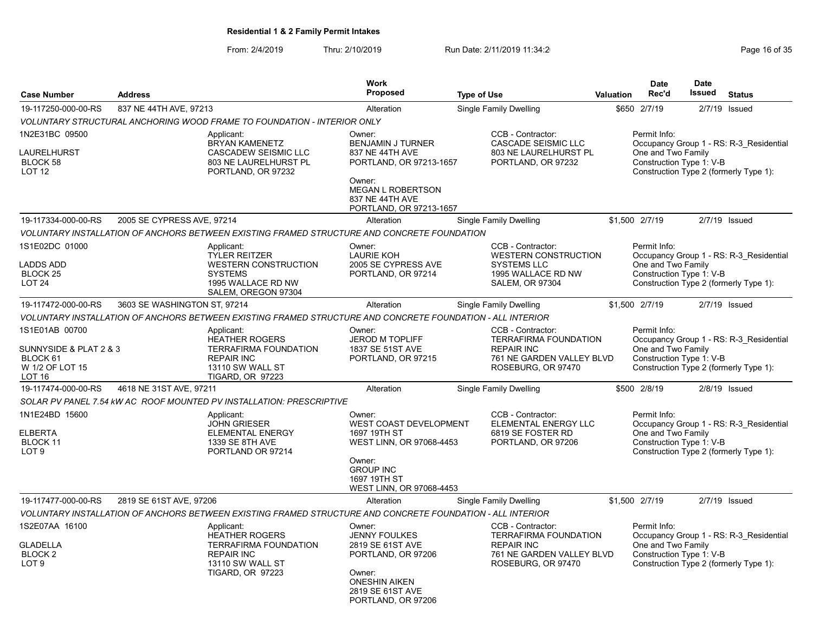|                                                                                          |                              |                                                                                                                                         | <b>Work</b>                                                                                                                                                   |                    |                                                                                                                           |                  | <b>Date</b>                                                    | <b>Date</b>   |                                                                                   |
|------------------------------------------------------------------------------------------|------------------------------|-----------------------------------------------------------------------------------------------------------------------------------------|---------------------------------------------------------------------------------------------------------------------------------------------------------------|--------------------|---------------------------------------------------------------------------------------------------------------------------|------------------|----------------------------------------------------------------|---------------|-----------------------------------------------------------------------------------|
| <b>Case Number</b>                                                                       | <b>Address</b>               |                                                                                                                                         | <b>Proposed</b>                                                                                                                                               | <b>Type of Use</b> |                                                                                                                           | <b>Valuation</b> | Rec'd                                                          | <b>Issued</b> | <b>Status</b>                                                                     |
| 19-117250-000-00-RS                                                                      | 837 NE 44TH AVE, 97213       |                                                                                                                                         | Alteration                                                                                                                                                    |                    | Single Family Dwelling                                                                                                    |                  | \$650 2/7/19                                                   |               | 2/7/19 Issued                                                                     |
|                                                                                          |                              | <b>VOLUNTARY STRUCTURAL ANCHORING WOOD FRAME TO FOUNDATION - INTERIOR ONLY</b>                                                          |                                                                                                                                                               |                    |                                                                                                                           |                  |                                                                |               |                                                                                   |
| 1N2E31BC 09500<br>LAURELHURST<br>BLOCK 58<br>LOT <sub>12</sub>                           |                              | Applicant:<br>BRYAN KAMENETZ<br>CASCADEW SEISMIC LLC<br>803 NE LAURELHURST PL<br>PORTLAND, OR 97232                                     | Owner:<br>BENJAMIN J TURNER<br>837 NE 44TH AVE<br>PORTLAND, OR 97213-1657<br>Owner:<br><b>MEGAN L ROBERTSON</b><br>837 NE 44TH AVE<br>PORTLAND, OR 97213-1657 |                    | CCB - Contractor:<br><b>CASCADE SEISMIC LLC</b><br>803 NE LAURELHURST PL<br>PORTLAND, OR 97232                            |                  | Permit Info:<br>One and Two Family<br>Construction Type 1: V-B |               | Occupancy Group 1 - RS: R-3 Residential<br>Construction Type 2 (formerly Type 1): |
| 19-117334-000-00-RS                                                                      | 2005 SE CYPRESS AVE, 97214   |                                                                                                                                         | Alteration                                                                                                                                                    |                    | Single Family Dwelling                                                                                                    |                  | \$1,500 2/7/19                                                 |               | $2/7/19$ Issued                                                                   |
|                                                                                          |                              | VOLUNTARY INSTALLATION OF ANCHORS BETWEEN EXISTING FRAMED STRUCTURE AND CONCRETE FOUNDATION                                             |                                                                                                                                                               |                    |                                                                                                                           |                  |                                                                |               |                                                                                   |
| 1S1E02DC 01000<br><b>LADDS ADD</b><br>BLOCK <sub>25</sub><br>LOT <sub>24</sub>           |                              | Applicant:<br><b>TYLER REITZER</b><br><b>WESTERN CONSTRUCTION</b><br><b>SYSTEMS</b><br>1995 WALLACE RD NW<br>SALEM, OREGON 97304        | Owner:<br><b>LAURIE KOH</b><br>2005 SE CYPRESS AVE<br>PORTLAND, OR 97214                                                                                      |                    | CCB - Contractor:<br><b>WESTERN CONSTRUCTION</b><br><b>SYSTEMS LLC</b><br>1995 WALLACE RD NW<br><b>SALEM, OR 97304</b>    |                  | Permit Info:<br>One and Two Family<br>Construction Type 1: V-B |               | Occupancy Group 1 - RS: R-3 Residential<br>Construction Type 2 (formerly Type 1): |
| 19-117472-000-00-RS                                                                      | 3603 SE WASHINGTON ST, 97214 |                                                                                                                                         | Alteration                                                                                                                                                    |                    | <b>Single Family Dwelling</b>                                                                                             |                  | \$1,500 2/7/19                                                 |               | $2/7/19$ Issued                                                                   |
|                                                                                          |                              | VOLUNTARY INSTALLATION OF ANCHORS BETWEEN EXISTING FRAMED STRUCTURE AND CONCRETE FOUNDATION - ALL INTERIOR                              |                                                                                                                                                               |                    |                                                                                                                           |                  |                                                                |               |                                                                                   |
| 1S1E01AB 00700<br>SUNNYSIDE & PLAT 2 & 3<br>BLOCK 61<br>W 1/2 OF LOT 15<br><b>LOT 16</b> |                              | Applicant:<br>HEATHER ROGERS<br><b>TERRAFIRMA FOUNDATION</b><br><b>REPAIR INC</b><br>13110 SW WALL ST<br>TIGARD, OR 97223               | Owner:<br>JEROD M TOPLIFF<br>1837 SE 51ST AVE<br>PORTLAND, OR 97215                                                                                           |                    | CCB - Contractor:<br><b>TERRAFIRMA FOUNDATION</b><br><b>REPAIR INC</b><br>761 NE GARDEN VALLEY BLVD<br>ROSEBURG, OR 97470 |                  | Permit Info:<br>One and Two Family<br>Construction Type 1: V-B |               | Occupancy Group 1 - RS: R-3 Residential<br>Construction Type 2 (formerly Type 1): |
| 19-117474-000-00-RS                                                                      | 4618 NE 31ST AVE, 97211      |                                                                                                                                         | Alteration                                                                                                                                                    |                    | Single Family Dwelling                                                                                                    |                  | \$500 2/8/19                                                   |               | $2/8/19$ Issued                                                                   |
|                                                                                          |                              | SOLAR PV PANEL 7.54 KW AC ROOF MOUNTED PV INSTALLATION: PRESCRIPTIVE                                                                    |                                                                                                                                                               |                    |                                                                                                                           |                  |                                                                |               |                                                                                   |
| 1N1E24BD 15600<br><b>ELBERTA</b><br>BLOCK 11<br>LOT <sub>9</sub>                         |                              | Applicant:<br><b>JOHN GRIESER</b><br><b>ELEMENTAL ENERGY</b><br>1339 SE 8TH AVE<br>PORTLAND OR 97214                                    | Owner:<br>WEST COAST DEVELOPMENT<br>1697 19TH ST<br>WEST LINN, OR 97068-4453<br>Owner:<br><b>GROUP INC</b><br>1697 19TH ST                                    |                    | CCB - Contractor:<br>ELEMENTAL ENERGY LLC<br>6819 SE FOSTER RD<br>PORTLAND, OR 97206                                      |                  | Permit Info:<br>One and Two Family<br>Construction Type 1: V-B |               | Occupancy Group 1 - RS: R-3 Residential<br>Construction Type 2 (formerly Type 1): |
|                                                                                          |                              |                                                                                                                                         | WEST LINN, OR 97068-4453                                                                                                                                      |                    |                                                                                                                           |                  |                                                                |               |                                                                                   |
| 19-117477-000-00-RS                                                                      | 2819 SE 61ST AVE, 97206      |                                                                                                                                         | Alteration                                                                                                                                                    |                    | Single Family Dwelling                                                                                                    |                  | \$1,500 2/7/19                                                 |               | $2/7/19$ Issued                                                                   |
| 1S2E07AA 16100                                                                           |                              | VOLUNTARY INSTALLATION OF ANCHORS BETWEEN EXISTING FRAMED STRUCTURE AND CONCRETE FOUNDATION - ALL INTERIOR                              |                                                                                                                                                               |                    |                                                                                                                           |                  |                                                                |               |                                                                                   |
| <b>GLADELLA</b><br><b>BLOCK2</b><br>LOT <sub>9</sub>                                     |                              | Applicant:<br><b>HEATHER ROGERS</b><br><b>TERRAFIRMA FOUNDATION</b><br><b>REPAIR INC</b><br>13110 SW WALL ST<br><b>TIGARD, OR 97223</b> | Owner:<br><b>JENNY FOULKES</b><br>2819 SE 61ST AVE<br>PORTLAND, OR 97206<br>Owner:<br><b>ONESHIN AIKEN</b><br>2819 SE 61ST AVE<br>PORTLAND, OR 97206          |                    | CCB - Contractor:<br><b>TERRAFIRMA FOUNDATION</b><br><b>REPAIR INC</b><br>761 NE GARDEN VALLEY BLVD<br>ROSEBURG, OR 97470 |                  | Permit Info:<br>One and Two Family<br>Construction Type 1: V-B |               | Occupancy Group 1 - RS: R-3 Residential<br>Construction Type 2 (formerly Type 1): |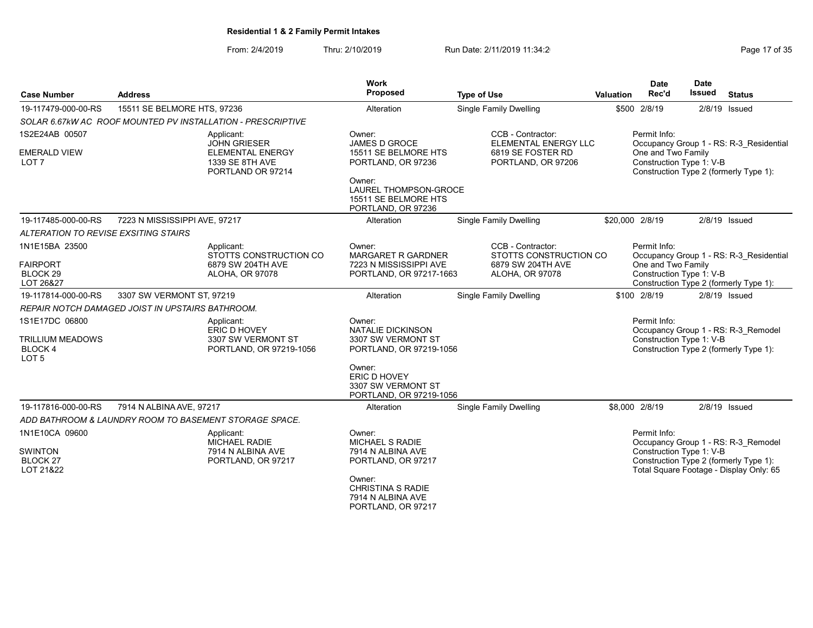| <b>Case Number</b>                                                       | <b>Address</b>                                                                         | Work<br>Proposed                                                                               | <b>Type of Use</b>                                               | Valuation       | <b>Date</b><br>Rec'd                           | <b>Date</b><br><b>Issued</b> | <b>Status</b>                                                                                                            |
|--------------------------------------------------------------------------|----------------------------------------------------------------------------------------|------------------------------------------------------------------------------------------------|------------------------------------------------------------------|-----------------|------------------------------------------------|------------------------------|--------------------------------------------------------------------------------------------------------------------------|
| 19-117479-000-00-RS                                                      | 15511 SE BELMORE HTS, 97236                                                            | Alteration                                                                                     | <b>Single Family Dwelling</b>                                    |                 | \$500 2/8/19                                   |                              | $2/8/19$ Issued                                                                                                          |
|                                                                          | SOLAR 6.67kW AC ROOF MOUNTED PV INSTALLATION - PRESCRIPTIVE                            |                                                                                                |                                                                  |                 |                                                |                              |                                                                                                                          |
| 1S2E24AB 00507                                                           | Applicant:                                                                             | Owner:                                                                                         | CCB - Contractor:                                                |                 | Permit Info:                                   |                              |                                                                                                                          |
| <b>EMERALD VIEW</b><br>LOT <sub>7</sub>                                  | <b>JOHN GRIESER</b><br><b>ELEMENTAL ENERGY</b><br>1339 SE 8TH AVE<br>PORTLAND OR 97214 | JAMES D GROCE<br>15511 SE BELMORE HTS<br>PORTLAND, OR 97236<br>Owner:<br>LAUREL THOMPSON-GROCE | ELEMENTAL ENERGY LLC<br>6819 SE FOSTER RD<br>PORTLAND, OR 97206  |                 | One and Two Family<br>Construction Type 1: V-B |                              | Occupancy Group 1 - RS: R-3 Residential<br>Construction Type 2 (formerly Type 1):                                        |
|                                                                          |                                                                                        | 15511 SE BELMORE HTS<br>PORTLAND, OR 97236                                                     |                                                                  |                 |                                                |                              |                                                                                                                          |
| 19-117485-000-00-RS                                                      | 7223 N MISSISSIPPI AVE, 97217                                                          | Alteration                                                                                     | <b>Single Family Dwelling</b>                                    | \$20,000 2/8/19 |                                                |                              | $2/8/19$ Issued                                                                                                          |
| ALTERATION TO REVISE EXSITING STAIRS                                     |                                                                                        |                                                                                                |                                                                  |                 |                                                |                              |                                                                                                                          |
| 1N1E15BA 23500<br><b>FAIRPORT</b>                                        | Applicant:<br>STOTTS CONSTRUCTION CO<br>6879 SW 204TH AVE                              | Owner:<br><b>MARGARET R GARDNER</b><br>7223 N MISSISSIPPI AVE                                  | CCB - Contractor:<br>STOTTS CONSTRUCTION CO<br>6879 SW 204TH AVE |                 | Permit Info:<br>One and Two Family             |                              | Occupancy Group 1 - RS: R-3 Residential                                                                                  |
| BLOCK 29<br>LOT 26&27                                                    | ALOHA, OR 97078                                                                        | PORTLAND, OR 97217-1663                                                                        | ALOHA, OR 97078                                                  |                 | Construction Type 1: V-B                       |                              | Construction Type 2 (formerly Type 1):                                                                                   |
| 19-117814-000-00-RS                                                      | 3307 SW VERMONT ST, 97219                                                              | Alteration                                                                                     | <b>Single Family Dwelling</b>                                    |                 | \$100 2/8/19                                   |                              | $2/8/19$ Issued                                                                                                          |
|                                                                          | REPAIR NOTCH DAMAGED JOIST IN UPSTAIRS BATHROOM.                                       |                                                                                                |                                                                  |                 |                                                |                              |                                                                                                                          |
| 1S1E17DC 06800<br><b>TRILLIUM MEADOWS</b><br>BLOCK 4<br>LOT <sub>5</sub> | Applicant:<br>ERIC D HOVEY<br>3307 SW VERMONT ST<br>PORTLAND, OR 97219-1056            | Owner:<br><b>NATALIE DICKINSON</b><br>3307 SW VERMONT ST<br>PORTLAND, OR 97219-1056            |                                                                  |                 | Permit Info:<br>Construction Type 1: V-B       |                              | Occupancy Group 1 - RS: R-3 Remodel<br>Construction Type 2 (formerly Type 1):                                            |
|                                                                          |                                                                                        | Owner:<br>ERIC D HOVEY<br>3307 SW VERMONT ST<br>PORTLAND, OR 97219-1056                        |                                                                  |                 |                                                |                              |                                                                                                                          |
| 19-117816-000-00-RS                                                      | 7914 N ALBINA AVE, 97217                                                               | Alteration                                                                                     | <b>Single Family Dwelling</b>                                    |                 | \$8,000 2/8/19                                 |                              | $2/8/19$ Issued                                                                                                          |
|                                                                          | ADD BATHROOM & LAUNDRY ROOM TO BASEMENT STORAGE SPACE.                                 |                                                                                                |                                                                  |                 |                                                |                              |                                                                                                                          |
| 1N1E10CA 09600<br><b>SWINTON</b><br>BLOCK 27<br>LOT 21&22                | Applicant:<br><b>MICHAEL RADIE</b><br>7914 N ALBINA AVE<br>PORTLAND, OR 97217          | Owner:<br>MICHAEL S RADIE<br>7914 N ALBINA AVE<br>PORTLAND, OR 97217                           |                                                                  |                 | Permit Info:<br>Construction Type 1: V-B       |                              | Occupancy Group 1 - RS: R-3 Remodel<br>Construction Type 2 (formerly Type 1):<br>Total Square Footage - Display Only: 65 |
|                                                                          |                                                                                        | Owner:<br><b>CHRISTINA S RADIE</b><br>7914 N ALBINA AVE<br>PORTLAND, OR 97217                  |                                                                  |                 |                                                |                              |                                                                                                                          |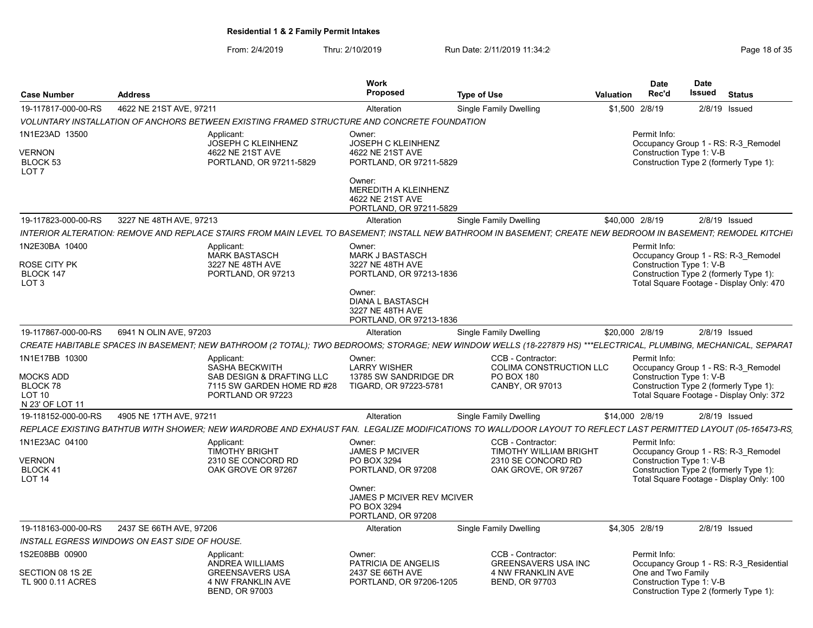| <b>Case Number</b>                                                                 | <b>Address</b>                                                                              |                                                                                                | Work<br>Proposed                                                                                                                                             | <b>Type of Use</b>                                                                                                                                               | Valuation | <b>Date</b><br>Rec'd                     | <b>Date</b><br>Issued | <b>Status</b>                                                                                                             |
|------------------------------------------------------------------------------------|---------------------------------------------------------------------------------------------|------------------------------------------------------------------------------------------------|--------------------------------------------------------------------------------------------------------------------------------------------------------------|------------------------------------------------------------------------------------------------------------------------------------------------------------------|-----------|------------------------------------------|-----------------------|---------------------------------------------------------------------------------------------------------------------------|
| 19-117817-000-00-RS                                                                | 4622 NE 21ST AVE, 97211                                                                     |                                                                                                | Alteration                                                                                                                                                   | Single Family Dwelling                                                                                                                                           |           | \$1,500 2/8/19                           |                       | $2/8/19$ Issued                                                                                                           |
|                                                                                    | VOLUNTARY INSTALLATION OF ANCHORS BETWEEN EXISTING FRAMED STRUCTURE AND CONCRETE FOUNDATION |                                                                                                |                                                                                                                                                              |                                                                                                                                                                  |           |                                          |                       |                                                                                                                           |
| 1N1E23AD 13500<br>VERNON<br>BLOCK 53<br>LOT <sub>7</sub>                           | Applicant:                                                                                  | <b>JOSEPH C KLEINHENZ</b><br>4622 NE 21ST AVE<br>PORTLAND, OR 97211-5829                       | Owner:<br>JOSEPH C KLEINHENZ<br>4622 NE 21ST AVE<br>PORTLAND, OR 97211-5829<br>Owner:<br>MEREDITH A KLEINHENZ<br>4622 NE 21ST AVE                            |                                                                                                                                                                  |           | Permit Info:<br>Construction Type 1: V-B |                       | Occupancy Group 1 - RS: R-3 Remodel<br>Construction Type 2 (formerly Type 1):                                             |
| 19-117823-000-00-RS                                                                | 3227 NE 48TH AVE, 97213                                                                     |                                                                                                | PORTLAND, OR 97211-5829<br>Alteration                                                                                                                        | <b>Single Family Dwelling</b>                                                                                                                                    |           | \$40,000 2/8/19                          |                       | 2/8/19 Issued                                                                                                             |
|                                                                                    |                                                                                             |                                                                                                |                                                                                                                                                              | INTERIOR ALTERATION: REMOVE AND REPLACE STAIRS FROM MAIN LEVEL TO BASEMENT: INSTALL NEW BATHROOM IN BASEMENT: CREATE NEW BEDROOM IN BASEMENT: REMODEL KITCHEI    |           |                                          |                       |                                                                                                                           |
| 1N2E30BA 10400<br>ROSE CITY PK<br>BLOCK 147<br>LOT <sub>3</sub>                    | Applicant:                                                                                  | <b>MARK BASTASCH</b><br>3227 NE 48TH AVE<br>PORTLAND, OR 97213                                 | Owner:<br><b>MARK J BASTASCH</b><br>3227 NE 48TH AVE<br>PORTLAND, OR 97213-1836<br>Owner:<br>DIANA L BASTASCH<br>3227 NE 48TH AVE<br>PORTLAND, OR 97213-1836 |                                                                                                                                                                  |           | Permit Info:<br>Construction Type 1: V-B |                       | Occupancy Group 1 - RS: R-3 Remodel<br>Construction Type 2 (formerly Type 1):<br>Total Square Footage - Display Only: 470 |
| 19-117867-000-00-RS                                                                | 6941 N OLIN AVE, 97203                                                                      |                                                                                                | Alteration                                                                                                                                                   | Single Family Dwelling                                                                                                                                           |           | \$20,000 2/8/19                          |                       | $2/8/19$ Issued                                                                                                           |
|                                                                                    |                                                                                             |                                                                                                |                                                                                                                                                              | CREATE HABITABLE SPACES IN BASEMENT; NEW BATHROOM (2 TOTAL); TWO BEDROOMS; STORAGE; NEW WINDOW WELLS (18-227879 HS) ***ELECTRICAL, PLUMBING, MECHANICAL, SEPARAT |           |                                          |                       |                                                                                                                           |
| 1N1E17BB 10300<br><b>MOCKS ADD</b><br>BLOCK 78<br><b>LOT 10</b><br>N 23' OF LOT 11 | Applicant:                                                                                  | SASHA BECKWITH<br>SAB DESIGN & DRAFTING LLC<br>7115 SW GARDEN HOME RD #28<br>PORTLAND OR 97223 | Owner:<br><b>LARRY WISHER</b><br>13785 SW SANDRIDGE DR<br>TIGARD, OR 97223-5781                                                                              | CCB - Contractor:<br><b>COLIMA CONSTRUCTION LLC</b><br><b>PO BOX 180</b><br><b>CANBY, OR 97013</b>                                                               |           | Permit Info:<br>Construction Type 1: V-B |                       | Occupancy Group 1 - RS: R-3_Remodel<br>Construction Type 2 (formerly Type 1):<br>Total Square Footage - Display Only: 372 |
| 19-118152-000-00-RS                                                                | 4905 NE 17TH AVE, 97211                                                                     |                                                                                                | Alteration                                                                                                                                                   | Single Family Dwelling                                                                                                                                           |           | \$14,000 2/8/19                          |                       | 2/8/19 Issued                                                                                                             |
|                                                                                    |                                                                                             |                                                                                                |                                                                                                                                                              | REPLACE EXISTING BATHTUB WITH SHOWER; NEW WARDROBE AND EXHAUST FAN. LEGALIZE MODIFICATIONS TO WALL/DOOR LAYOUT TO REFLECT LAST PERMITTED LAYOUT (05-165473-RS    |           |                                          |                       |                                                                                                                           |
| 1N1E23AC 04100<br>VERNON<br>BLOCK 41<br><b>LOT 14</b>                              | Applicant:                                                                                  | <b>TIMOTHY BRIGHT</b><br>2310 SE CONCORD RD<br>OAK GROVE OR 97267                              | Owner:<br><b>JAMES P MCIVER</b><br>PO BOX 3294<br>PORTLAND, OR 97208<br>Owner:<br>JAMES P MCIVER REV MCIVER<br>PO BOX 3294<br>PORTLAND, OR 97208             | CCB - Contractor:<br><b>TIMOTHY WILLIAM BRIGHT</b><br>2310 SE CONCORD RD<br>OAK GROVE, OR 97267                                                                  |           | Permit Info:<br>Construction Type 1: V-B |                       | Occupancy Group 1 - RS: R-3 Remodel<br>Construction Type 2 (formerly Type 1):<br>Total Square Footage - Display Only: 100 |
| 19-118163-000-00-RS                                                                | 2437 SE 66TH AVE, 97206                                                                     |                                                                                                | Alteration                                                                                                                                                   | <b>Single Family Dwelling</b>                                                                                                                                    |           | \$4,305 2/8/19                           |                       | 2/8/19 Issued                                                                                                             |
|                                                                                    | INSTALL EGRESS WINDOWS ON EAST SIDE OF HOUSE.                                               |                                                                                                |                                                                                                                                                              |                                                                                                                                                                  |           |                                          |                       |                                                                                                                           |
| 1S2E08BB 00900<br>SECTION 08 1S 2E                                                 | Applicant:                                                                                  | ANDREA WILLIAMS<br><b>GREENSAVERS USA</b>                                                      | Owner:<br>PATRICIA DE ANGELIS<br>2437 SE 66TH AVE                                                                                                            | CCB - Contractor:<br><b>GREENSAVERS USA INC</b><br><b>4 NW FRANKLIN AVE</b>                                                                                      |           | Permit Info:<br>One and Two Family       |                       | Occupancy Group 1 - RS: R-3 Residential                                                                                   |
| TL 900 0.11 ACRES                                                                  |                                                                                             | 4 NW FRANKLIN AVE<br><b>BEND, OR 97003</b>                                                     | PORTLAND, OR 97206-1205                                                                                                                                      | <b>BEND, OR 97703</b>                                                                                                                                            |           | Construction Type 1: V-B                 |                       | Construction Type 2 (formerly Type 1):                                                                                    |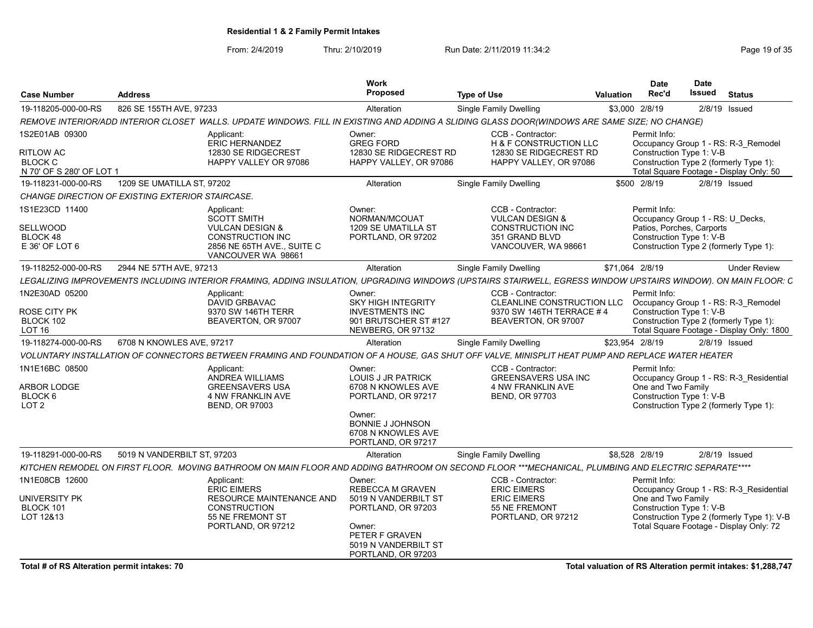From: 2/4/2019 Thru: 2/10/2019 Run Date: 2/11/2019 11:34:2<br>Page 19 of 35

| <b>Case Number</b>                                      | <b>Address</b>                                   |                                                                                                                                                                | Work<br><b>Proposed</b>                                                | <b>Type of Use</b>                                    | Valuation       | <b>Date</b><br>Rec'd | <b>Date</b><br>Issued                                         | <b>Status</b>                                                                         |
|---------------------------------------------------------|--------------------------------------------------|----------------------------------------------------------------------------------------------------------------------------------------------------------------|------------------------------------------------------------------------|-------------------------------------------------------|-----------------|----------------------|---------------------------------------------------------------|---------------------------------------------------------------------------------------|
| 19-118205-000-00-RS                                     | 826 SE 155TH AVE, 97233                          |                                                                                                                                                                | Alteration                                                             | Single Family Dwelling                                | \$3,000 2/8/19  |                      | 2/8/19 Issued                                                 |                                                                                       |
|                                                         |                                                  | REMOVE INTERIOR/ADD INTERIOR CLOSET WALLS. UPDATE WINDOWS. FILL IN EXISTING AND ADDING A SLIDING GLASS DOOR(WINDOWS ARE SAME SIZE; NO CHANGE)                  |                                                                        |                                                       |                 |                      |                                                               |                                                                                       |
| 1S2E01AB 09300                                          |                                                  | Applicant:<br><b>ERIC HERNANDEZ</b>                                                                                                                            | Owner:<br><b>GREG FORD</b>                                             | CCB - Contractor:<br>H & F CONSTRUCTION LLC           |                 | Permit Info:         |                                                               | Occupancy Group 1 - RS: R-3 Remodel                                                   |
| RITLOW AC<br><b>BLOCK C</b><br>N 70' OF S 280' OF LOT 1 |                                                  | 12830 SE RIDGECREST<br>HAPPY VALLEY OR 97086                                                                                                                   | 12830 SE RIDGECREST RD<br>HAPPY VALLEY, OR 97086                       | 12830 SE RIDGECREST RD<br>HAPPY VALLEY, OR 97086      |                 |                      | Construction Type 1: V-B                                      | Construction Type 2 (formerly Type 1):<br>Total Square Footage - Display Only: 50     |
| 19-118231-000-00-RS                                     | 1209 SE UMATILLA ST, 97202                       |                                                                                                                                                                | Alteration                                                             | <b>Single Family Dwelling</b>                         |                 | \$500 2/8/19         | $2/8/19$ Issued                                               |                                                                                       |
|                                                         | CHANGE DIRECTION OF EXISTING EXTERIOR STAIRCASE. |                                                                                                                                                                |                                                                        |                                                       |                 |                      |                                                               |                                                                                       |
| 1S1E23CD 11400                                          |                                                  | Applicant:                                                                                                                                                     | Owner:                                                                 | CCB - Contractor:                                     |                 | Permit Info:         |                                                               |                                                                                       |
| SELLWOOD                                                |                                                  | SCOTT SMITH<br><b>VULCAN DESIGN &amp;</b>                                                                                                                      | NORMAN/MCOUAT<br>1209 SE UMATILLA ST                                   | <b>VULCAN DESIGN &amp;</b><br><b>CONSTRUCTION INC</b> |                 |                      | Occupancy Group 1 - RS: U Decks,<br>Patios, Porches, Carports |                                                                                       |
| BLOCK 48<br>E 36' OF LOT 6                              |                                                  | CONSTRUCTION INC<br>2856 NE 65TH AVE., SUITE C<br>VANCOUVER WA 98661                                                                                           | PORTLAND, OR 97202                                                     | 351 GRAND BLVD<br>VANCOUVER, WA 98661                 |                 |                      | Construction Type 1: V-B                                      | Construction Type 2 (formerly Type 1):                                                |
| 19-118252-000-00-RS                                     | 2944 NE 57TH AVE, 97213                          |                                                                                                                                                                | Alteration                                                             | Single Family Dwelling                                | \$71.064 2/8/19 |                      |                                                               | <b>Under Review</b>                                                                   |
|                                                         |                                                  | LEGALIZING IMPROVEMENTS INCLUDING INTERIOR FRAMING, ADDING INSULATION, UPGRADING WINDOWS (UPSTAIRS STAIRWELL, EGRESS WINDOW UPSTAIRS WINDOW). ON MAIN FLOOR: C |                                                                        |                                                       |                 |                      |                                                               |                                                                                       |
| 1N2E30AD 05200                                          |                                                  | Applicant:                                                                                                                                                     | Owner:                                                                 | CCB - Contractor:                                     |                 | Permit Info:         |                                                               |                                                                                       |
|                                                         |                                                  | DAVID GRBAVAC                                                                                                                                                  | <b>SKY HIGH INTEGRITY</b>                                              | CLEANLINE CONSTRUCTION LLC                            |                 |                      |                                                               | Occupancy Group 1 - RS: R-3 Remodel                                                   |
| ROSE CITY PK                                            |                                                  | 9370 SW 146TH TERR                                                                                                                                             | <b>INVESTMENTS INC</b>                                                 | 9370 SW 146TH TERRACE #4                              |                 |                      | Construction Type 1: V-B                                      |                                                                                       |
| BLOCK 102<br><b>LOT 16</b>                              |                                                  | BEAVERTON, OR 97007                                                                                                                                            | 901 BRUTSCHER ST #127<br>NEWBERG, OR 97132                             | BEAVERTON, OR 97007                                   |                 |                      |                                                               | Construction Type 2 (formerly Type 1):<br>Total Square Footage - Display Only: 1800   |
| 19-118274-000-00-RS                                     | 6708 N KNOWLES AVE, 97217                        |                                                                                                                                                                | Alteration                                                             | Single Family Dwelling                                | \$23,954 2/8/19 |                      |                                                               | $2/8/19$ Issued                                                                       |
|                                                         |                                                  |                                                                                                                                                                |                                                                        |                                                       |                 |                      |                                                               |                                                                                       |
|                                                         |                                                  | VOLUNTARY INSTALLATION OF CONNECTORS BETWEEN FRAMING AND FOUNDATION OF A HOUSE. GAS SHUT OFF VALVE, MINISPLIT HEAT PUMP AND REPLACE WATER HEATER               |                                                                        |                                                       |                 |                      |                                                               |                                                                                       |
| 1N1E16BC 08500                                          |                                                  | Applicant:<br>ANDREA WILLIAMS                                                                                                                                  | Owner:<br>LOUIS J JR PATRICK                                           | CCB - Contractor:<br><b>GREENSAVERS USA INC</b>       |                 | Permit Info:         |                                                               | Occupancy Group 1 - RS: R-3 Residential                                               |
| <b>ARBOR LODGE</b>                                      |                                                  | <b>GREENSAVERS USA</b>                                                                                                                                         | 6708 N KNOWLES AVE                                                     | 4 NW FRANKLIN AVE                                     |                 | One and Two Family   |                                                               |                                                                                       |
| BLOCK 6                                                 |                                                  | <b>4 NW FRANKLIN AVE</b>                                                                                                                                       | PORTLAND, OR 97217                                                     | <b>BEND, OR 97703</b>                                 |                 |                      | Construction Type 1: V-B                                      |                                                                                       |
| LOT <sub>2</sub>                                        |                                                  | <b>BEND, OR 97003</b>                                                                                                                                          |                                                                        |                                                       |                 |                      |                                                               | Construction Type 2 (formerly Type 1):                                                |
|                                                         |                                                  |                                                                                                                                                                | Owner:<br>BONNIE J JOHNSON<br>6708 N KNOWLES AVE<br>PORTLAND, OR 97217 |                                                       |                 |                      |                                                               |                                                                                       |
| 19-118291-000-00-RS                                     | 5019 N VANDERBILT ST, 97203                      |                                                                                                                                                                | Alteration                                                             | Single Family Dwelling                                | \$8,528 2/8/19  |                      | 2/8/19 Issued                                                 |                                                                                       |
|                                                         |                                                  | KITCHEN REMODEL ON FIRST FLOOR. MOVING BATHROOM ON MAIN FLOOR AND ADDING BATHROOM ON SECOND FLOOR ***MECHANICAL, PLUMBING AND ELECTRIC SEPARATE****            |                                                                        |                                                       |                 |                      |                                                               |                                                                                       |
| 1N1E08CB 12600                                          |                                                  | Applicant:                                                                                                                                                     | Owner:                                                                 | CCB - Contractor:                                     |                 | Permit Info:         |                                                               |                                                                                       |
|                                                         |                                                  | <b>ERIC EIMERS</b>                                                                                                                                             | <b>REBECCA M GRAVEN</b>                                                | <b>ERIC EIMERS</b>                                    |                 |                      |                                                               | Occupancy Group 1 - RS: R-3_Residential                                               |
| UNIVERSITY PK                                           |                                                  | RESOURCE MAINTENANCE AND                                                                                                                                       | 5019 N VANDERBILT ST                                                   | <b>ERIC EIMERS</b>                                    |                 | One and Two Family   |                                                               |                                                                                       |
| BLOCK 101                                               |                                                  | <b>CONSTRUCTION</b>                                                                                                                                            | PORTLAND, OR 97203                                                     | 55 NE FREMONT                                         |                 |                      | Construction Type 1: V-B                                      |                                                                                       |
| LOT 12&13                                               |                                                  | 55 NE FREMONT ST<br>PORTLAND, OR 97212                                                                                                                         | Owner:<br>PETER F GRAVEN<br>5019 N VANDERBILT ST                       | PORTLAND, OR 97212                                    |                 |                      |                                                               | Construction Type 2 (formerly Type 1): V-B<br>Total Square Footage - Display Only: 72 |
|                                                         |                                                  |                                                                                                                                                                | PORTLAND, OR 97203                                                     |                                                       |                 |                      |                                                               |                                                                                       |

Total # of RS Alteration permit intakes: 70  $\blacksquare$  Total valuation of RS Alteration permit intakes: \$1,288,747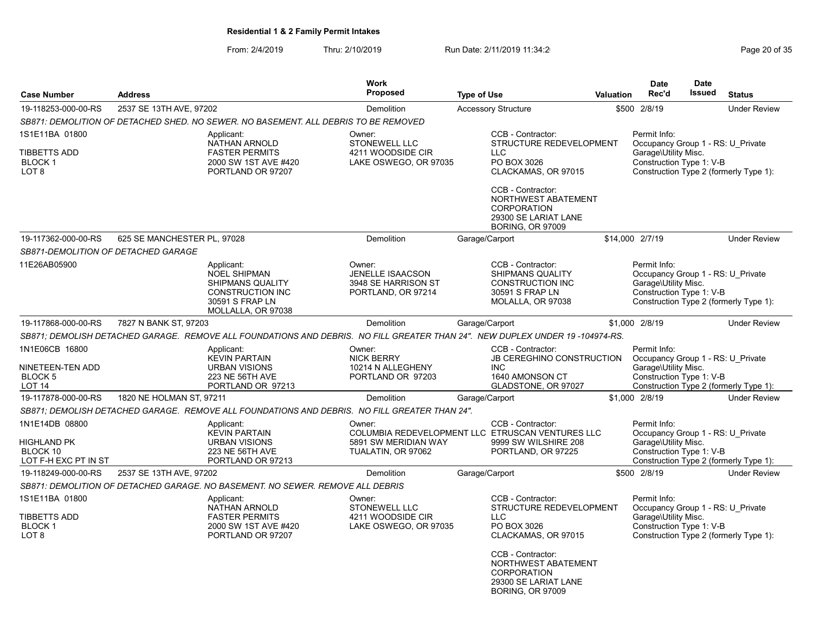### From: 2/4/2019 Thru: 2/10/2019 Run Date: 2/11/2019 11:34:2

|                                                                               |                             |                                                                                                                                  | <b>Work</b>                                                                    |                    |                                                                                                                                              |           | <b>Date</b>                                                                                           | <b>Date</b> |                                        |
|-------------------------------------------------------------------------------|-----------------------------|----------------------------------------------------------------------------------------------------------------------------------|--------------------------------------------------------------------------------|--------------------|----------------------------------------------------------------------------------------------------------------------------------------------|-----------|-------------------------------------------------------------------------------------------------------|-------------|----------------------------------------|
| <b>Case Number</b>                                                            | <b>Address</b>              |                                                                                                                                  | Proposed                                                                       | <b>Type of Use</b> |                                                                                                                                              | Valuation | Rec'd                                                                                                 | Issued      | <b>Status</b>                          |
| 19-118253-000-00-RS                                                           | 2537 SE 13TH AVE, 97202     |                                                                                                                                  | Demolition                                                                     |                    | <b>Accessory Structure</b>                                                                                                                   |           | \$500 2/8/19                                                                                          |             | <b>Under Review</b>                    |
|                                                                               |                             | SB871: DEMOLITION OF DETACHED SHED. NO SEWER. NO BASEMENT. ALL DEBRIS TO BE REMOVED                                              |                                                                                |                    |                                                                                                                                              |           |                                                                                                       |             |                                        |
| 1S1E11BA 01800<br>TIBBETTS ADD<br><b>BLOCK1</b><br>LOT 8                      |                             | Applicant:<br>NATHAN ARNOLD<br><b>FASTER PERMITS</b><br>2000 SW 1ST AVE #420<br>PORTLAND OR 97207                                | Owner:<br><b>STONEWELL LLC</b><br>4211 WOODSIDE CIR<br>LAKE OSWEGO, OR 97035   |                    | CCB - Contractor:<br>STRUCTURE REDEVELOPMENT<br><b>LLC</b><br>PO BOX 3026<br>CLACKAMAS, OR 97015                                             |           | Permit Info:<br>Occupancy Group 1 - RS: U Private<br>Garage\Utility Misc.<br>Construction Type 1: V-B |             | Construction Type 2 (formerly Type 1): |
|                                                                               |                             |                                                                                                                                  |                                                                                |                    | CCB - Contractor:<br>NORTHWEST ABATEMENT<br><b>CORPORATION</b><br>29300 SE LARIAT LANE<br><b>BORING, OR 97009</b>                            |           |                                                                                                       |             |                                        |
| 19-117362-000-00-RS                                                           | 625 SE MANCHESTER PL, 97028 |                                                                                                                                  | Demolition                                                                     | Garage/Carport     |                                                                                                                                              |           | \$14,000 2/7/19                                                                                       |             | <b>Under Review</b>                    |
| SB871-DEMOLITION OF DETACHED GARAGE                                           |                             |                                                                                                                                  |                                                                                |                    |                                                                                                                                              |           |                                                                                                       |             |                                        |
| 11E26AB05900                                                                  |                             | Applicant:<br><b>NOEL SHIPMAN</b><br><b>SHIPMANS QUALITY</b><br><b>CONSTRUCTION INC</b><br>30591 S FRAP LN<br>MOLLALLA, OR 97038 | Owner:<br><b>JENELLE ISAACSON</b><br>3948 SE HARRISON ST<br>PORTLAND, OR 97214 |                    | CCB - Contractor:<br><b>SHIPMANS QUALITY</b><br><b>CONSTRUCTION INC</b><br>30591 S FRAP LN<br>MOLALLA, OR 97038                              |           | Permit Info:<br>Occupancy Group 1 - RS: U Private<br>Garage\Utility Misc.<br>Construction Type 1: V-B |             | Construction Type 2 (formerly Type 1): |
| 19-117868-000-00-RS                                                           | 7827 N BANK ST, 97203       |                                                                                                                                  | Demolition                                                                     | Garage/Carport     |                                                                                                                                              |           | \$1.000 2/8/19                                                                                        |             | <b>Under Review</b>                    |
|                                                                               |                             | SB871; DEMOLISH DETACHED GARAGE. REMOVE ALL FOUNDATIONS AND DEBRIS. NO FILL GREATER THAN 24". NEW DUPLEX UNDER 19-104974-RS.     |                                                                                |                    |                                                                                                                                              |           |                                                                                                       |             |                                        |
| 1N1E06CB 16800<br>NINETEEN-TEN ADD<br>BLOCK <sub>5</sub><br>LOT <sub>14</sub> |                             | Applicant:<br><b>KEVIN PARTAIN</b><br><b>URBAN VISIONS</b><br><b>223 NE 56TH AVE</b><br>PORTLAND OR 97213                        | Owner:<br><b>NICK BERRY</b><br>10214 N ALLEGHENY<br>PORTLAND OR 97203          |                    | CCB - Contractor:<br><b>JB CEREGHINO CONSTRUCTION</b><br><b>INC</b><br>1640 AMONSON CT<br>GLADSTONE, OR 97027                                |           | Permit Info:<br>Occupancy Group 1 - RS: U Private<br>Garage\Utility Misc.<br>Construction Type 1: V-B |             | Construction Type 2 (formerly Type 1): |
| 19-117878-000-00-RS                                                           | 1820 NE HOLMAN ST, 97211    |                                                                                                                                  | Demolition                                                                     | Garage/Carport     |                                                                                                                                              |           | \$1.000 2/8/19                                                                                        |             | <b>Under Review</b>                    |
|                                                                               |                             | SB871; DEMOLISH DETACHED GARAGE. REMOVE ALL FOUNDATIONS AND DEBRIS. NO FILL GREATER THAN 24".                                    |                                                                                |                    |                                                                                                                                              |           |                                                                                                       |             |                                        |
| 1N1E14DB 08800<br>HIGHLAND PK<br>BLOCK 10<br>LOT F-H EXC PT IN ST             |                             | Applicant:<br><b>KEVIN PARTAIN</b><br><b>URBAN VISIONS</b><br><b>223 NE 56TH AVE</b><br>PORTLAND OR 97213                        | Owner:<br>5891 SW MERIDIAN WAY<br>TUALATIN, OR 97062                           |                    | CCB - Contractor:<br>COLUMBIA REDEVELOPMENT LLC ETRUSCAN VENTURES LLC<br>9999 SW WILSHIRE 208<br>PORTLAND, OR 97225                          |           | Permit Info:<br>Occupancy Group 1 - RS: U Private<br>Garage\Utility Misc.<br>Construction Type 1: V-B |             | Construction Type 2 (formerly Type 1): |
| 19-118249-000-00-RS                                                           | 2537 SE 13TH AVE, 97202     |                                                                                                                                  | Demolition                                                                     | Garage/Carport     |                                                                                                                                              |           | \$500 2/8/19                                                                                          |             | <b>Under Review</b>                    |
|                                                                               |                             | SB871: DEMOLITION OF DETACHED GARAGE. NO BASEMENT. NO SEWER. REMOVE ALL DEBRIS                                                   |                                                                                |                    |                                                                                                                                              |           |                                                                                                       |             |                                        |
| 1S1E11BA 01800<br><b>TIBBETTS ADD</b><br><b>BLOCK1</b><br>LOT <sub>8</sub>    |                             | Applicant:<br>NATHAN ARNOLD<br><b>FASTER PERMITS</b><br>2000 SW 1ST AVE #420<br>PORTLAND OR 97207                                | Owner:<br><b>STONEWELL LLC</b><br>4211 WOODSIDE CIR<br>LAKE OSWEGO, OR 97035   |                    | CCB - Contractor:<br>STRUCTURE REDEVELOPMENT<br>$\sqcup$ C<br>PO BOX 3026<br>CLACKAMAS, OR 97015<br>CCB - Contractor:<br>NORTHWEST ABATEMENT |           | Permit Info:<br>Occupancy Group 1 - RS: U Private<br>Garage\Utility Misc.<br>Construction Type 1: V-B |             | Construction Type 2 (formerly Type 1): |
|                                                                               |                             |                                                                                                                                  |                                                                                |                    | <b>CORPORATION</b><br>29300 SE LARIAT LANE                                                                                                   |           |                                                                                                       |             |                                        |

BORING, OR 97009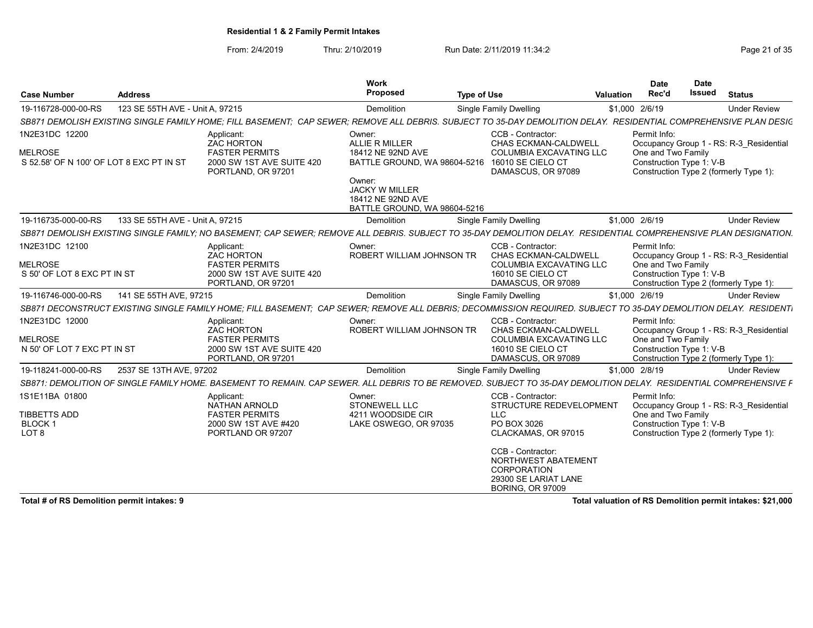From: 2/4/2019 Thru: 2/10/2019 Run Date: 2/11/2019 11:34:2<br>Page 21 of 35

| <b>Case Number</b>                                                           | <b>Address</b>                  |                                                                                                                                                                   | Work<br>Proposed                                                                                                 | <b>Type of Use</b> |                                                                                                                               | Valuation | <b>Date</b><br>Rec'd                                           | <b>Date</b><br><b>Issued</b> | <b>Status</b>                                                                     |
|------------------------------------------------------------------------------|---------------------------------|-------------------------------------------------------------------------------------------------------------------------------------------------------------------|------------------------------------------------------------------------------------------------------------------|--------------------|-------------------------------------------------------------------------------------------------------------------------------|-----------|----------------------------------------------------------------|------------------------------|-----------------------------------------------------------------------------------|
| 19-116728-000-00-RS                                                          | 123 SE 55TH AVE - Unit A, 97215 |                                                                                                                                                                   | Demolition                                                                                                       |                    | <b>Single Family Dwelling</b>                                                                                                 |           | \$1,000 2/6/19                                                 |                              | <b>Under Review</b>                                                               |
|                                                                              |                                 | SB871 DEMOLISH EXISTING SINGLE FAMILY HOME: FILL BASEMENT: CAP SEWER; REMOVE ALL DEBRIS. SUBJECT TO 35-DAY DEMOLITION DELAY. RESIDENTIAL COMPREHENSIVE PLAN DESIG |                                                                                                                  |                    |                                                                                                                               |           |                                                                |                              |                                                                                   |
| 1N2E31DC 12200<br><b>MELROSE</b><br>S 52.58' OF N 100' OF LOT 8 EXC PT IN ST |                                 | Applicant:<br><b>ZAC HORTON</b><br><b>FASTER PERMITS</b><br>2000 SW 1ST AVE SUITE 420<br>PORTLAND, OR 97201                                                       | Owner:<br>ALLIE R MILLER<br>18412 NE 92ND AVE<br>BATTLE GROUND, WA 98604-5216<br>Owner:<br><b>JACKY W MILLER</b> |                    | CCB - Contractor:<br><b>CHAS ECKMAN-CALDWELL</b><br><b>COLUMBIA EXCAVATING LLC</b><br>16010 SE CIELO CT<br>DAMASCUS, OR 97089 |           | Permit Info:<br>One and Two Family<br>Construction Type 1: V-B |                              | Occupancy Group 1 - RS: R-3_Residential<br>Construction Type 2 (formerly Type 1): |
|                                                                              |                                 |                                                                                                                                                                   | 18412 NE 92ND AVE<br>BATTLE GROUND, WA 98604-5216                                                                |                    |                                                                                                                               |           |                                                                |                              |                                                                                   |
| 19-116735-000-00-RS                                                          | 133 SE 55TH AVE - Unit A. 97215 |                                                                                                                                                                   | Demolition                                                                                                       |                    | Single Family Dwelling                                                                                                        |           | \$1,000 2/6/19                                                 |                              | <b>Under Review</b>                                                               |
|                                                                              |                                 | SB871 DEMOLISH EXISTING SINGLE FAMILY: NO BASEMENT: CAP SEWER: REMOVE ALL DEBRIS. SUBJECT TO 35-DAY DEMOLITION DELAY. RESIDENTIAL COMPREHENSIVE PLAN DESIGNATION. |                                                                                                                  |                    |                                                                                                                               |           |                                                                |                              |                                                                                   |
| 1N2E31DC 12100                                                               |                                 | Applicant:<br><b>ZAC HORTON</b>                                                                                                                                   | Owner:<br>ROBERT WILLIAM JOHNSON TR                                                                              |                    | CCB - Contractor:<br>CHAS ECKMAN-CALDWELL                                                                                     |           | Permit Info:                                                   |                              | Occupancy Group 1 - RS: R-3 Residential                                           |
| <b>MELROSE</b><br>S 50' OF LOT 8 EXC PT IN ST                                |                                 | <b>FASTER PERMITS</b><br>2000 SW 1ST AVE SUITE 420<br>PORTLAND, OR 97201                                                                                          |                                                                                                                  |                    | <b>COLUMBIA EXCAVATING LLC</b><br>16010 SE CIELO CT<br>DAMASCUS, OR 97089                                                     |           | One and Two Family<br>Construction Type 1: V-B                 |                              | Construction Type 2 (formerly Type 1):                                            |
| 19-116746-000-00-RS                                                          | 141 SE 55TH AVE, 97215          |                                                                                                                                                                   | Demolition                                                                                                       |                    | Single Family Dwelling                                                                                                        |           | \$1,000 2/6/19                                                 |                              | <b>Under Review</b>                                                               |
|                                                                              |                                 | SB871 DECONSTRUCT EXISTING SINGLE FAMILY HOME: FILL BASEMENT: CAP SEWER: REMOVE ALL DEBRIS: DECOMMISSION REQUIRED. SUBJECT TO 35-DAY DEMOLITION DELAY. RESIDENTI  |                                                                                                                  |                    |                                                                                                                               |           |                                                                |                              |                                                                                   |
| 1N2E31DC 12000                                                               |                                 | Applicant:<br><b>ZAC HORTON</b>                                                                                                                                   | Owner:<br>ROBERT WILLIAM JOHNSON TR                                                                              |                    | CCB - Contractor:<br>CHAS ECKMAN-CALDWELL                                                                                     |           | Permit Info:                                                   |                              | Occupancy Group 1 - RS: R-3 Residential                                           |
| <b>MELROSE</b><br>N 50' OF LOT 7 EXC PT IN ST                                |                                 | <b>FASTER PERMITS</b><br>2000 SW 1ST AVE SUITE 420<br>PORTLAND, OR 97201                                                                                          |                                                                                                                  |                    | <b>COLUMBIA EXCAVATING LLC</b><br>16010 SE CIELO CT<br>DAMASCUS, OR 97089                                                     |           | One and Two Family<br>Construction Type 1: V-B                 |                              | Construction Type 2 (formerly Type 1):                                            |
| 19-118241-000-00-RS                                                          | 2537 SE 13TH AVE, 97202         |                                                                                                                                                                   | Demolition                                                                                                       |                    | <b>Single Family Dwelling</b>                                                                                                 |           | \$1,000 2/8/19                                                 |                              | <b>Under Review</b>                                                               |
|                                                                              |                                 | SB871: DEMOLITION OF SINGLE FAMILY HOME. BASEMENT TO REMAIN. CAP SEWER. ALL DEBRIS TO BE REMOVED. SUBJECT TO 35-DAY DEMOLITION DELAY. RESIDENTIAL COMPREHENSIVE F |                                                                                                                  |                    |                                                                                                                               |           |                                                                |                              |                                                                                   |
| 1S1E11BA 01800                                                               |                                 | Applicant:<br><b>NATHAN ARNOLD</b>                                                                                                                                | Owner:<br><b>STONEWELL LLC</b>                                                                                   |                    | CCB - Contractor:<br>STRUCTURE REDEVELOPMENT                                                                                  |           | Permit Info:                                                   |                              | Occupancy Group 1 - RS: R-3 Residential                                           |
| <b>TIBBETTS ADD</b><br>BLOCK <sub>1</sub><br>LOT <sub>8</sub>                |                                 | <b>FASTER PERMITS</b><br>2000 SW 1ST AVE #420<br>PORTLAND OR 97207                                                                                                | 4211 WOODSIDE CIR<br>LAKE OSWEGO, OR 97035                                                                       |                    | <b>LLC</b><br>PO BOX 3026<br>CLACKAMAS, OR 97015                                                                              |           | One and Two Family<br>Construction Type 1: V-B                 |                              | Construction Type 2 (formerly Type 1):                                            |
|                                                                              |                                 |                                                                                                                                                                   |                                                                                                                  |                    | CCB - Contractor:<br>NORTHWEST ABATEMENT<br>CORPORATION<br>29300 SE LARIAT LANE<br><b>BORING, OR 97009</b>                    |           |                                                                |                              |                                                                                   |

Total # of RS Demolition permit intakes: 9 **Total valuation of RS Demolition permit intakes:** \$21,000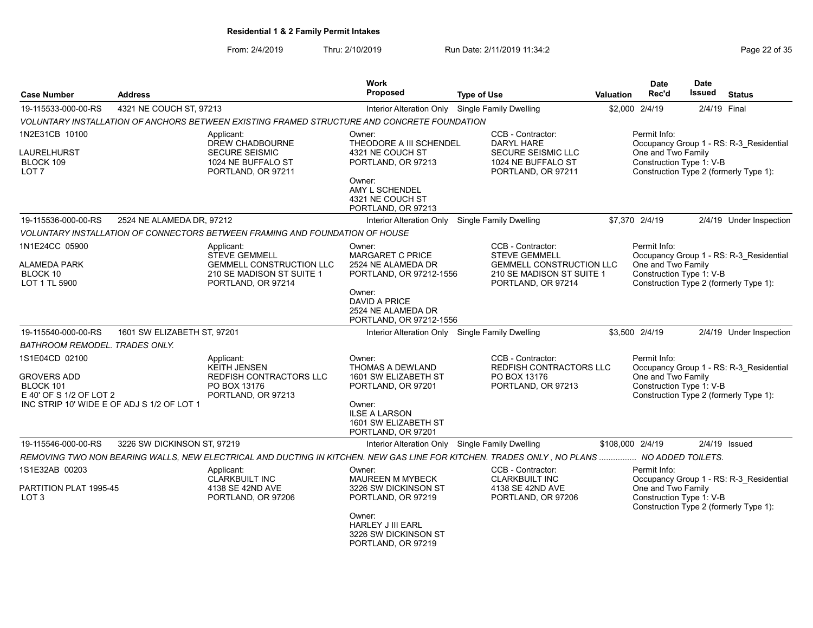| Page 22 of 35 |  |  |
|---------------|--|--|
|               |  |  |

| <b>Case Number</b>                                                           | <b>Address</b>                             |                                                                                                                                                                                                          | Work<br><b>Proposed</b>                                                                                                                                        | <b>Type of Use</b>                                                                                                              | <b>Valuation</b> | <b>Date</b><br>Rec'd                                           | <b>Date</b><br><b>Issued</b> | <b>Status</b>                                                                     |
|------------------------------------------------------------------------------|--------------------------------------------|----------------------------------------------------------------------------------------------------------------------------------------------------------------------------------------------------------|----------------------------------------------------------------------------------------------------------------------------------------------------------------|---------------------------------------------------------------------------------------------------------------------------------|------------------|----------------------------------------------------------------|------------------------------|-----------------------------------------------------------------------------------|
| 19-115533-000-00-RS                                                          | 4321 NE COUCH ST, 97213                    |                                                                                                                                                                                                          | Interior Alteration Only Single Family Dwelling                                                                                                                |                                                                                                                                 |                  | \$2,000 2/4/19                                                 | 2/4/19 Final                 |                                                                                   |
|                                                                              |                                            | VOLUNTARY INSTALLATION OF ANCHORS BETWEEN EXISTING FRAMED STRUCTURE AND CONCRETE FOUNDATION                                                                                                              |                                                                                                                                                                |                                                                                                                                 |                  |                                                                |                              |                                                                                   |
| 1N2E31CB 10100<br>LAURELHURST<br>BLOCK 109<br>LOT <sub>7</sub>               |                                            | Applicant:<br><b>DREW CHADBOURNE</b><br><b>SECURE SEISMIC</b><br>1024 NE BUFFALO ST<br>PORTLAND, OR 97211                                                                                                | Owner:<br>THEODORE A III SCHENDEL<br>4321 NE COUCH ST<br>PORTLAND, OR 97213<br>Owner:<br>AMY L SCHENDEL<br>4321 NE COUCH ST                                    | CCB - Contractor:<br><b>DARYL HARE</b><br>SECURE SEISMIC LLC<br>1024 NE BUFFALO ST<br>PORTLAND, OR 97211                        |                  | Permit Info:<br>One and Two Family<br>Construction Type 1: V-B |                              | Occupancy Group 1 - RS: R-3 Residential<br>Construction Type 2 (formerly Type 1): |
| 19-115536-000-00-RS                                                          | 2524 NE ALAMEDA DR, 97212                  |                                                                                                                                                                                                          | PORTLAND, OR 97213                                                                                                                                             | <b>Single Family Dwelling</b>                                                                                                   |                  | \$7,370 2/4/19                                                 |                              | 2/4/19 Under Inspection                                                           |
|                                                                              |                                            |                                                                                                                                                                                                          | Interior Alteration Only                                                                                                                                       |                                                                                                                                 |                  |                                                                |                              |                                                                                   |
| 1N1E24CC 05900<br>ALAMEDA PARK<br>BLOCK 10<br>LOT 1 TL 5900                  |                                            | VOLUNTARY INSTALLATION OF CONNECTORS BETWEEN FRAMING AND FOUNDATION OF HOUSE<br>Applicant:<br><b>STEVE GEMMELL</b><br><b>GEMMELL CONSTRUCTION LLC</b><br>210 SE MADISON ST SUITE 1<br>PORTLAND, OR 97214 | Owner:<br>MARGARET C PRICE<br>2524 NE ALAMEDA DR<br>PORTLAND, OR 97212-1556<br>Owner:<br><b>DAVID A PRICE</b><br>2524 NE ALAMEDA DR<br>PORTLAND, OR 97212-1556 | CCB - Contractor:<br><b>STEVE GEMMELL</b><br><b>GEMMELL CONSTRUCTION LLC</b><br>210 SE MADISON ST SUITE 1<br>PORTLAND, OR 97214 |                  | Permit Info:<br>One and Two Family<br>Construction Type 1: V-B |                              | Occupancy Group 1 - RS: R-3 Residential<br>Construction Type 2 (formerly Type 1): |
| 19-115540-000-00-RS                                                          | 1601 SW ELIZABETH ST, 97201                |                                                                                                                                                                                                          | Interior Alteration Only Single Family Dwelling                                                                                                                |                                                                                                                                 |                  | \$3,500 2/4/19                                                 |                              | 2/4/19 Under Inspection                                                           |
| BATHROOM REMODEL. TRADES ONLY.                                               |                                            |                                                                                                                                                                                                          |                                                                                                                                                                |                                                                                                                                 |                  |                                                                |                              |                                                                                   |
| 1S1E04CD 02100<br><b>GROVERS ADD</b><br>BLOCK 101<br>E 40' OF S 1/2 OF LOT 2 | INC STRIP 10' WIDE E OF ADJ S 1/2 OF LOT 1 | Applicant:<br><b>KEITH JENSEN</b><br>REDFISH CONTRACTORS LLC<br>PO BOX 13176<br>PORTLAND, OR 97213                                                                                                       | Owner:<br>THOMAS A DEWLAND<br>1601 SW ELIZABETH ST<br>PORTLAND, OR 97201<br>Owner:<br><b>ILSE A LARSON</b><br>1601 SW ELIZABETH ST<br>PORTLAND, OR 97201       | CCB - Contractor:<br>REDFISH CONTRACTORS LLC<br>PO BOX 13176<br>PORTLAND, OR 97213                                              |                  | Permit Info:<br>One and Two Family<br>Construction Type 1: V-B |                              | Occupancy Group 1 - RS: R-3 Residential<br>Construction Type 2 (formerly Type 1): |
| 19-115546-000-00-RS                                                          | 3226 SW DICKINSON ST, 97219                |                                                                                                                                                                                                          | Interior Alteration Only Single Family Dwelling                                                                                                                |                                                                                                                                 |                  | \$108,000 2/4/19                                               |                              | $2/4/19$ Issued                                                                   |
|                                                                              |                                            | REMOVING TWO NON BEARING WALLS, NEW ELECTRICAL AND DUCTING IN KITCHEN. NEW GAS LINE FOR KITCHEN. TRADES ONLY, NO PLANS  NO ADDED TOILETS.                                                                |                                                                                                                                                                |                                                                                                                                 |                  |                                                                |                              |                                                                                   |
| 1S1E32AB 00203<br>PARTITION PLAT 1995-45<br>LOT <sub>3</sub>                 |                                            | Applicant:<br><b>CLARKBUILT INC</b><br>4138 SE 42ND AVE<br>PORTLAND, OR 97206                                                                                                                            | Owner:<br>MAUREEN M MYBECK<br>3226 SW DICKINSON ST<br>PORTLAND, OR 97219<br>Owner:<br><b>HARLEY J III EARL</b><br>3226 SW DICKINSON ST<br>PORTLAND, OR 97219   | CCB - Contractor:<br><b>CLARKBUILT INC</b><br>4138 SE 42ND AVE<br>PORTLAND, OR 97206                                            |                  | Permit Info:<br>One and Two Family<br>Construction Type 1: V-B |                              | Occupancy Group 1 - RS: R-3_Residential<br>Construction Type 2 (formerly Type 1): |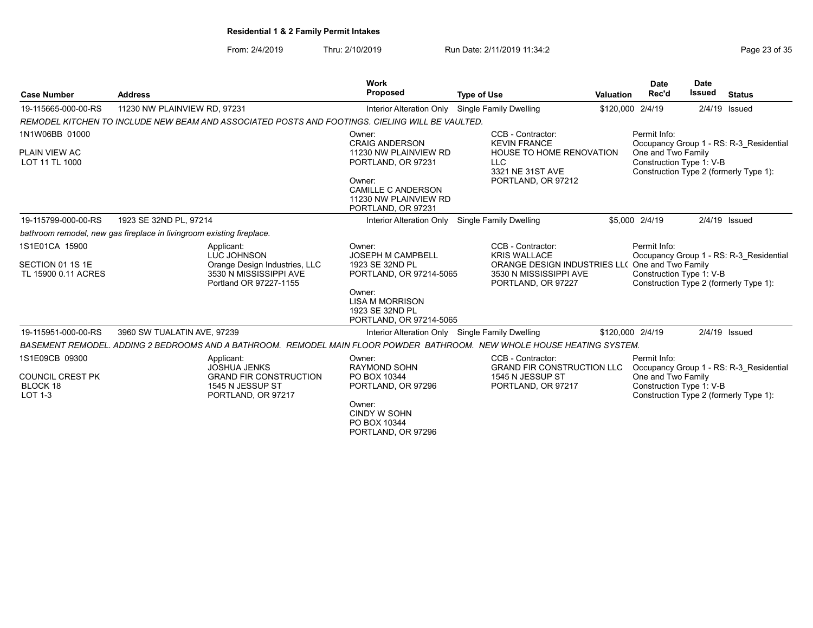| Page 23 of 35 |  |  |
|---------------|--|--|
|               |  |  |

| <b>Case Number</b>                                               | <b>Address</b>                                                                                                          | Work<br>Proposed                                                                                                                                                     | <b>Type of Use</b>                                                                                                                          | <b>Valuation</b> | <b>Date</b><br>Rec'd                                           | <b>Date</b><br>Issued | <b>Status</b>                                                                     |
|------------------------------------------------------------------|-------------------------------------------------------------------------------------------------------------------------|----------------------------------------------------------------------------------------------------------------------------------------------------------------------|---------------------------------------------------------------------------------------------------------------------------------------------|------------------|----------------------------------------------------------------|-----------------------|-----------------------------------------------------------------------------------|
| 19-115665-000-00-RS                                              | 11230 NW PLAINVIEW RD, 97231                                                                                            | Interior Alteration Only Single Family Dwelling                                                                                                                      |                                                                                                                                             | \$120,000 2/4/19 |                                                                |                       | $2/4/19$ Issued                                                                   |
|                                                                  | REMODEL KITCHEN TO INCLUDE NEW BEAM AND ASSOCIATED POSTS AND FOOTINGS. CIELING WILL BE VAULTED.                         |                                                                                                                                                                      |                                                                                                                                             |                  |                                                                |                       |                                                                                   |
| 1N1W06BB 01000<br>PLAIN VIEW AC<br>LOT 11 TL 1000                |                                                                                                                         | Owner:<br><b>CRAIG ANDERSON</b><br>11230 NW PLAINVIEW RD<br>PORTLAND, OR 97231<br>Owner:<br><b>CAMILLE C ANDERSON</b><br>11230 NW PLAINVIEW RD<br>PORTLAND, OR 97231 | CCB - Contractor:<br><b>KEVIN FRANCE</b><br>HOUSE TO HOME RENOVATION<br><b>LLC</b><br>3321 NE 31ST AVE<br>PORTLAND, OR 97212                |                  | Permit Info:<br>One and Two Family<br>Construction Type 1: V-B |                       | Occupancy Group 1 - RS: R-3_Residential<br>Construction Type 2 (formerly Type 1): |
| 19-115799-000-00-RS                                              | 1923 SE 32ND PL, 97214                                                                                                  | Interior Alteration Only                                                                                                                                             | Single Family Dwelling                                                                                                                      |                  | \$5,000 2/4/19                                                 |                       | $2/4/19$ Issued                                                                   |
|                                                                  | bathroom remodel, new gas fireplace in livingroom existing fireplace.                                                   |                                                                                                                                                                      |                                                                                                                                             |                  |                                                                |                       |                                                                                   |
| 1S1E01CA 15900<br>SECTION 01 1S 1E<br>TL 15900 0.11 ACRES        | Applicant:<br>LUC JOHNSON<br>Orange Design Industries, LLC<br>3530 N MISSISSIPPI AVE<br>Portland OR 97227-1155          | Owner:<br><b>JOSEPH M CAMPBELL</b><br>1923 SE 32ND PL<br>PORTLAND, OR 97214-5065<br>Owner:<br><b>LISA M MORRISON</b><br>1923 SE 32ND PL<br>PORTLAND, OR 97214-5065   | CCB - Contractor:<br><b>KRIS WALLACE</b><br>ORANGE DESIGN INDUSTRIES LL( One and Two Family<br>3530 N MISSISSIPPI AVE<br>PORTLAND, OR 97227 |                  | Permit Info:<br>Construction Type 1: V-B                       |                       | Occupancy Group 1 - RS: R-3 Residential<br>Construction Type 2 (formerly Type 1): |
| 19-115951-000-00-RS                                              | 3960 SW TUALATIN AVE, 97239                                                                                             | Interior Alteration Only Single Family Dwelling                                                                                                                      |                                                                                                                                             | \$120,000 2/4/19 |                                                                |                       | $2/4/19$ Issued                                                                   |
|                                                                  | BASEMENT REMODEL. ADDING 2 BEDROOMS AND A BATHROOM. REMODEL MAIN FLOOR POWDER BATHROOM. NEW WHOLE HOUSE HEATING SYSTEM. |                                                                                                                                                                      |                                                                                                                                             |                  |                                                                |                       |                                                                                   |
| 1S1E09CB 09300<br><b>COUNCIL CREST PK</b><br>BLOCK 18<br>LOT 1-3 | Applicant:<br><b>JOSHUA JENKS</b><br><b>GRAND FIR CONSTRUCTION</b><br>1545 N JESSUP ST<br>PORTLAND, OR 97217            | Owner:<br><b>RAYMOND SOHN</b><br>PO BOX 10344<br>PORTLAND, OR 97296<br>Owner:<br><b>CINDY W SOHN</b><br>PO BOX 10344<br>PORTLAND, OR 97296                           | CCB - Contractor:<br><b>GRAND FIR CONSTRUCTION LLC</b><br>1545 N JESSUP ST<br>PORTLAND, OR 97217                                            |                  | Permit Info:<br>One and Two Family<br>Construction Type 1: V-B |                       | Occupancy Group 1 - RS: R-3 Residential<br>Construction Type 2 (formerly Type 1): |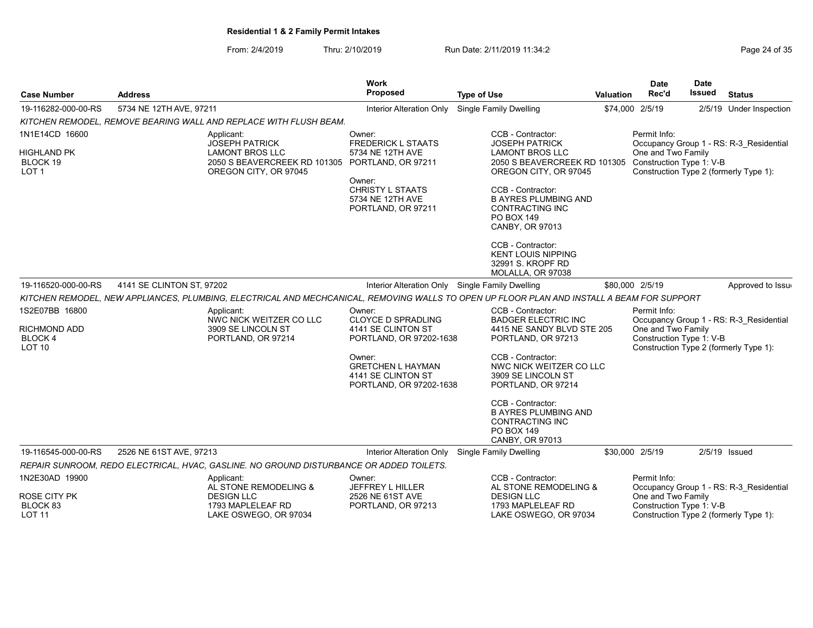| Page 24 of 35 |  |  |  |  |  |
|---------------|--|--|--|--|--|
|---------------|--|--|--|--|--|

| <b>Case Number</b>                                     | <b>Address</b>            |                                                                                                                                            | Work<br><b>Proposed</b>                                                              | <b>Type of Use</b>                                                                                                        | <b>Valuation</b> | <b>Date</b><br>Rec'd                                           | <b>Date</b><br><b>Issued</b> | <b>Status</b>                           |
|--------------------------------------------------------|---------------------------|--------------------------------------------------------------------------------------------------------------------------------------------|--------------------------------------------------------------------------------------|---------------------------------------------------------------------------------------------------------------------------|------------------|----------------------------------------------------------------|------------------------------|-----------------------------------------|
| 19-116282-000-00-RS                                    | 5734 NE 12TH AVE, 97211   |                                                                                                                                            | Interior Alteration Only                                                             | Single Family Dwelling                                                                                                    |                  | \$74,000 2/5/19                                                |                              | 2/5/19 Under Inspection                 |
|                                                        |                           | KITCHEN REMODEL. REMOVE BEARING WALL AND REPLACE WITH FLUSH BEAM.                                                                          |                                                                                      |                                                                                                                           |                  |                                                                |                              |                                         |
| 1N1E14CD 16600                                         |                           | Applicant:<br><b>JOSEPH PATRICK</b>                                                                                                        | Owner:<br><b>FREDERICK L STAATS</b>                                                  | CCB - Contractor:<br><b>JOSEPH PATRICK</b>                                                                                |                  | Permit Info:                                                   |                              | Occupancy Group 1 - RS: R-3_Residential |
| <b>HIGHLAND PK</b><br>BLOCK 19<br>LOT <sub>1</sub>     |                           | <b>LAMONT BROS LLC</b><br>2050 S BEAVERCREEK RD 101305<br>OREGON CITY, OR 97045                                                            | 5734 NE 12TH AVE<br>PORTLAND, OR 97211                                               | <b>LAMONT BROS LLC</b><br>2050 S BEAVERCREEK RD 101305<br>OREGON CITY, OR 97045                                           |                  | One and Two Family<br>Construction Type 1: V-B                 |                              | Construction Type 2 (formerly Type 1):  |
|                                                        |                           |                                                                                                                                            | Owner:<br>CHRISTY L STAATS<br>5734 NE 12TH AVE<br>PORTLAND, OR 97211                 | CCB - Contractor:<br><b>B AYRES PLUMBING AND</b><br>CONTRACTING INC<br><b>PO BOX 149</b><br>CANBY, OR 97013               |                  |                                                                |                              |                                         |
|                                                        |                           |                                                                                                                                            |                                                                                      | CCB - Contractor:<br><b>KENT LOUIS NIPPING</b><br>32991 S. KROPF RD<br>MOLALLA, OR 97038                                  |                  |                                                                |                              |                                         |
| 19-116520-000-00-RS                                    | 4141 SE CLINTON ST. 97202 |                                                                                                                                            | Interior Alteration Only Single Family Dwelling                                      |                                                                                                                           |                  | \$80,000 2/5/19                                                |                              | Approved to Issue                       |
|                                                        |                           | KITCHEN REMODEL, NEW APPLIANCES, PLUMBING, ELECTRICAL AND MECHCANICAL, REMOVING WALLS TO OPEN UP FLOOR PLAN AND INSTALL A BEAM FOR SUPPORT |                                                                                      |                                                                                                                           |                  |                                                                |                              |                                         |
| 1S2E07BB 16800<br><b>RICHMOND ADD</b><br><b>BLOCK4</b> |                           | Applicant:<br>NWC NICK WEITZER CO LLC<br>3909 SE LINCOLN ST<br>PORTLAND, OR 97214                                                          | Owner:<br><b>CLOYCE D SPRADLING</b><br>4141 SE CLINTON ST<br>PORTLAND, OR 97202-1638 | CCB - Contractor:<br><b>BADGER ELECTRIC INC</b><br>4415 NE SANDY BLVD STE 205<br>PORTLAND, OR 97213                       |                  | Permit Info:<br>One and Two Family<br>Construction Type 1: V-B |                              | Occupancy Group 1 - RS: R-3 Residential |
| LOT <sub>10</sub>                                      |                           |                                                                                                                                            | Owner:<br><b>GRETCHEN L HAYMAN</b><br>4141 SE CLINTON ST<br>PORTLAND, OR 97202-1638  | CCB - Contractor:<br>NWC NICK WEITZER CO LLC<br>3909 SE LINCOLN ST<br>PORTLAND, OR 97214                                  |                  |                                                                |                              | Construction Type 2 (formerly Type 1):  |
|                                                        |                           |                                                                                                                                            |                                                                                      | CCB - Contractor:<br><b>B AYRES PLUMBING AND</b><br><b>CONTRACTING INC</b><br><b>PO BOX 149</b><br><b>CANBY, OR 97013</b> |                  |                                                                |                              |                                         |
| 19-116545-000-00-RS                                    | 2526 NE 61ST AVE, 97213   |                                                                                                                                            | Interior Alteration Only                                                             | Single Family Dwelling                                                                                                    |                  | \$30,000 2/5/19                                                |                              | $2/5/19$ Issued                         |
|                                                        |                           | REPAIR SUNROOM, REDO ELECTRICAL, HVAC, GASLINE. NO GROUND DISTURBANCE OR ADDED TOILETS.                                                    |                                                                                      |                                                                                                                           |                  |                                                                |                              |                                         |
| 1N2E30AD 19900                                         |                           | Applicant:<br>AL STONE REMODELING &                                                                                                        | Owner:<br>JEFFREY L HILLER                                                           | CCB - Contractor:<br>AL STONE REMODELING &                                                                                |                  | Permit Info:                                                   |                              | Occupancy Group 1 - RS: R-3 Residential |
| ROSE CITY PK<br>BLOCK 83<br><b>LOT 11</b>              |                           | <b>DESIGN LLC</b><br>1793 MAPLELEAF RD<br>LAKE OSWEGO, OR 97034                                                                            | 2526 NE 61ST AVE<br>PORTLAND, OR 97213                                               | <b>DESIGN LLC</b><br>1793 MAPLELEAF RD<br>LAKE OSWEGO, OR 97034                                                           |                  | One and Two Family<br>Construction Type 1: V-B                 |                              | Construction Type 2 (formerly Type 1):  |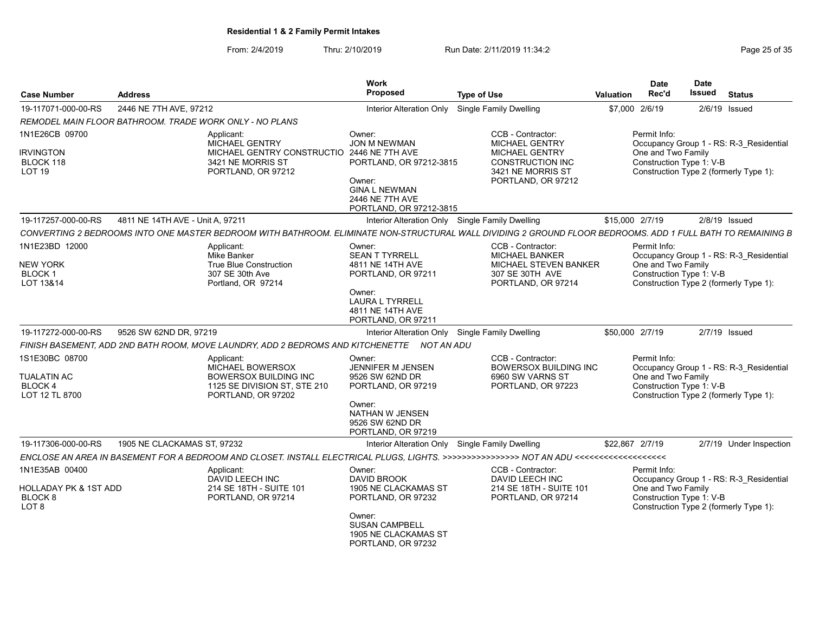From: 2/4/2019 Thru: 2/10/2019 Run Date: 2/11/2019 11:34:2<br>Page 25 of 35

| 2446 NE 7TH AVE, 97212<br>\$7,000 2/6/19<br>19-117071-000-00-RS<br><b>Single Family Dwelling</b><br>$2/6/19$ Issued<br><b>Interior Alteration Only</b><br>REMODEL MAIN FLOOR BATHROOM. TRADE WORK ONLY - NO PLANS<br>1N1E26CB 09700<br>CCB - Contractor:<br>Permit Info:<br>Owner:<br>Applicant:<br><b>MICHAEL GENTRY</b><br>JON M NEWMAN<br><b>MICHAEL GENTRY</b><br>Occupancy Group 1 - RS: R-3 Residential<br>One and Two Family<br><b>IRVINGTON</b><br>MICHAEL GENTRY CONSTRUCTIO 2446 NE 7TH AVE<br><b>MICHAEL GENTRY</b>                                                                       |                         |
|------------------------------------------------------------------------------------------------------------------------------------------------------------------------------------------------------------------------------------------------------------------------------------------------------------------------------------------------------------------------------------------------------------------------------------------------------------------------------------------------------------------------------------------------------------------------------------------------------|-------------------------|
|                                                                                                                                                                                                                                                                                                                                                                                                                                                                                                                                                                                                      |                         |
|                                                                                                                                                                                                                                                                                                                                                                                                                                                                                                                                                                                                      |                         |
|                                                                                                                                                                                                                                                                                                                                                                                                                                                                                                                                                                                                      |                         |
| Construction Type 1: V-B<br>3421 NE MORRIS ST<br>CONSTRUCTION INC<br>BLOCK 118<br>PORTLAND, OR 97212-3815<br>Construction Type 2 (formerly Type 1):<br>LOT <sub>19</sub><br>PORTLAND, OR 97212<br>3421 NE MORRIS ST<br>Owner:<br>PORTLAND, OR 97212<br><b>GINA L NEWMAN</b><br>2446 NE 7TH AVE<br>PORTLAND, OR 97212-3815                                                                                                                                                                                                                                                                            |                         |
| 19-117257-000-00-RS<br>4811 NE 14TH AVE - Unit A, 97211<br>Interior Alteration Only Single Family Dwelling<br>\$15,000 2/7/19<br>$2/8/19$ Issued                                                                                                                                                                                                                                                                                                                                                                                                                                                     |                         |
| CONVERTING 2 BEDROOMS INTO ONE MASTER BEDROOM WITH BATHROOM. ELIMINATE NON-STRUCTURAL WALL DIVIDING 2 GROUND FLOOR BEDROOMS. ADD 1 FULL BATH TO REMAINING B                                                                                                                                                                                                                                                                                                                                                                                                                                          |                         |
| 1N1E23BD 12000<br>Permit Info:<br>Applicant:<br>CCB - Contractor:<br>Owner:<br><b>SEAN T TYRRELL</b><br>MICHAEL BANKER<br>Mike Banker<br>Occupancy Group 1 - RS: R-3 Residential<br>One and Two Family<br><b>NEW YORK</b><br><b>True Blue Construction</b><br>4811 NE 14TH AVE<br>MICHAEL STEVEN BANKER<br>Construction Type 1: V-B<br><b>BLOCK1</b><br>307 SE 30TH AVE<br>307 SE 30th Ave<br>PORTLAND, OR 97211<br>Construction Type 2 (formerly Type 1):<br>LOT 13&14<br>Portland, OR 97214<br>PORTLAND, OR 97214<br>Owner:<br><b>LAURA L TYRRELL</b><br>4811 NE 14TH AVE                          |                         |
| PORTLAND, OR 97211                                                                                                                                                                                                                                                                                                                                                                                                                                                                                                                                                                                   |                         |
| 19-117272-000-00-RS<br>9526 SW 62ND DR. 97219<br>Interior Alteration Only Single Family Dwelling<br>\$50,000 2/7/19<br>2/7/19 Issued                                                                                                                                                                                                                                                                                                                                                                                                                                                                 |                         |
| FINISH BASEMENT, ADD 2ND BATH ROOM, MOVE LAUNDRY, ADD 2 BEDROMS AND KITCHENETTE NOT AN ADU                                                                                                                                                                                                                                                                                                                                                                                                                                                                                                           |                         |
| 1S1E30BC 08700<br>CCB - Contractor:<br>Permit Info:<br>Applicant:<br>Owner:<br><b>MICHAEL BOWERSOX</b><br><b>BOWERSOX BUILDING INC</b><br>Occupancy Group 1 - RS: R-3 Residential<br>JENNIFER M JENSEN<br>One and Two Family<br><b>TUALATIN AC</b><br><b>BOWERSOX BUILDING INC</b><br>9526 SW 62ND DR<br>6960 SW VARNS ST<br>Construction Type 1: V-B<br>BLOCK 4<br>1125 SE DIVISION ST. STE 210<br>PORTLAND, OR 97219<br>PORTLAND, OR 97223<br>LOT 12 TL 8700<br>Construction Type 2 (formerly Type 1):<br>PORTLAND, OR 97202<br>Owner:<br>NATHAN W JENSEN<br>9526 SW 62ND DR<br>PORTLAND, OR 97219 |                         |
| 1905 NE CLACKAMAS ST, 97232<br>\$22,867 2/7/19<br>19-117306-000-00-RS<br>Interior Alteration Only Single Family Dwelling                                                                                                                                                                                                                                                                                                                                                                                                                                                                             | 2/7/19 Under Inspection |
|                                                                                                                                                                                                                                                                                                                                                                                                                                                                                                                                                                                                      |                         |
| 1N1E35AB 00400<br>Applicant:<br>CCB - Contractor:<br>Permit Info:<br>Owner:<br>DAVID LEECH INC<br>DAVID BROOK<br>DAVID LEECH INC<br>Occupancy Group 1 - RS: R-3 Residential<br>One and Two Family<br>HOLLADAY PK & 1ST ADD<br>214 SE 18TH - SUITE 101<br>214 SE 18TH - SUITE 101<br>1905 NE CLACKAMAS ST<br>Construction Type 1: V-B<br>BLOCK <sub>8</sub><br>PORTLAND, OR 97214<br>PORTLAND, OR 97232<br>PORTLAND, OR 97214<br>Construction Type 2 (formerly Type 1):<br>LOT <sub>8</sub>                                                                                                           |                         |
| Owner:<br><b>SUSAN CAMPBELL</b><br>1905 NE CLACKAMAS ST<br>PORTLAND, OR 97232                                                                                                                                                                                                                                                                                                                                                                                                                                                                                                                        |                         |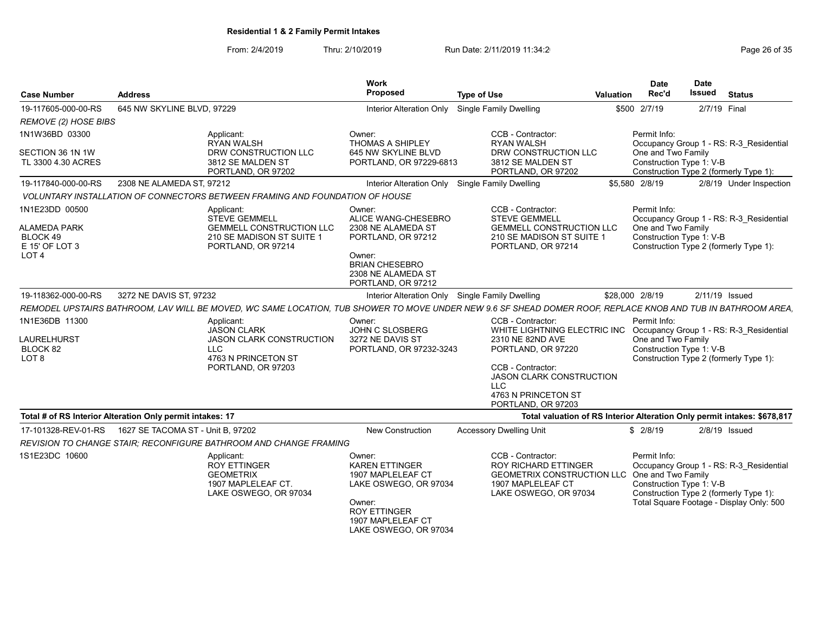| <b>Case Number</b>                                                               | <b>Address</b>                                            |                                                                                                                                                              | <b>Work</b><br>Proposed                                                                                                                                      | <b>Type of Use</b>                                                                                                              | Valuation | <b>Date</b><br>Rec'd                                           | <b>Date</b><br>Issued | <b>Status</b>                                                                                                                 |
|----------------------------------------------------------------------------------|-----------------------------------------------------------|--------------------------------------------------------------------------------------------------------------------------------------------------------------|--------------------------------------------------------------------------------------------------------------------------------------------------------------|---------------------------------------------------------------------------------------------------------------------------------|-----------|----------------------------------------------------------------|-----------------------|-------------------------------------------------------------------------------------------------------------------------------|
| 19-117605-000-00-RS                                                              | 645 NW SKYLINE BLVD, 97229                                |                                                                                                                                                              | Interior Alteration Only                                                                                                                                     | Single Family Dwelling                                                                                                          |           | \$500 2/7/19                                                   | 2/7/19 Final          |                                                                                                                               |
| REMOVE (2) HOSE BIBS                                                             |                                                           |                                                                                                                                                              |                                                                                                                                                              |                                                                                                                                 |           |                                                                |                       |                                                                                                                               |
| 1N1W36BD 03300                                                                   |                                                           | Applicant:<br><b>RYAN WALSH</b>                                                                                                                              | Owner:<br>THOMAS A SHIPLEY                                                                                                                                   | CCB - Contractor:<br><b>RYAN WALSH</b>                                                                                          |           | Permit Info:                                                   |                       | Occupancy Group 1 - RS: R-3_Residential                                                                                       |
| SECTION 36 1N 1W<br>TL 3300 4.30 ACRES                                           |                                                           | DRW CONSTRUCTION LLC<br>3812 SE MALDEN ST<br>PORTLAND, OR 97202                                                                                              | 645 NW SKYLINE BLVD<br>PORTLAND, OR 97229-6813                                                                                                               | DRW CONSTRUCTION LLC<br>3812 SE MALDEN ST<br>PORTLAND, OR 97202                                                                 |           | One and Two Family<br>Construction Type 1: V-B                 |                       | Construction Type 2 (formerly Type 1):                                                                                        |
| 19-117840-000-00-RS                                                              | 2308 NE ALAMEDA ST, 97212                                 |                                                                                                                                                              | Interior Alteration Only                                                                                                                                     | Single Family Dwelling                                                                                                          |           | \$5,580 2/8/19                                                 |                       | 2/8/19 Under Inspection                                                                                                       |
|                                                                                  |                                                           | VOLUNTARY INSTALLATION OF CONNECTORS BETWEEN FRAMING AND FOUNDATION OF HOUSE                                                                                 |                                                                                                                                                              |                                                                                                                                 |           |                                                                |                       |                                                                                                                               |
| 1N1E23DD 00500<br>ALAMEDA PARK<br>BLOCK 49<br>E 15' OF LOT 3<br>LOT <sub>4</sub> |                                                           | Applicant:<br><b>STEVE GEMMELL</b><br><b>GEMMELL CONSTRUCTION LLC</b><br>210 SE MADISON ST SUITE 1<br>PORTLAND, OR 97214                                     | Owner:<br>ALICE WANG-CHESEBRO<br>2308 NE ALAMEDA ST<br>PORTLAND, OR 97212<br>Owner:<br><b>BRIAN CHESEBRO</b><br>2308 NE ALAMEDA ST<br>PORTLAND, OR 97212     | CCB - Contractor:<br><b>STEVE GEMMELL</b><br><b>GEMMELL CONSTRUCTION LLC</b><br>210 SE MADISON ST SUITE 1<br>PORTLAND, OR 97214 |           | Permit Info:<br>One and Two Family<br>Construction Type 1: V-B |                       | Occupancy Group 1 - RS: R-3 Residential<br>Construction Type 2 (formerly Type 1):                                             |
| 19-118362-000-00-RS                                                              | 3272 NE DAVIS ST, 97232                                   |                                                                                                                                                              | Interior Alteration Only                                                                                                                                     | <b>Single Family Dwelling</b>                                                                                                   |           | \$28,000 2/8/19                                                | 2/11/19 Issued        |                                                                                                                               |
|                                                                                  |                                                           | REMODEL UPSTAIRS BATHROOM, LAV WILL BE MOVED, WC SAME LOCATION, TUB SHOWER TO MOVE UNDER NEW 9.6 SF SHEAD DOMER ROOF, REPLACE KNOB AND TUB IN BATHROOM AREA. |                                                                                                                                                              |                                                                                                                                 |           |                                                                |                       |                                                                                                                               |
| 1N1E36DB 11300                                                                   |                                                           | Applicant:<br><b>JASON CLARK</b>                                                                                                                             | Owner:<br>JOHN C SLOSBERG                                                                                                                                    | CCB - Contractor:<br>WHITE LIGHTNING ELECTRIC INC                                                                               |           | Permit Info:                                                   |                       | Occupancy Group 1 - RS: R-3 Residential                                                                                       |
| LAURELHURST<br>BLOCK 82<br>LOT 8                                                 |                                                           | <b>JASON CLARK CONSTRUCTION</b><br><b>LLC</b><br>4763 N PRINCETON ST<br>PORTLAND, OR 97203                                                                   | 3272 NE DAVIS ST<br>PORTLAND, OR 97232-3243                                                                                                                  | 2310 NE 82ND AVE<br>PORTLAND, OR 97220<br>CCB - Contractor:                                                                     |           | One and Two Family<br>Construction Type 1: V-B                 |                       | Construction Type 2 (formerly Type 1):                                                                                        |
|                                                                                  |                                                           |                                                                                                                                                              |                                                                                                                                                              | <b>JASON CLARK CONSTRUCTION</b><br><b>LLC</b><br>4763 N PRINCETON ST<br>PORTLAND, OR 97203                                      |           |                                                                |                       |                                                                                                                               |
|                                                                                  | Total # of RS Interior Alteration Only permit intakes: 17 |                                                                                                                                                              |                                                                                                                                                              |                                                                                                                                 |           |                                                                |                       | Total valuation of RS Interior Alteration Only permit intakes: \$678,817                                                      |
| 17-101328-REV-01-RS                                                              | 1627 SE TACOMA ST - Unit B, 97202                         |                                                                                                                                                              | <b>New Construction</b>                                                                                                                                      | <b>Accessory Dwelling Unit</b>                                                                                                  |           | \$2/8/19                                                       |                       | $2/8/19$ Issued                                                                                                               |
|                                                                                  |                                                           | <b>REVISION TO CHANGE STAIR: RECONFIGURE BATHROOM AND CHANGE FRAMING</b>                                                                                     |                                                                                                                                                              |                                                                                                                                 |           |                                                                |                       |                                                                                                                               |
| 1S1E23DC 10600                                                                   |                                                           | Applicant:<br><b>ROY ETTINGER</b><br><b>GEOMETRIX</b><br>1907 MAPLELEAF CT.<br>LAKE OSWEGO, OR 97034                                                         | Owner:<br><b>KAREN ETTINGER</b><br>1907 MAPLELEAF CT<br>LAKE OSWEGO, OR 97034<br>Owner:<br><b>ROY ETTINGER</b><br>1907 MAPLELEAF CT<br>LAKE OSWEGO, OR 97034 | CCB - Contractor:<br>ROY RICHARD ETTINGER<br>GEOMETRIX CONSTRUCTION LLC<br>1907 MAPLELEAF CT<br>LAKE OSWEGO, OR 97034           |           | Permit Info:<br>One and Two Family<br>Construction Type 1: V-B |                       | Occupancy Group 1 - RS: R-3 Residential<br>Construction Type 2 (formerly Type 1):<br>Total Square Footage - Display Only: 500 |
|                                                                                  |                                                           |                                                                                                                                                              |                                                                                                                                                              |                                                                                                                                 |           |                                                                |                       |                                                                                                                               |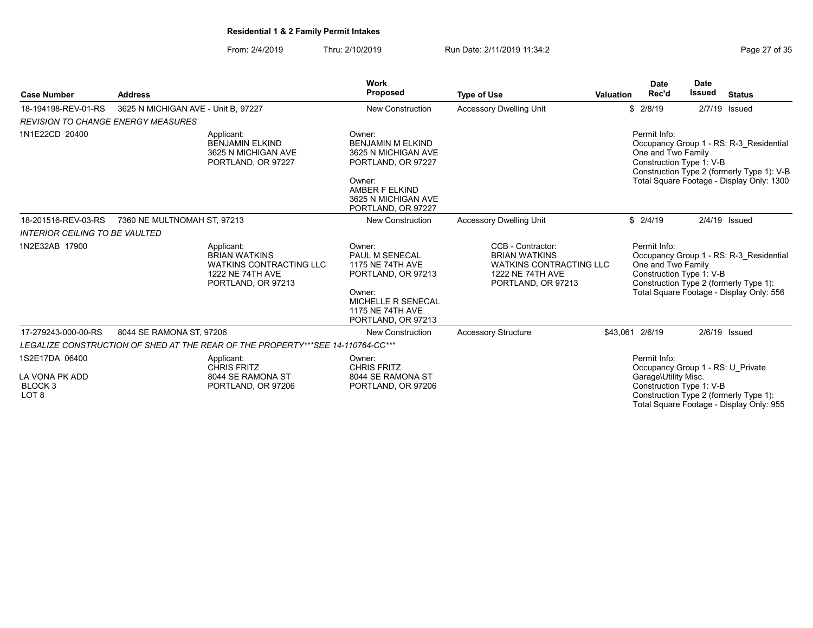From: 2/4/2019 Thru: 2/10/2019 Run Date: 2/11/2019 11:34:2<br>Page 27 of 35

|                                                          |                                     |                                                                                                                | <b>Work</b>                                                                                                                                                |                                                                                                                       |                  | <b>Date</b>                                                    | <b>Date</b> |                                                                                                                                    |
|----------------------------------------------------------|-------------------------------------|----------------------------------------------------------------------------------------------------------------|------------------------------------------------------------------------------------------------------------------------------------------------------------|-----------------------------------------------------------------------------------------------------------------------|------------------|----------------------------------------------------------------|-------------|------------------------------------------------------------------------------------------------------------------------------------|
| <b>Case Number</b>                                       | <b>Address</b>                      |                                                                                                                | <b>Proposed</b>                                                                                                                                            | <b>Type of Use</b>                                                                                                    | <b>Valuation</b> | Rec'd                                                          | Issued      | <b>Status</b>                                                                                                                      |
| 18-194198-REV-01-RS                                      | 3625 N MICHIGAN AVE - Unit B. 97227 |                                                                                                                | <b>New Construction</b>                                                                                                                                    | <b>Accessory Dwelling Unit</b>                                                                                        |                  | \$2/8/19                                                       | 2/7/19      | Issued                                                                                                                             |
| <b>REVISION TO CHANGE ENERGY MEASURES</b>                |                                     |                                                                                                                |                                                                                                                                                            |                                                                                                                       |                  |                                                                |             |                                                                                                                                    |
| 1N1E22CD 20400                                           |                                     | Applicant:<br><b>BENJAMIN ELKIND</b><br>3625 N MICHIGAN AVE<br>PORTLAND, OR 97227                              | Owner:<br><b>BENJAMIN M ELKIND</b><br>3625 N MICHIGAN AVE<br>PORTLAND, OR 97227<br>Owner:<br>AMBER F ELKIND<br>3625 N MICHIGAN AVE<br>PORTLAND, OR 97227   |                                                                                                                       |                  | Permit Info:<br>One and Two Family<br>Construction Type 1: V-B |             | Occupancy Group 1 - RS: R-3 Residential<br>Construction Type 2 (formerly Type 1): V-B<br>Total Square Footage - Display Only: 1300 |
| 18-201516-REV-03-RS                                      | 7360 NE MULTNOMAH ST, 97213         |                                                                                                                | <b>New Construction</b>                                                                                                                                    | <b>Accessory Dwelling Unit</b>                                                                                        |                  | \$2/4/19                                                       |             | $2/4/19$ Issued                                                                                                                    |
| <b>INTERIOR CEILING TO BE VAULTED</b>                    |                                     |                                                                                                                |                                                                                                                                                            |                                                                                                                       |                  |                                                                |             |                                                                                                                                    |
| 1N2E32AB 17900                                           |                                     | Applicant:<br><b>BRIAN WATKINS</b><br><b>WATKINS CONTRACTING LLC</b><br>1222 NE 74TH AVE<br>PORTLAND, OR 97213 | Owner:<br>PAUL M SENECAL<br><b>1175 NE 74TH AVE</b><br>PORTLAND, OR 97213<br>Owner:<br>MICHELLE R SENECAL<br><b>1175 NE 74TH AVE</b><br>PORTLAND, OR 97213 | CCB - Contractor:<br><b>BRIAN WATKINS</b><br><b>WATKINS CONTRACTING LLC</b><br>1222 NE 74TH AVE<br>PORTLAND, OR 97213 |                  | Permit Info:<br>One and Two Family<br>Construction Type 1: V-B |             | Occupancy Group 1 - RS: R-3 Residential<br>Construction Type 2 (formerly Type 1):<br>Total Square Footage - Display Only: 556      |
| 17-279243-000-00-RS                                      | 8044 SE RAMONA ST, 97206            |                                                                                                                | <b>New Construction</b>                                                                                                                                    | <b>Accessory Structure</b>                                                                                            |                  | \$43,061 2/6/19                                                |             | $2/6/19$ Issued                                                                                                                    |
|                                                          |                                     | LEGALIZE CONSTRUCTION OF SHED AT THE REAR OF THE PROPERTY***SEE 14-110764-CC***                                |                                                                                                                                                            |                                                                                                                       |                  |                                                                |             |                                                                                                                                    |
| 1S2E17DA 06400                                           |                                     | Applicant:<br><b>CHRIS FRITZ</b>                                                                               | Owner:<br><b>CHRIS FRITZ</b>                                                                                                                               |                                                                                                                       |                  | Permit Info:                                                   |             | Occupancy Group 1 - RS: U Private                                                                                                  |
| LA VONA PK ADD<br>BLOCK <sub>3</sub><br>LOT <sub>8</sub> |                                     | 8044 SE RAMONA ST<br>PORTLAND, OR 97206                                                                        | 8044 SE RAMONA ST<br>PORTLAND, OR 97206                                                                                                                    |                                                                                                                       |                  | Garage\Utility Misc.<br>Construction Type 1: V-B               |             | Construction Type 2 (formerly Type 1):<br>Total Square Footage - Display Only: 955                                                 |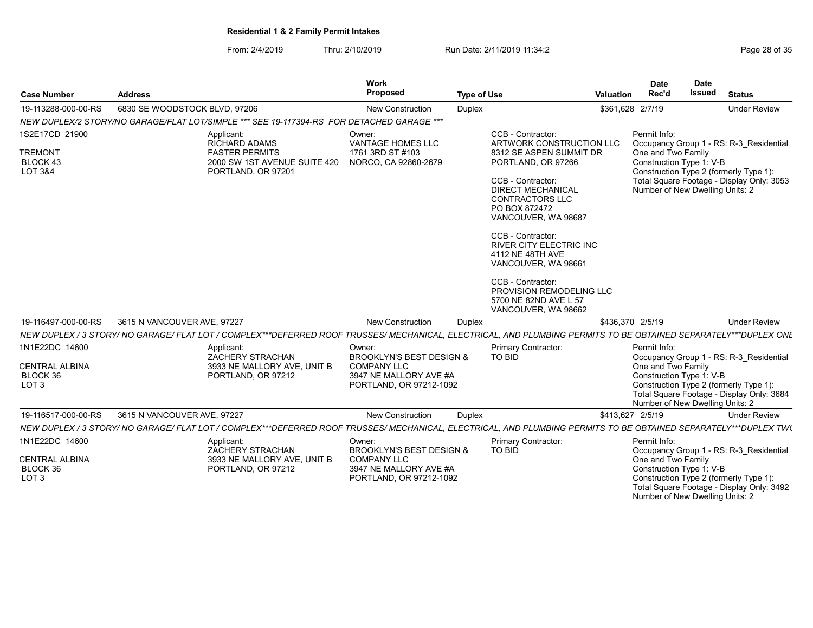From: 2/4/2019 Thru: 2/10/2019 Run Date: 2/11/2019 11:34:2

| Page 28 of 3 |  |  |
|--------------|--|--|
|              |  |  |

Number of New Dwelling Units: 2

| <b>Case Number</b>                                                      | <b>Address</b>                                                                                                                                                   | Work<br>Proposed                                                                                                         | <b>Type of Use</b> | <b>Valuation</b>                                                                                                                                                                                                                                                                                                                                                                                                     | <b>Date</b><br>Rec'd               | Date<br><b>Issued</b>                                       | <b>Status</b>                                                                                                                  |
|-------------------------------------------------------------------------|------------------------------------------------------------------------------------------------------------------------------------------------------------------|--------------------------------------------------------------------------------------------------------------------------|--------------------|----------------------------------------------------------------------------------------------------------------------------------------------------------------------------------------------------------------------------------------------------------------------------------------------------------------------------------------------------------------------------------------------------------------------|------------------------------------|-------------------------------------------------------------|--------------------------------------------------------------------------------------------------------------------------------|
|                                                                         |                                                                                                                                                                  |                                                                                                                          |                    |                                                                                                                                                                                                                                                                                                                                                                                                                      |                                    |                                                             |                                                                                                                                |
| 19-113288-000-00-RS                                                     | 6830 SE WOODSTOCK BLVD, 97206                                                                                                                                    | <b>New Construction</b>                                                                                                  | <b>Duplex</b>      |                                                                                                                                                                                                                                                                                                                                                                                                                      | \$361,628 2/7/19                   |                                                             | <b>Under Review</b>                                                                                                            |
|                                                                         | NEW DUPLEX/2 STORY/NO GARAGE/FLAT LOT/SIMPLE *** SEE 19-117394-RS FOR DETACHED GARAGE ***                                                                        |                                                                                                                          |                    |                                                                                                                                                                                                                                                                                                                                                                                                                      |                                    |                                                             |                                                                                                                                |
| 1S2E17CD 21900<br><b>TREMONT</b><br>BLOCK 43<br><b>LOT 3&amp;4</b>      | Applicant:<br><b>RICHARD ADAMS</b><br><b>FASTER PERMITS</b><br>2000 SW 1ST AVENUE SUITE 420<br>PORTLAND, OR 97201                                                | Owner:<br><b>VANTAGE HOMES LLC</b><br>1761 3RD ST #103<br>NORCO, CA 92860-2679                                           |                    | CCB - Contractor:<br>ARTWORK CONSTRUCTION LLC<br>8312 SE ASPEN SUMMIT DR<br>PORTLAND, OR 97266<br>CCB - Contractor:<br><b>DIRECT MECHANICAL</b><br><b>CONTRACTORS LLC</b><br>PO BOX 872472<br>VANCOUVER, WA 98687<br>CCB - Contractor:<br><b>RIVER CITY ELECTRIC INC</b><br>4112 NE 48TH AVE<br>VANCOUVER, WA 98661<br>CCB - Contractor:<br>PROVISION REMODELING LLC<br>5700 NE 82ND AVE L 57<br>VANCOUVER, WA 98662 | Permit Info:<br>One and Two Family | Construction Type 1: V-B<br>Number of New Dwelling Units: 2 | Occupancy Group 1 - RS: R-3 Residential<br>Construction Type 2 (formerly Type 1):<br>Total Square Footage - Display Only: 3053 |
| 19-116497-000-00-RS                                                     | 3615 N VANCOUVER AVE, 97227                                                                                                                                      | <b>New Construction</b>                                                                                                  | <b>Duplex</b>      |                                                                                                                                                                                                                                                                                                                                                                                                                      | \$436,370 2/5/19                   |                                                             | <b>Under Review</b>                                                                                                            |
|                                                                         | NEW DUPLEX / 3 STORY/ NO GARAGE/ FLAT LOT / COMPLEX***DEFERRED ROOF TRUSSES/ MECHANICAL, ELECTRICAL, AND PLUMBING PERMITS TO BE OBTAINED SEPARATELY***DUPLEX ONE |                                                                                                                          |                    |                                                                                                                                                                                                                                                                                                                                                                                                                      |                                    |                                                             |                                                                                                                                |
| 1N1E22DC 14600<br><b>CENTRAL ALBINA</b><br>BLOCK 36<br>LOT <sub>3</sub> | Applicant:<br><b>ZACHERY STRACHAN</b><br>3933 NE MALLORY AVE, UNIT B<br>PORTLAND, OR 97212                                                                       | Owner:<br><b>BROOKLYN'S BEST DESIGN &amp;</b><br><b>COMPANY LLC</b><br>3947 NE MALLORY AVE #A<br>PORTLAND, OR 97212-1092 | TO BID             | Primary Contractor:                                                                                                                                                                                                                                                                                                                                                                                                  | Permit Info:<br>One and Two Family | Construction Type 1: V-B<br>Number of New Dwelling Units: 2 | Occupancy Group 1 - RS: R-3 Residential<br>Construction Type 2 (formerly Type 1):<br>Total Square Footage - Display Only: 3684 |
| 19-116517-000-00-RS                                                     | 3615 N VANCOUVER AVE, 97227                                                                                                                                      | <b>New Construction</b>                                                                                                  | Duplex             |                                                                                                                                                                                                                                                                                                                                                                                                                      | \$413,627 2/5/19                   |                                                             | <b>Under Review</b>                                                                                                            |
|                                                                         | NEW DUPLEX / 3 STORY/ NO GARAGE/ FLAT LOT / COMPLEX***DEFERRED ROOF TRUSSES/ MECHANICAL, ELECTRICAL, AND PLUMBING PERMITS TO BE OBTAINED SEPARATELY***DUPLEX TW( |                                                                                                                          |                    |                                                                                                                                                                                                                                                                                                                                                                                                                      |                                    |                                                             |                                                                                                                                |
| 1N1E22DC 14600<br><b>CENTRAL ALBINA</b><br>BLOCK 36<br>LOT <sub>3</sub> | Applicant:<br>ZACHERY STRACHAN<br>3933 NE MALLORY AVE, UNIT B<br>PORTLAND, OR 97212                                                                              | Owner:<br><b>BROOKLYN'S BEST DESIGN &amp;</b><br><b>COMPANY LLC</b><br>3947 NE MALLORY AVE #A<br>PORTLAND, OR 97212-1092 | <b>TO BID</b>      | Primary Contractor:                                                                                                                                                                                                                                                                                                                                                                                                  | Permit Info:<br>One and Two Family | Construction Type 1: V-B                                    | Occupancy Group 1 - RS: R-3 Residential<br>Construction Type 2 (formerly Type 1):<br>Total Square Footage - Display Only: 3492 |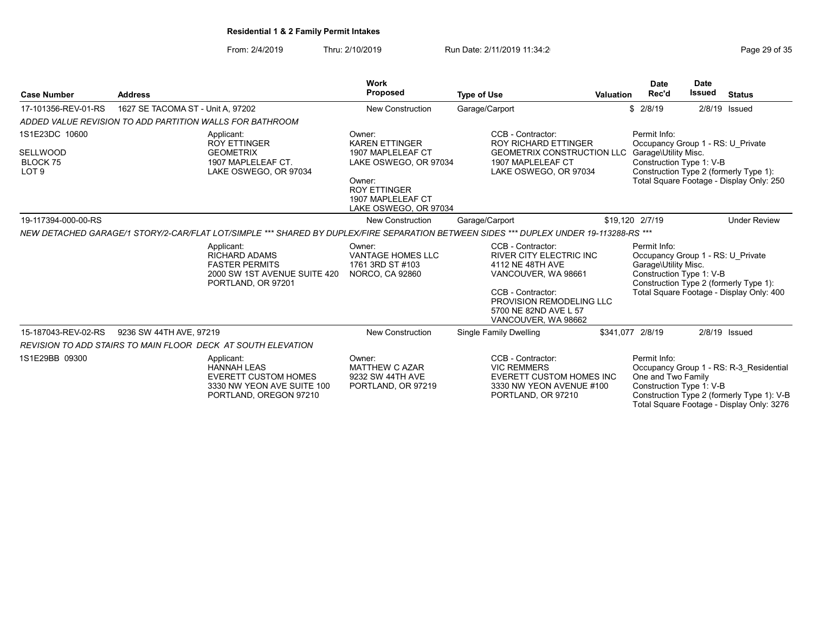From: 2/4/2019 Thru: 2/10/2019 Run Date: 2/11/2019 11:34:2<br>Page 29 of 35

| <b>Case Number</b>                                         | Work<br><b>Proposed</b><br><b>Address</b><br><b>Type of Use</b> |                                                                                                                                        |                                                                                                                                                              |                                                                                                                                                                                                 | Valuation | <b>Date</b><br>Rec'd                                                                                  | <b>Date</b><br>Issued | <b>Status</b>                                                                                                                      |
|------------------------------------------------------------|-----------------------------------------------------------------|----------------------------------------------------------------------------------------------------------------------------------------|--------------------------------------------------------------------------------------------------------------------------------------------------------------|-------------------------------------------------------------------------------------------------------------------------------------------------------------------------------------------------|-----------|-------------------------------------------------------------------------------------------------------|-----------------------|------------------------------------------------------------------------------------------------------------------------------------|
| 1627 SE TACOMA ST - Unit A. 97202<br>17-101356-REV-01-RS   |                                                                 |                                                                                                                                        | <b>New Construction</b>                                                                                                                                      | Garage/Carport                                                                                                                                                                                  |           | \$2/8/19                                                                                              |                       | $2/8/19$ Issued                                                                                                                    |
|                                                            | ADDED VALUE REVISION TO ADD PARTITION WALLS FOR BATHROOM        |                                                                                                                                        |                                                                                                                                                              |                                                                                                                                                                                                 |           |                                                                                                       |                       |                                                                                                                                    |
| 1S1E23DC 10600<br>SELLWOOD<br>BLOCK 75<br>LOT <sub>9</sub> |                                                                 | Applicant:<br><b>ROY ETTINGER</b><br><b>GEOMETRIX</b><br>1907 MAPLELEAF CT.<br>LAKE OSWEGO, OR 97034                                   | Owner:<br><b>KAREN ETTINGER</b><br>1907 MAPLELEAF CT<br>LAKE OSWEGO, OR 97034<br>Owner:<br><b>ROY ETTINGER</b><br>1907 MAPLELEAF CT<br>LAKE OSWEGO, OR 97034 | CCB - Contractor:<br><b>ROY RICHARD ETTINGER</b><br><b>GEOMETRIX CONSTRUCTION LLC</b><br>1907 MAPLELEAF CT<br>LAKE OSWEGO, OR 97034                                                             |           | Permit Info:<br>Occupancy Group 1 - RS: U Private<br>Garage\Utility Misc.<br>Construction Type 1: V-B |                       | Construction Type 2 (formerly Type 1):<br>Total Square Footage - Display Only: 250                                                 |
| 19-117394-000-00-RS                                        |                                                                 |                                                                                                                                        | New Construction                                                                                                                                             | Garage/Carport                                                                                                                                                                                  |           | \$19,120 2/7/19                                                                                       |                       | <b>Under Review</b>                                                                                                                |
|                                                            |                                                                 | NEW DETACHED GARAGE/1 STORY/2-CAR/FLAT LOT/SIMPLE *** SHARED BY DUPLEX/FIRE SEPARATION BETWEEN SIDES *** DUPLEX UNDER 19-113288-RS *** |                                                                                                                                                              |                                                                                                                                                                                                 |           |                                                                                                       |                       |                                                                                                                                    |
|                                                            |                                                                 | Applicant:<br><b>RICHARD ADAMS</b><br><b>FASTER PERMITS</b><br>2000 SW 1ST AVENUE SUITE 420<br>PORTLAND, OR 97201                      | Owner:<br><b>VANTAGE HOMES LLC</b><br>1761 3RD ST #103<br>NORCO, CA 92860                                                                                    | CCB - Contractor:<br><b>RIVER CITY ELECTRIC INC</b><br>4112 NE 48TH AVE<br>VANCOUVER, WA 98661<br>CCB - Contractor:<br>PROVISION REMODELING LLC<br>5700 NE 82ND AVE L 57<br>VANCOUVER, WA 98662 |           | Permit Info:<br>Occupancy Group 1 - RS: U Private<br>Garage\Utility Misc.<br>Construction Type 1: V-B |                       | Construction Type 2 (formerly Type 1):<br>Total Square Footage - Display Only: 400                                                 |
| 15-187043-REV-02-RS                                        | 9236 SW 44TH AVE, 97219                                         |                                                                                                                                        | <b>New Construction</b>                                                                                                                                      | Single Family Dwelling                                                                                                                                                                          |           | \$341.077 2/8/19                                                                                      |                       | $2/8/19$ Issued                                                                                                                    |
|                                                            |                                                                 | <b>REVISION TO ADD STAIRS TO MAIN FLOOR DECK AT SOUTH ELEVATION</b>                                                                    |                                                                                                                                                              |                                                                                                                                                                                                 |           |                                                                                                       |                       |                                                                                                                                    |
| 1S1E29BB 09300                                             |                                                                 | Applicant:<br><b>HANNAH LEAS</b><br><b>EVERETT CUSTOM HOMES</b><br>3330 NW YEON AVE SUITE 100<br>PORTLAND, OREGON 97210                | Owner:<br><b>MATTHEW C AZAR</b><br>9232 SW 44TH AVE<br>PORTLAND, OR 97219                                                                                    | CCB - Contractor:<br><b>VIC REMMERS</b><br><b>EVERETT CUSTOM HOMES INC</b><br>3330 NW YEON AVENUE #100<br>PORTLAND, OR 97210                                                                    |           | Permit Info:<br>One and Two Family<br>Construction Type 1: V-B                                        |                       | Occupancy Group 1 - RS: R-3 Residential<br>Construction Type 2 (formerly Type 1): V-B<br>Total Square Footage - Display Only: 3276 |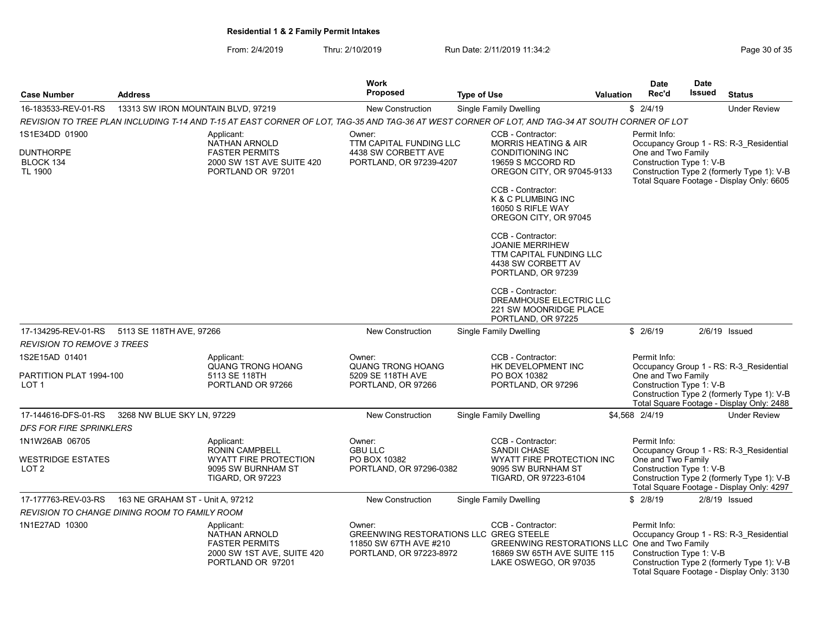From: 2/4/2019 Thru: 2/10/2019 Run Date: 2/11/2019 11:34:2<br>Page 30 of 35

| <b>Case Number</b>                              | <b>Address</b>                                       |                                                                                                                                                 | Work<br>Proposed                                                                                      | <b>Type of Use</b>            |                                                                                                                            | <b>Valuation</b> | <b>Date</b><br>Rec'd                           | <b>Date</b><br>Issued                                                                                                              | <b>Status</b>                                                                                                                      |
|-------------------------------------------------|------------------------------------------------------|-------------------------------------------------------------------------------------------------------------------------------------------------|-------------------------------------------------------------------------------------------------------|-------------------------------|----------------------------------------------------------------------------------------------------------------------------|------------------|------------------------------------------------|------------------------------------------------------------------------------------------------------------------------------------|------------------------------------------------------------------------------------------------------------------------------------|
| 16-183533-REV-01-RS                             | 13313 SW IRON MOUNTAIN BLVD, 97219                   |                                                                                                                                                 | <b>New Construction</b>                                                                               | <b>Single Family Dwelling</b> |                                                                                                                            |                  | \$2/4/19                                       |                                                                                                                                    | <b>Under Review</b>                                                                                                                |
|                                                 |                                                      | REVISION TO TREE PLAN INCLUDING T-14 AND T-15 AT EAST CORNER OF LOT, TAG-35 AND TAG-36 AT WEST CORNER OF LOT, AND TAG-34 AT SOUTH CORNER OF LOT |                                                                                                       |                               |                                                                                                                            |                  |                                                |                                                                                                                                    |                                                                                                                                    |
| 1S1E34DD 01900                                  |                                                      | Applicant:                                                                                                                                      | Owner:                                                                                                |                               | CCB - Contractor:                                                                                                          |                  | Permit Info:                                   |                                                                                                                                    |                                                                                                                                    |
| <b>DUNTHORPE</b><br>BLOCK 134<br><b>TL 1900</b> |                                                      | NATHAN ARNOLD<br><b>FASTER PERMITS</b><br>2000 SW 1ST AVE SUITE 420<br>PORTLAND OR 97201                                                        | TTM CAPITAL FUNDING LLC<br>4438 SW CORBETT AVE<br>PORTLAND, OR 97239-4207                             |                               | <b>MORRIS HEATING &amp; AIR</b><br><b>CONDITIONING INC</b><br>19659 S MCCORD RD<br>OREGON CITY, OR 97045-9133              |                  | One and Two Family<br>Construction Type 1: V-B | Occupancy Group 1 - RS: R-3_Residential<br>Construction Type 2 (formerly Type 1): V-B<br>Total Square Footage - Display Only: 6605 |                                                                                                                                    |
|                                                 |                                                      |                                                                                                                                                 |                                                                                                       |                               | CCB - Contractor:<br>K & C PLUMBING INC<br>16050 S RIFLE WAY<br>OREGON CITY, OR 97045                                      |                  |                                                |                                                                                                                                    |                                                                                                                                    |
|                                                 |                                                      |                                                                                                                                                 |                                                                                                       |                               | CCB - Contractor:<br><b>JOANIE MERRIHEW</b><br>TTM CAPITAL FUNDING LLC<br>4438 SW CORBETT AV<br>PORTLAND, OR 97239         |                  |                                                |                                                                                                                                    |                                                                                                                                    |
|                                                 |                                                      |                                                                                                                                                 |                                                                                                       |                               | CCB - Contractor:<br>DREAMHOUSE ELECTRIC LLC<br>221 SW MOONRIDGE PLACE<br>PORTLAND, OR 97225                               |                  |                                                |                                                                                                                                    |                                                                                                                                    |
| 17-134295-REV-01-RS                             | 5113 SE 118TH AVE, 97266                             |                                                                                                                                                 | <b>New Construction</b>                                                                               |                               | Single Family Dwelling                                                                                                     |                  | \$2/6/19                                       |                                                                                                                                    | $2/6/19$ Issued                                                                                                                    |
| <b>REVISION TO REMOVE 3 TREES</b>               |                                                      |                                                                                                                                                 |                                                                                                       |                               |                                                                                                                            |                  |                                                |                                                                                                                                    |                                                                                                                                    |
| 1S2E15AD 01401                                  |                                                      | Applicant:                                                                                                                                      | Owner:                                                                                                |                               | CCB - Contractor:                                                                                                          |                  | Permit Info:                                   |                                                                                                                                    |                                                                                                                                    |
| PARTITION PLAT 1994-100<br>LOT <sub>1</sub>     |                                                      | <b>QUANG TRONG HOANG</b><br>5113 SE 118TH<br>PORTLAND OR 97266                                                                                  | <b>QUANG TRONG HOANG</b><br>5209 SE 118TH AVE<br>PORTLAND, OR 97266                                   |                               | HK DEVELOPMENT INC<br>PO BOX 10382<br>PORTLAND, OR 97296                                                                   |                  | One and Two Family<br>Construction Type 1: V-B |                                                                                                                                    | Occupancy Group 1 - RS: R-3 Residential<br>Construction Type 2 (formerly Type 1): V-B<br>Total Square Footage - Display Only: 2488 |
| 17-144616-DFS-01-RS                             | 3268 NW BLUE SKY LN, 97229                           |                                                                                                                                                 | <b>New Construction</b>                                                                               |                               | <b>Single Family Dwelling</b>                                                                                              |                  | \$4,568 2/4/19                                 |                                                                                                                                    | <b>Under Review</b>                                                                                                                |
| <b>DFS FOR FIRE SPRINKLERS</b>                  |                                                      |                                                                                                                                                 |                                                                                                       |                               |                                                                                                                            |                  |                                                |                                                                                                                                    |                                                                                                                                    |
| 1N1W26AB 06705                                  |                                                      | Applicant:                                                                                                                                      | Owner:                                                                                                |                               | CCB - Contractor:                                                                                                          |                  | Permit Info:                                   |                                                                                                                                    |                                                                                                                                    |
| WESTRIDGE ESTATES<br>LOT 2                      |                                                      | <b>RONIN CAMPBELL</b><br><b>WYATT FIRE PROTECTION</b><br>9095 SW BURNHAM ST<br><b>TIGARD, OR 97223</b>                                          | <b>GBU LLC</b><br>PO BOX 10382<br>PORTLAND, OR 97296-0382                                             |                               | SANDII CHASE<br>WYATT FIRE PROTECTION INC<br>9095 SW BURNHAM ST<br>TIGARD, OR 97223-6104                                   |                  | One and Two Family<br>Construction Type 1: V-B |                                                                                                                                    | Occupancy Group 1 - RS: R-3 Residential<br>Construction Type 2 (formerly Type 1): V-B<br>Total Square Footage - Display Only: 4297 |
| 17-177763-REV-03-RS                             | 163 NE GRAHAM ST - Unit A, 97212                     |                                                                                                                                                 | <b>New Construction</b>                                                                               |                               | <b>Single Family Dwelling</b>                                                                                              |                  | \$2/8/19                                       |                                                                                                                                    | $2/8/19$ Issued                                                                                                                    |
|                                                 | <b>REVISION TO CHANGE DINING ROOM TO FAMILY ROOM</b> |                                                                                                                                                 |                                                                                                       |                               |                                                                                                                            |                  |                                                |                                                                                                                                    |                                                                                                                                    |
| 1N1E27AD 10300                                  |                                                      | Applicant:<br>NATHAN ARNOLD<br><b>FASTER PERMITS</b><br>2000 SW 1ST AVE, SUITE 420<br>PORTLAND OR 97201                                         | Owner:<br>GREENWING RESTORATIONS LLC GREG STEELE<br>11850 SW 67TH AVE #210<br>PORTLAND, OR 97223-8972 |                               | CCB - Contractor:<br>GREENWING RESTORATIONS LLC One and Two Family<br>16869 SW 65TH AVE SUITE 115<br>LAKE OSWEGO, OR 97035 |                  | Permit Info:<br>Construction Type 1: V-B       |                                                                                                                                    | Occupancy Group 1 - RS: R-3_Residential<br>Construction Type 2 (formerly Type 1): V-B                                              |

Total Square Footage - Display Only: 3130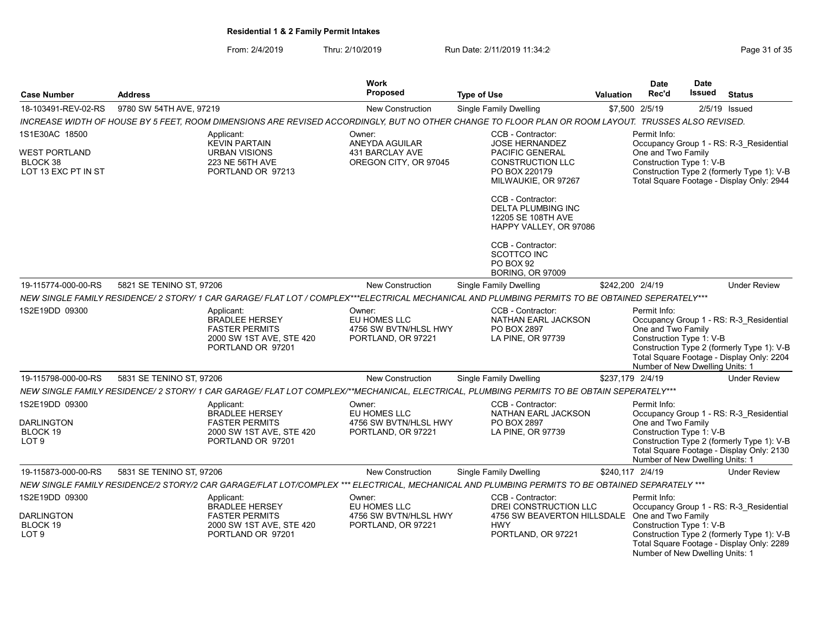From: 2/4/2019 Thru: 2/10/2019 Run Date: 2/11/2019 11:34:2

| <b>Case Number</b>                                                  | <b>Address</b>           |                                                                                                                                                     | Work<br>Proposed                                                      | <b>Type of Use</b>                                                                             | <b>Valuation</b> | <b>Date</b><br>Rec'd                                                                              | <b>Date</b><br>Issued | <b>Status</b>                                                                                                                      |
|---------------------------------------------------------------------|--------------------------|-----------------------------------------------------------------------------------------------------------------------------------------------------|-----------------------------------------------------------------------|------------------------------------------------------------------------------------------------|------------------|---------------------------------------------------------------------------------------------------|-----------------------|------------------------------------------------------------------------------------------------------------------------------------|
| 18-103491-REV-02-RS                                                 | 9780 SW 54TH AVE, 97219  |                                                                                                                                                     | <b>New Construction</b>                                               | <b>Single Family Dwelling</b>                                                                  |                  | \$7,500 2/5/19                                                                                    |                       | $2/5/19$ Issued                                                                                                                    |
|                                                                     |                          | INCREASE WIDTH OF HOUSE BY 5 FEET, ROOM DIMENSIONS ARE REVISED ACCORDINGLY, BUT NO OTHER CHANGE TO FLOOR PLAN OR ROOM LAYOUT. TRUSSES ALSO REVISED. |                                                                       |                                                                                                |                  |                                                                                                   |                       |                                                                                                                                    |
| 1S1E30AC 18500                                                      |                          | Applicant:<br><b>KEVIN PARTAIN</b>                                                                                                                  | Owner:                                                                | CCB - Contractor:<br><b>JOSE HERNANDEZ</b>                                                     |                  | Permit Info:                                                                                      |                       |                                                                                                                                    |
| <b>WEST PORTLAND</b><br>BLOCK 38<br>LOT 13 EXC PT IN ST             |                          | <b>URBAN VISIONS</b><br>223 NE 56TH AVE<br>PORTLAND OR 97213                                                                                        | ANEYDA AGUILAR<br><b>431 BARCLAY AVE</b><br>OREGON CITY, OR 97045     | <b>PACIFIC GENERAL</b><br>CONSTRUCTION LLC<br>PO BOX 220179<br>MILWAUKIE, OR 97267             |                  | One and Two Family<br>Construction Type 1: V-B                                                    |                       | Occupancy Group 1 - RS: R-3 Residential<br>Construction Type 2 (formerly Type 1): V-B<br>Total Square Footage - Display Only: 2944 |
|                                                                     |                          |                                                                                                                                                     |                                                                       | CCB - Contractor:<br><b>DELTA PLUMBING INC</b><br>12205 SE 108TH AVE<br>HAPPY VALLEY, OR 97086 |                  |                                                                                                   |                       |                                                                                                                                    |
|                                                                     |                          |                                                                                                                                                     |                                                                       | CCB - Contractor:<br>SCOTTCO INC<br><b>PO BOX 92</b><br><b>BORING, OR 97009</b>                |                  |                                                                                                   |                       |                                                                                                                                    |
| 19-115774-000-00-RS                                                 | 5821 SE TENINO ST, 97206 |                                                                                                                                                     | New Construction                                                      | <b>Single Family Dwelling</b>                                                                  | \$242,200 2/4/19 |                                                                                                   |                       | <b>Under Review</b>                                                                                                                |
|                                                                     |                          | NEW SINGLE FAMILY RESIDENCE/ 2 STORY/ 1 CAR GARAGE/ FLAT LOT / COMPLEX***ELECTRICAL MECHANICAL AND PLUMBING PERMITS TO BE OBTAINED SEPERATELY***    |                                                                       |                                                                                                |                  |                                                                                                   |                       |                                                                                                                                    |
| 1S2E19DD 09300                                                      |                          | Applicant:<br><b>BRADLEE HERSEY</b><br><b>FASTER PERMITS</b><br>2000 SW 1ST AVE, STE 420<br>PORTLAND OR 97201                                       | Owner:<br>EU HOMES LLC<br>4756 SW BVTN/HLSL HWY<br>PORTLAND, OR 97221 | CCB - Contractor:<br>NATHAN EARL JACKSON<br>PO BOX 2897<br>LA PINE, OR 97739                   |                  | Permit Info:<br>One and Two Family<br>Construction Type 1: V-B<br>Number of New Dwelling Units: 1 |                       | Occupancy Group 1 - RS: R-3 Residential<br>Construction Type 2 (formerly Type 1): V-B<br>Total Square Footage - Display Only: 2204 |
| 19-115798-000-00-RS                                                 | 5831 SE TENINO ST, 97206 |                                                                                                                                                     | <b>New Construction</b>                                               | Single Family Dwelling                                                                         | \$237,179 2/4/19 |                                                                                                   |                       | <b>Under Review</b>                                                                                                                |
|                                                                     |                          | NEW SINGLE FAMILY RESIDENCE/ 2 STORY/ 1 CAR GARAGE/ FLAT LOT COMPLEX/**MECHANICAL, ELECTRICAL, PLUMBING PERMITS TO BE OBTAIN SEPERATELY***          |                                                                       |                                                                                                |                  |                                                                                                   |                       |                                                                                                                                    |
| 1S2E19DD 09300<br><b>DARLINGTON</b><br>BLOCK 19<br>LOT <sub>9</sub> |                          | Applicant:<br>BRADLEE HERSEY<br><b>FASTER PERMITS</b><br>2000 SW 1ST AVE, STE 420<br>PORTLAND OR 97201                                              | Owner:<br>EU HOMES LLC<br>4756 SW BVTN/HLSL HWY<br>PORTLAND, OR 97221 | CCB - Contractor:<br>NATHAN EARL JACKSON<br>PO BOX 2897<br>LA PINE, OR 97739                   |                  | Permit Info:<br>One and Two Family<br>Construction Type 1: V-B<br>Number of New Dwelling Units: 1 |                       | Occupancy Group 1 - RS: R-3 Residential<br>Construction Type 2 (formerly Type 1): V-B<br>Total Square Footage - Display Only: 2130 |
| 19-115873-000-00-RS                                                 | 5831 SE TENINO ST. 97206 |                                                                                                                                                     | <b>New Construction</b>                                               | Single Family Dwelling                                                                         |                  | \$240.117 2/4/19                                                                                  |                       | <b>Under Review</b>                                                                                                                |
|                                                                     |                          | NEW SINGLE FAMILY RESIDENCE/2 STORY/2 CAR GARAGE/FLAT LOT/COMPLEX *** ELECTRICAL, MECHANICAL AND PLUMBING PERMITS TO BE OBTAINED SEPARATELY ***     |                                                                       |                                                                                                |                  |                                                                                                   |                       |                                                                                                                                    |
| 1S2E19DD 09300                                                      |                          | Applicant:<br><b>BRADLEE HERSEY</b>                                                                                                                 | Owner:<br>EU HOMES LLC                                                | CCB - Contractor:<br>DREI CONSTRUCTION LLC                                                     |                  | Permit Info:                                                                                      |                       | Occupancy Group 1 - RS: R-3 Residential                                                                                            |
| <b>DARLINGTON</b><br>BLOCK 19<br>LOT <sub>9</sub>                   |                          | <b>FASTER PERMITS</b><br>2000 SW 1ST AVE, STE 420<br>PORTLAND OR 97201                                                                              | 4756 SW BVTN/HLSL HWY<br>PORTLAND, OR 97221                           | 4756 SW BEAVERTON HILLSDALE One and Two Family<br><b>HWY</b><br>PORTLAND, OR 97221             |                  | Construction Type 1: V-B<br>Number of New Dwelling Units: 1                                       |                       | Construction Type 2 (formerly Type 1): V-B<br>Total Square Footage - Display Only: 2289                                            |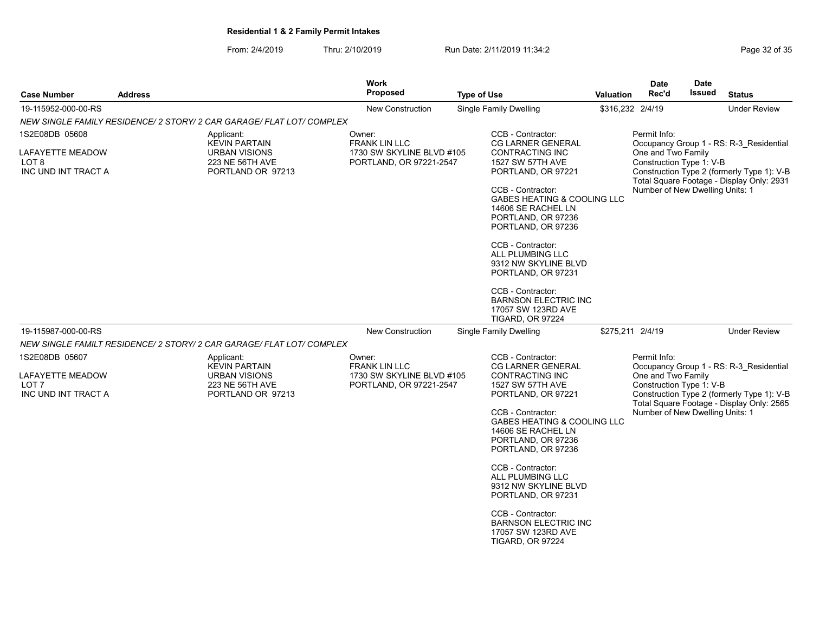# From: 2/4/2019 Thru: 2/10/2019 Run Date: 2/11/2019 11:34:2<br>Page 32 of 35

| <b>Case Number</b>                                          | <b>Address</b>                                                                       | <b>Work</b><br><b>Proposed</b>                                               | <b>Type of Use</b>                                                                                                 | <b>Valuation</b> | <b>Date</b><br>Rec'd                                                                                                           | <b>Date</b><br><b>Issued</b> | <b>Status</b>                                                                         |
|-------------------------------------------------------------|--------------------------------------------------------------------------------------|------------------------------------------------------------------------------|--------------------------------------------------------------------------------------------------------------------|------------------|--------------------------------------------------------------------------------------------------------------------------------|------------------------------|---------------------------------------------------------------------------------------|
| 19-115952-000-00-RS                                         |                                                                                      | <b>New Construction</b>                                                      | Single Family Dwelling                                                                                             | \$316,232 2/4/19 |                                                                                                                                |                              | <b>Under Review</b>                                                                   |
|                                                             | NEW SINGLE FAMILY RESIDENCE/ 2 STORY/ 2 CAR GARAGE/ FLAT LOT/ COMPLEX                |                                                                              |                                                                                                                    |                  |                                                                                                                                |                              |                                                                                       |
| 1S2E08DB 05608                                              | Applicant:<br><b>KEVIN PARTAIN</b>                                                   | Owner:<br><b>FRANK LIN LLC</b>                                               | CCB - Contractor:<br><b>CG LARNER GENERAL</b>                                                                      |                  | Permit Info:                                                                                                                   |                              | Occupancy Group 1 - RS: R-3 Residential                                               |
| LAFAYETTE MEADOW<br>LOT <sub>8</sub><br>INC UND INT TRACT A | <b>URBAN VISIONS</b><br>223 NE 56TH AVE<br>PORTLAND OR 97213                         | 1730 SW SKYLINE BLVD #105<br>PORTLAND, OR 97221-2547                         | <b>CONTRACTING INC</b><br><b>1527 SW 57TH AVE</b><br>PORTLAND, OR 97221                                            |                  | One and Two Family<br>Construction Type 1: V-B                                                                                 |                              | Construction Type 2 (formerly Type 1): V-B                                            |
|                                                             |                                                                                      |                                                                              | CCB - Contractor:<br>GABES HEATING & COOLING LLC<br>14606 SE RACHEL LN<br>PORTLAND, OR 97236<br>PORTLAND, OR 97236 |                  | Total Square Footage - Display Only: 2931<br>Number of New Dwelling Units: 1                                                   |                              |                                                                                       |
|                                                             |                                                                                      |                                                                              | CCB - Contractor:<br>ALL PLUMBING LLC<br>9312 NW SKYLINE BLVD<br>PORTLAND, OR 97231                                |                  |                                                                                                                                |                              |                                                                                       |
|                                                             |                                                                                      |                                                                              | CCB - Contractor:<br><b>BARNSON ELECTRIC INC</b><br>17057 SW 123RD AVE<br><b>TIGARD, OR 97224</b>                  |                  |                                                                                                                                |                              |                                                                                       |
| 19-115987-000-00-RS                                         |                                                                                      | New Construction                                                             | <b>Single Family Dwelling</b>                                                                                      | \$275,211 2/4/19 |                                                                                                                                |                              | <b>Under Review</b>                                                                   |
|                                                             | NEW SINGLE FAMILT RESIDENCE/ 2 STORY/ 2 CAR GARAGE/ FLAT LOT/ COMPLEX                |                                                                              |                                                                                                                    |                  |                                                                                                                                |                              |                                                                                       |
| 1S2E08DB 05607                                              | Applicant:                                                                           | Owner:                                                                       | CCB - Contractor:                                                                                                  |                  | Permit Info:                                                                                                                   |                              |                                                                                       |
| LAFAYETTE MEADOW<br>LOT <sub>7</sub><br>INC UND INT TRACT A | <b>KEVIN PARTAIN</b><br><b>URBAN VISIONS</b><br>223 NE 56TH AVE<br>PORTLAND OR 97213 | <b>FRANK LIN LLC</b><br>1730 SW SKYLINE BLVD #105<br>PORTLAND, OR 97221-2547 | CG LARNER GENERAL<br><b>CONTRACTING INC</b><br>1527 SW 57TH AVE<br>PORTLAND, OR 97221                              |                  | One and Two Family<br>Construction Type 1: V-B<br>Total Square Footage - Display Only: 2565<br>Number of New Dwelling Units: 1 |                              | Occupancy Group 1 - RS: R-3 Residential<br>Construction Type 2 (formerly Type 1): V-B |
|                                                             |                                                                                      |                                                                              | CCB - Contractor:<br>GABES HEATING & COOLING LLC<br>14606 SE RACHEL LN<br>PORTLAND, OR 97236<br>PORTLAND, OR 97236 |                  |                                                                                                                                |                              |                                                                                       |
|                                                             |                                                                                      |                                                                              | CCB - Contractor:<br>ALL PLUMBING LLC<br>9312 NW SKYLINE BLVD<br>PORTLAND, OR 97231                                |                  |                                                                                                                                |                              |                                                                                       |
|                                                             |                                                                                      |                                                                              | CCB - Contractor:<br><b>BARNSON ELECTRIC INC</b><br>17057 SW 123RD AVE<br><b>TIGARD, OR 97224</b>                  |                  |                                                                                                                                |                              |                                                                                       |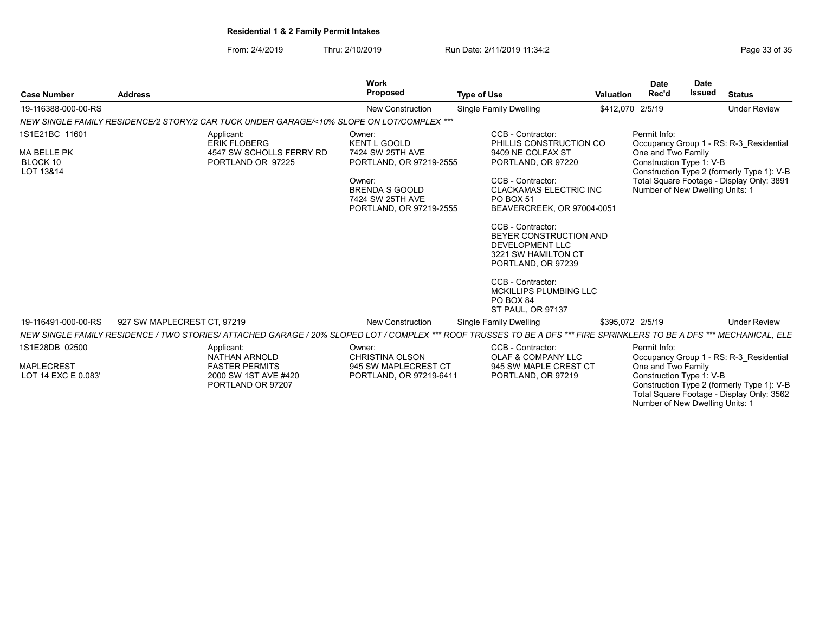From: 2/4/2019 Thru: 2/10/2019 Run Date: 2/11/2019 11:34:2<br>
Page 33 of 35

Work

Total Square Footage - Display Only: 3562 Number of New Dwelling Units: 1

| <b>Case Number</b>                          | <b>Address</b>              |                                                                                                                                                                        | Work<br>Proposed                                                               | <b>Type of Use</b>                                                                                          | <b>Valuation</b> | <b>Date</b><br>Rec'd                           | <b>Date</b><br><b>Issued</b> | <b>Status</b>                              |
|---------------------------------------------|-----------------------------|------------------------------------------------------------------------------------------------------------------------------------------------------------------------|--------------------------------------------------------------------------------|-------------------------------------------------------------------------------------------------------------|------------------|------------------------------------------------|------------------------------|--------------------------------------------|
| 19-116388-000-00-RS                         |                             |                                                                                                                                                                        | <b>New Construction</b>                                                        | Single Family Dwelling                                                                                      | \$412,070 2/5/19 |                                                |                              | <b>Under Review</b>                        |
|                                             |                             | NEW SINGLE FAMILY RESIDENCE/2 STORY/2 CAR TUCK UNDER GARAGE/<10% SLOPE ON LOT/COMPLEX ***                                                                              |                                                                                |                                                                                                             |                  |                                                |                              |                                            |
| 1S1E21BC 11601                              |                             | Applicant:<br><b>ERIK FLOBERG</b>                                                                                                                                      | Owner:<br><b>KENT L GOOLD</b>                                                  | CCB - Contractor:<br>PHILLIS CONSTRUCTION CO                                                                |                  | Permit Info:                                   |                              | Occupancy Group 1 - RS: R-3 Residential    |
| <b>MA BELLE PK</b><br>BLOCK 10<br>LOT 13&14 |                             | 4547 SW SCHOLLS FERRY RD<br>PORTLAND OR 97225                                                                                                                          | 7424 SW 25TH AVE<br>PORTLAND, OR 97219-2555                                    | 9409 NE COLFAX ST<br>PORTLAND, OR 97220                                                                     |                  | One and Two Family<br>Construction Type 1: V-B |                              | Construction Type 2 (formerly Type 1): V-B |
|                                             |                             |                                                                                                                                                                        | Owner:<br><b>BRENDA S GOOLD</b><br>7424 SW 25TH AVE<br>PORTLAND, OR 97219-2555 | CCB - Contractor:<br><b>CLACKAMAS ELECTRIC INC</b><br><b>PO BOX 51</b><br>BEAVERCREEK, OR 97004-0051        |                  | Number of New Dwelling Units: 1                |                              | Total Square Footage - Display Only: 3891  |
|                                             |                             |                                                                                                                                                                        |                                                                                | CCB - Contractor:<br>BEYER CONSTRUCTION AND<br>DEVELOPMENT LLC<br>3221 SW HAMILTON CT<br>PORTLAND, OR 97239 |                  |                                                |                              |                                            |
|                                             |                             |                                                                                                                                                                        |                                                                                | CCB - Contractor:<br>MCKILLIPS PLUMBING LLC<br>PO BOX 84<br><b>ST PAUL, OR 97137</b>                        |                  |                                                |                              |                                            |
| 19-116491-000-00-RS                         | 927 SW MAPLECREST CT. 97219 |                                                                                                                                                                        | New Construction                                                               | Single Family Dwelling                                                                                      | \$395.072 2/5/19 |                                                |                              | <b>Under Review</b>                        |
|                                             |                             | NEW SINGLE FAMILY RESIDENCE / TWO STORIES/ ATTACHED GARAGE / 20% SLOPED LOT / COMPLEX *** ROOF TRUSSES TO BE A DFS *** FIRE SPRINKLERS TO BE A DFS *** MECHANICAL. ELE |                                                                                |                                                                                                             |                  |                                                |                              |                                            |
| 1S1E28DB 02500                              |                             | Applicant:<br>NATHAN ARNOLD                                                                                                                                            | Owner:<br>CHRISTINA OLSON                                                      | CCB - Contractor:<br>OLAF & COMPANY LLC                                                                     |                  | Permit Info:                                   |                              | Occupancy Group 1 - RS: R-3_Residential    |
| <b>MAPLECREST</b><br>LOT 14 EXC E 0.083'    |                             | <b>FASTER PERMITS</b><br>2000 SW 1ST AVE #420<br>PORTLAND OR 97207                                                                                                     | 945 SW MAPLECREST CT<br>PORTLAND, OR 97219-6411                                | 945 SW MAPLE CREST CT<br>PORTLAND, OR 97219                                                                 |                  | One and Two Family<br>Construction Type 1: V-B |                              | Construction Type 2 (formerly Type 1): V-B |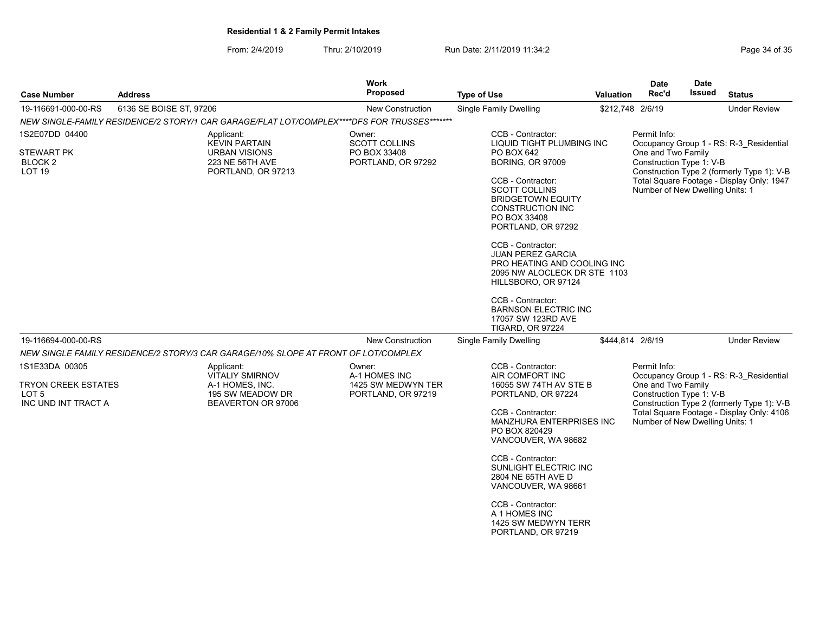From: 2/4/2019 Thru: 2/10/2019 Run Date: 2/11/2019 11:34:2<br>
Page 34 of 35

| <b>Case Number</b>                                                  | <b>Address</b>                                                                                      | <b>Work</b><br><b>Proposed</b><br><b>Type of Use</b>                 |                                                                                                                                                                                                                                                                                                                                                                                                                                                                               |                  | <b>Date</b><br>Rec'd                                                                              | <b>Date</b><br>Issued                   | <b>Status</b>                                                                                                                      |
|---------------------------------------------------------------------|-----------------------------------------------------------------------------------------------------|----------------------------------------------------------------------|-------------------------------------------------------------------------------------------------------------------------------------------------------------------------------------------------------------------------------------------------------------------------------------------------------------------------------------------------------------------------------------------------------------------------------------------------------------------------------|------------------|---------------------------------------------------------------------------------------------------|-----------------------------------------|------------------------------------------------------------------------------------------------------------------------------------|
| 19-116691-000-00-RS                                                 | 6136 SE BOISE ST, 97206                                                                             | New Construction                                                     | <b>Single Family Dwelling</b>                                                                                                                                                                                                                                                                                                                                                                                                                                                 | \$212,748 2/6/19 |                                                                                                   |                                         | <b>Under Review</b>                                                                                                                |
|                                                                     | NEW SINGLE-FAMILY RESIDENCE/2 STORY/1 CAR GARAGE/FLAT LOT/COMPLEX****DFS FOR TRUSSES*******         |                                                                      |                                                                                                                                                                                                                                                                                                                                                                                                                                                                               |                  |                                                                                                   |                                         |                                                                                                                                    |
| 1S2E07DD 04400<br><b>STEWART PK</b><br>BLOCK 2<br>LOT <sub>19</sub> | Applicant:<br><b>KEVIN PARTAIN</b><br><b>URBAN VISIONS</b><br>223 NE 56TH AVE<br>PORTLAND, OR 97213 | Owner:<br><b>SCOTT COLLINS</b><br>PO BOX 33408<br>PORTLAND, OR 97292 | CCB - Contractor:<br>LIQUID TIGHT PLUMBING INC<br>PO BOX 642<br><b>BORING, OR 97009</b><br>CCB - Contractor:<br><b>SCOTT COLLINS</b><br><b>BRIDGETOWN EQUITY</b><br><b>CONSTRUCTION INC</b><br>PO BOX 33408<br>PORTLAND, OR 97292<br>CCB - Contractor:<br><b>JUAN PEREZ GARCIA</b><br>PRO HEATING AND COOLING INC<br>2095 NW ALOCLECK DR STE 1103<br>HILLSBORO, OR 97124<br>CCB - Contractor:<br><b>BARNSON ELECTRIC INC</b><br>17057 SW 123RD AVE<br><b>TIGARD, OR 97224</b> |                  | Permit Info:<br>One and Two Family<br>Construction Type 1: V-B<br>Number of New Dwelling Units: 1 |                                         | Occupancy Group 1 - RS: R-3 Residential<br>Construction Type 2 (formerly Type 1): V-B<br>Total Square Footage - Display Only: 1947 |
| 19-116694-000-00-RS                                                 |                                                                                                     | New Construction                                                     | <b>Single Family Dwelling</b>                                                                                                                                                                                                                                                                                                                                                                                                                                                 | \$444,814 2/6/19 |                                                                                                   |                                         | <b>Under Review</b>                                                                                                                |
|                                                                     | NEW SINGLE FAMILY RESIDENCE/2 STORY/3 CAR GARAGE/10% SLOPE AT FRONT OF LOT/COMPLEX                  |                                                                      |                                                                                                                                                                                                                                                                                                                                                                                                                                                                               |                  |                                                                                                   |                                         |                                                                                                                                    |
| 1S1E33DA 00305                                                      | Applicant:<br><b>VITALIY SMIRNOV</b>                                                                | Owner:<br>A-1 HOMES INC                                              | CCB - Contractor:<br>AIR COMFORT INC                                                                                                                                                                                                                                                                                                                                                                                                                                          |                  | Permit Info:                                                                                      | Occupancy Group 1 - RS: R-3 Residential |                                                                                                                                    |
| <b>TRYON CREEK ESTATES</b><br>LOT 5<br>INC UND INT TRACT A          | A-1 HOMES, INC.<br>195 SW MEADOW DR<br>BEAVERTON OR 97006                                           | 1425 SW MEDWYN TER<br>PORTLAND, OR 97219                             | 16055 SW 74TH AV STE B<br>PORTLAND, OR 97224<br>CCB - Contractor:<br>MANZHURA ENTERPRISES INC<br>PO BOX 820429<br>VANCOUVER, WA 98682<br>CCB - Contractor:<br><b>SUNLIGHT ELECTRIC INC</b><br>2804 NE 65TH AVE D<br>VANCOUVER, WA 98661<br>CCB - Contractor:<br>A 1 HOMES INC<br>1425 SW MEDWYN TERR<br>PORTLAND, OR 97219                                                                                                                                                    |                  | One and Two Family<br>Construction Type 1: V-B<br>Number of New Dwelling Units: 1                 |                                         | Construction Type 2 (formerly Type 1): V-B<br>Total Square Footage - Display Only: 4106                                            |